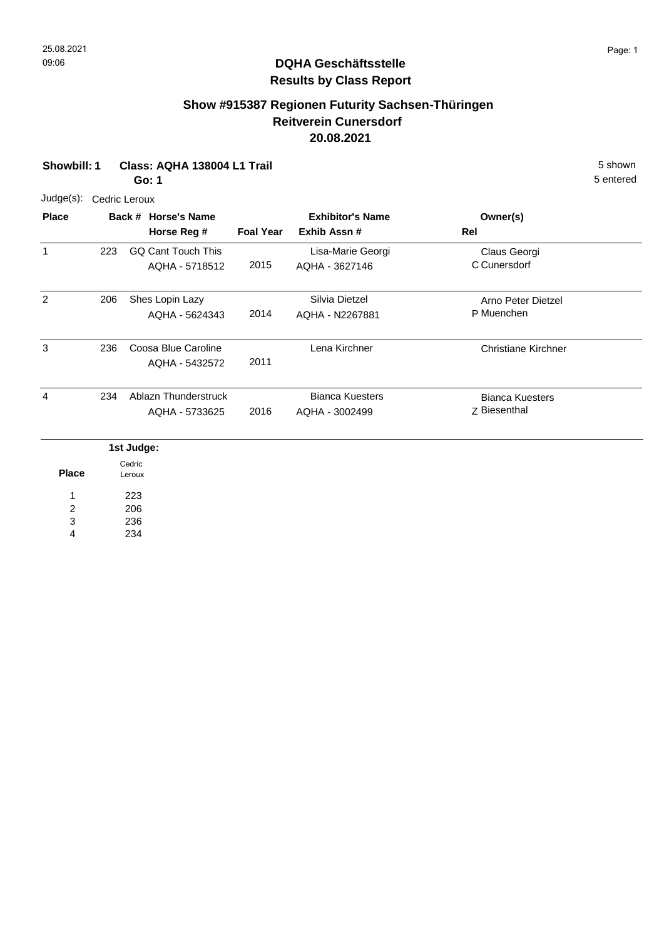# **Show #915387 Regionen Futurity Sachsen-Thüringen Reitverein Cunersdorf 20.08.2021**

| Showbill: 1                            |               |                          | Class: AQHA 138004 L1 Trail<br>Go: 1        |                  |                                          |                                        | 5 shown<br>5 entered |
|----------------------------------------|---------------|--------------------------|---------------------------------------------|------------------|------------------------------------------|----------------------------------------|----------------------|
| $Judge(s)$ :                           | Cedric Leroux |                          |                                             |                  |                                          |                                        |                      |
| <b>Place</b>                           |               |                          | Back # Horse's Name<br>Horse Reg #          | <b>Foal Year</b> | <b>Exhibitor's Name</b><br>Exhib Assn #  | Owner(s)<br>Rel                        |                      |
| 1                                      | 223           |                          | <b>GQ Cant Touch This</b><br>AQHA - 5718512 | 2015             | Lisa-Marie Georgi<br>AQHA - 3627146      | Claus Georgi<br>C Cunersdorf           |                      |
| $\overline{2}$                         | 206           |                          | Shes Lopin Lazy<br>AQHA - 5624343           | 2014             | Silvia Dietzel<br>AQHA - N2267881        | Arno Peter Dietzel<br>P Muenchen       |                      |
| 3                                      | 236           |                          | Coosa Blue Caroline<br>AQHA - 5432572       | 2011             | Lena Kirchner                            | <b>Christiane Kirchner</b>             |                      |
| 4                                      | 234           |                          | Ablazn Thunderstruck<br>AQHA - 5733625      | 2016             | <b>Bianca Kuesters</b><br>AQHA - 3002499 | <b>Bianca Kuesters</b><br>Z Biesenthal |                      |
|                                        |               | 1st Judge:               |                                             |                  |                                          |                                        |                      |
| <b>Place</b>                           |               | Cedric<br>Leroux         |                                             |                  |                                          |                                        |                      |
| 1<br>$\overline{\mathbf{c}}$<br>3<br>4 |               | 223<br>206<br>236<br>234 |                                             |                  |                                          |                                        |                      |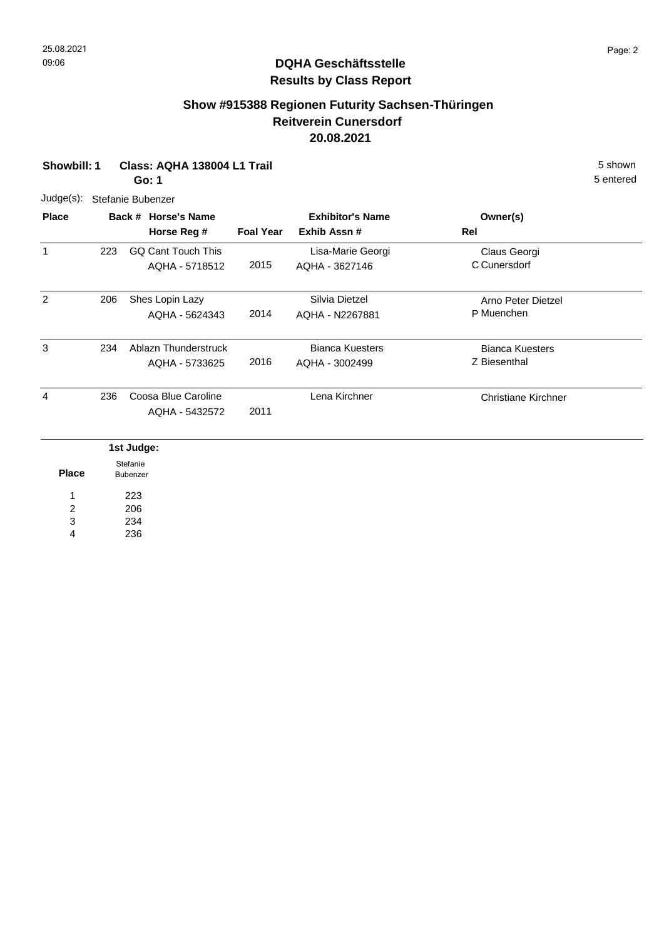# **Show #915388 Regionen Futurity Sachsen-Thüringen Reitverein Cunersdorf 20.08.2021**

| <b>Showbill: 1</b>      |                      |            | Class: AQHA 138004 L1 Trail<br>Go: 1 |                  |                         |                            | 5 shown<br>5 entered |
|-------------------------|----------------------|------------|--------------------------------------|------------------|-------------------------|----------------------------|----------------------|
| Judge(s):               |                      |            | Stefanie Bubenzer                    |                  |                         |                            |                      |
| <b>Place</b>            |                      |            | Back # Horse's Name                  |                  | <b>Exhibitor's Name</b> | Owner(s)                   |                      |
|                         |                      |            | Horse Reg #                          | <b>Foal Year</b> | Exhib Assn #            | Rel                        |                      |
| $\mathbf{1}$            | 223                  |            | <b>GQ Cant Touch This</b>            |                  | Lisa-Marie Georgi       | Claus Georgi               |                      |
|                         |                      |            | AQHA - 5718512                       | 2015             | AQHA - 3627146          | C Cunersdorf               |                      |
| $\overline{2}$          | 206                  |            | Shes Lopin Lazy                      |                  | Silvia Dietzel          | Arno Peter Dietzel         |                      |
|                         |                      |            | AQHA - 5624343                       | 2014             | AQHA - N2267881         | P Muenchen                 |                      |
| 3                       | 234                  |            | Ablazn Thunderstruck                 |                  | <b>Bianca Kuesters</b>  | <b>Bianca Kuesters</b>     |                      |
|                         |                      |            | AQHA - 5733625                       | 2016             | AQHA - 3002499          | Z Biesenthal               |                      |
| 4                       | 236                  |            | Coosa Blue Caroline                  |                  | Lena Kirchner           | <b>Christiane Kirchner</b> |                      |
|                         |                      |            | AQHA - 5432572                       | 2011             |                         |                            |                      |
|                         |                      | 1st Judge: |                                      |                  |                         |                            |                      |
| <b>Place</b>            | Stefanie<br>Bubenzer |            |                                      |                  |                         |                            |                      |
| 1                       |                      | 223        |                                      |                  |                         |                            |                      |
| $\overline{\mathbf{c}}$ |                      | 206        |                                      |                  |                         |                            |                      |
| 3                       |                      | 234        |                                      |                  |                         |                            |                      |
| $\overline{4}$          |                      | 236        |                                      |                  |                         |                            |                      |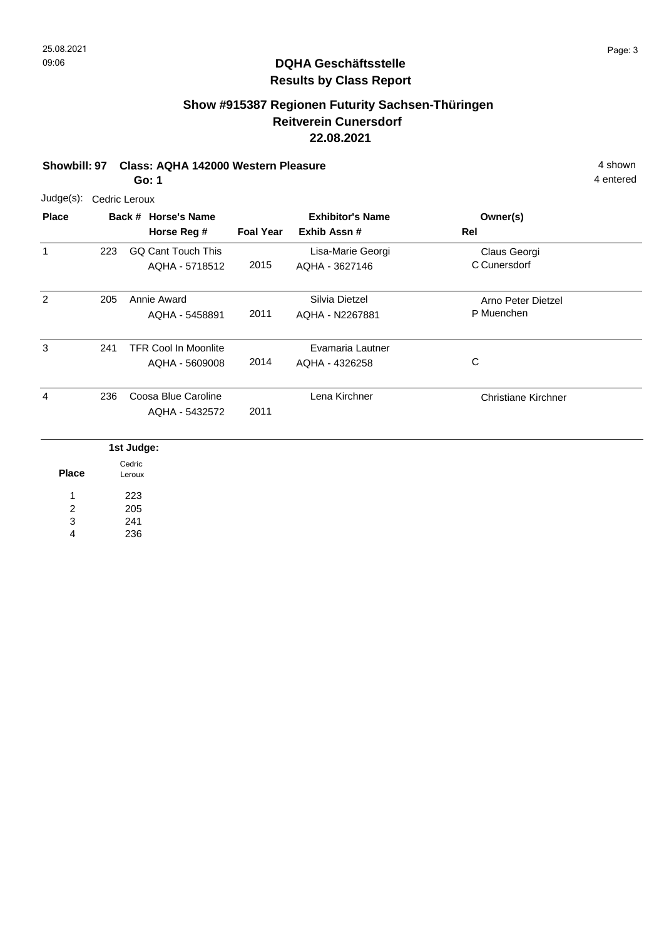# **Show #915387 Regionen Futurity Sachsen-Thüringen Reitverein Cunersdorf 22.08.2021**

# **Showbill: 97 Class: AQHA 142000 Western Pleasure** 4 shown

**Go: 1**

| Judge(s):                         | Cedric Leroux |                                               |                  |                                        |                                  |  |  |  |  |  |
|-----------------------------------|---------------|-----------------------------------------------|------------------|----------------------------------------|----------------------------------|--|--|--|--|--|
| <b>Place</b>                      |               | Back # Horse's Name<br>Horse Reg #            | <b>Foal Year</b> | <b>Exhibitor's Name</b><br>Exhib Assn# | Owner(s)<br>Rel                  |  |  |  |  |  |
| 1                                 | 223           | <b>GQ Cant Touch This</b><br>AQHA - 5718512   | 2015             | Lisa-Marie Georgi<br>AQHA - 3627146    | Claus Georgi<br>C Cunersdorf     |  |  |  |  |  |
| $\overline{2}$                    | 205           | Annie Award<br>AQHA - 5458891                 | 2011             | Silvia Dietzel<br>AQHA - N2267881      | Arno Peter Dietzel<br>P Muenchen |  |  |  |  |  |
| 3                                 | 241           | <b>TFR Cool In Moonlite</b><br>AQHA - 5609008 | 2014             | Evamaria Lautner<br>AQHA - 4326258     | C                                |  |  |  |  |  |
| 4                                 | 236           | Coosa Blue Caroline<br>AQHA - 5432572         | 2011             | Lena Kirchner                          | Christiane Kirchner              |  |  |  |  |  |
|                                   |               | 1st Judge:                                    |                  |                                        |                                  |  |  |  |  |  |
| <b>Place</b>                      |               | Cedric<br>Leroux                              |                  |                                        |                                  |  |  |  |  |  |
| 1<br>$\overline{\mathbf{c}}$<br>3 |               | 223<br>205<br>241                             |                  |                                        |                                  |  |  |  |  |  |

236 4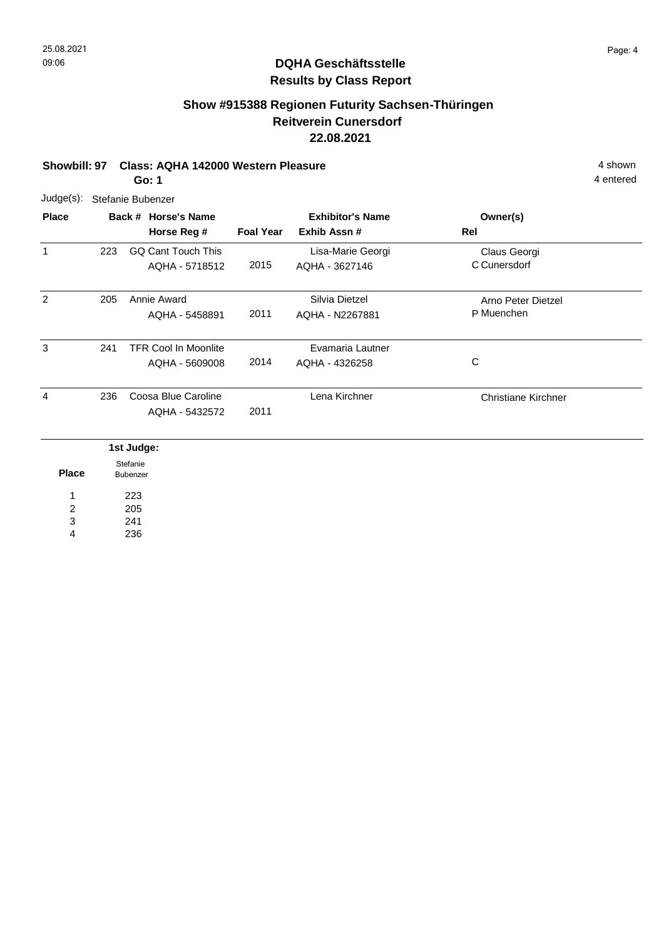# **Show #915388 Regionen Futurity Sachsen-Thüringen Reitverein Cunersdorf 22.08.2021**

#### **Showbill: 97 Class: AQHA 142000 Western Pleasure** 4 shown **Go: 1**

Judge(s): Stefanie Bubenzer

241 236

3 4

| <b>Place</b> |                      | Back # Horse's Name<br>Horse Reg # | <b>Foal Year</b> | <b>Exhibitor's Name</b><br>Exhib Assn # | Owner(s)<br>Rel            |
|--------------|----------------------|------------------------------------|------------------|-----------------------------------------|----------------------------|
| $\mathbf{1}$ | 223                  | <b>GQ Cant Touch This</b>          |                  | Lisa-Marie Georgi                       | Claus Georgi               |
|              |                      | AQHA - 5718512                     | 2015             | AQHA - 3627146                          | C Cunersdorf               |
| 2            | 205                  | Annie Award                        |                  | Silvia Dietzel                          | Arno Peter Dietzel         |
|              |                      | AQHA - 5458891                     | 2011             | AQHA - N2267881                         | P Muenchen                 |
| 3            | 241                  | <b>TFR Cool In Moonlite</b>        |                  | Evamaria Lautner                        |                            |
|              |                      | AQHA - 5609008                     | 2014             | AQHA - 4326258                          | C                          |
| 4            | 236                  | Coosa Blue Caroline                |                  | Lena Kirchner                           | <b>Christiane Kirchner</b> |
|              |                      | AQHA - 5432572                     | 2011             |                                         |                            |
|              |                      | 1st Judge:                         |                  |                                         |                            |
| <b>Place</b> | Stefanie<br>Bubenzer |                                    |                  |                                         |                            |
| 1            | 223                  |                                    |                  |                                         |                            |
| 2            |                      | 205                                |                  |                                         |                            |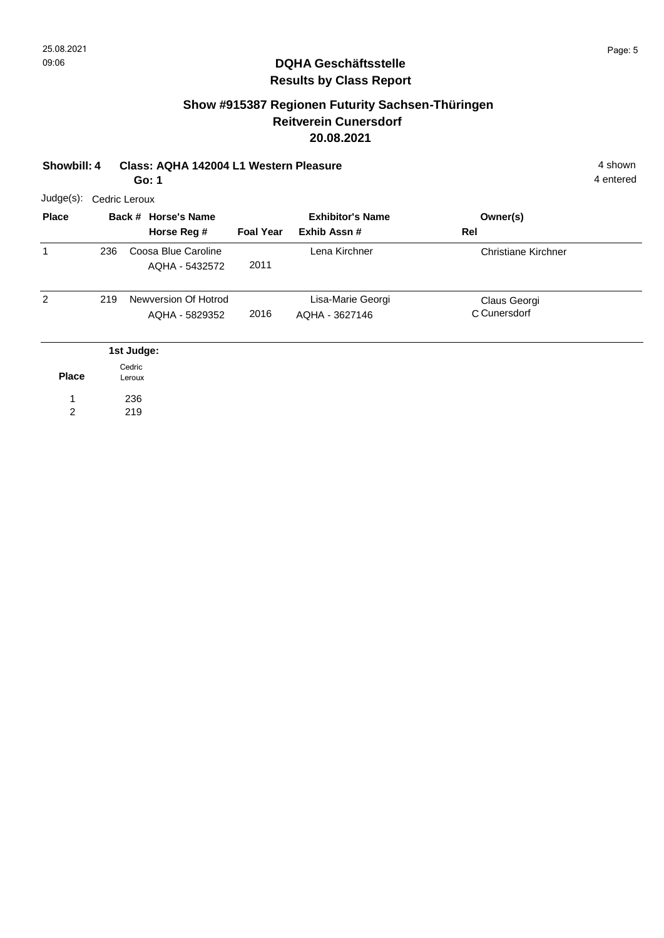#### **Show #915387 Regionen Futurity Sachsen-Thüringen Reitverein Cunersdorf 20.08.2021**

| Showbill: 4    |     |                  | Class: AQHA 142004 L1 Western Pleasure<br>Go: 1 |                  |                         |                            | 4 shown<br>4 entered |  |  |  |  |
|----------------|-----|------------------|-------------------------------------------------|------------------|-------------------------|----------------------------|----------------------|--|--|--|--|
| Judge(s):      |     | Cedric Leroux    |                                                 |                  |                         |                            |                      |  |  |  |  |
| <b>Place</b>   |     |                  | Back # Horse's Name                             |                  | <b>Exhibitor's Name</b> | Owner(s)                   |                      |  |  |  |  |
|                |     |                  | Horse Reg #                                     | <b>Foal Year</b> | Exhib Assn #            | Rel                        |                      |  |  |  |  |
| 1              | 236 |                  | Coosa Blue Caroline<br>AQHA - 5432572           | 2011             | Lena Kirchner           | <b>Christiane Kirchner</b> |                      |  |  |  |  |
|                |     |                  |                                                 |                  |                         |                            |                      |  |  |  |  |
| $\overline{2}$ | 219 |                  | Newversion Of Hotrod                            |                  | Lisa-Marie Georgi       | Claus Georgi               |                      |  |  |  |  |
|                |     |                  | AQHA - 5829352                                  | 2016             | AQHA - 3627146          | C Cunersdorf               |                      |  |  |  |  |
|                |     | 1st Judge:       |                                                 |                  |                         |                            |                      |  |  |  |  |
| <b>Place</b>   |     | Cedric<br>Leroux |                                                 |                  |                         |                            |                      |  |  |  |  |
|                |     | 236              |                                                 |                  |                         |                            |                      |  |  |  |  |
| $\overline{2}$ |     | 219              |                                                 |                  |                         |                            |                      |  |  |  |  |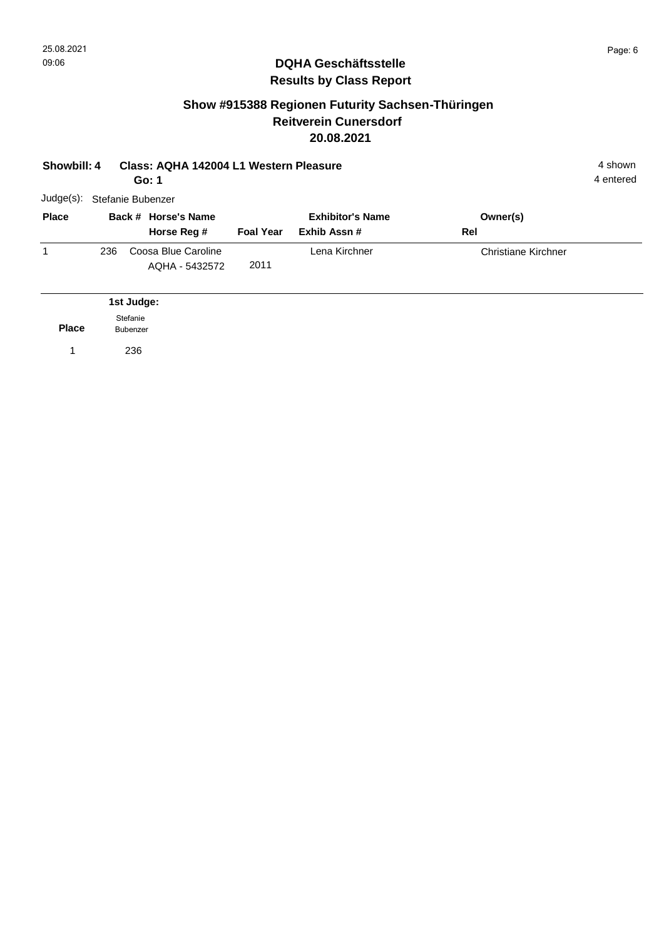#### **Show #915388 Regionen Futurity Sachsen-Thüringen Reitverein Cunersdorf 20.08.2021**

| Showbill: 4  |     | Class: AQHA 142004 L1 Western Pleasure<br>Go: 1 |                                       |                  |                                        |                            |  |  |  |  |
|--------------|-----|-------------------------------------------------|---------------------------------------|------------------|----------------------------------------|----------------------------|--|--|--|--|
| Judge(s):    |     | Stefanie Bubenzer                               |                                       |                  |                                        |                            |  |  |  |  |
| <b>Place</b> |     |                                                 | Back # Horse's Name<br>Horse Reg #    | <b>Foal Year</b> | <b>Exhibitor's Name</b><br>Exhib Assn# | Owner(s)<br>Rel            |  |  |  |  |
| 1            | 236 |                                                 | Coosa Blue Caroline<br>AQHA - 5432572 | 2011             | Lena Kirchner                          | <b>Christiane Kirchner</b> |  |  |  |  |
|              |     | 1st Judge:                                      |                                       |                  |                                        |                            |  |  |  |  |
| <b>Place</b> |     | Stefanie<br><b>Bubenzer</b>                     |                                       |                  |                                        |                            |  |  |  |  |
|              |     | 236                                             |                                       |                  |                                        |                            |  |  |  |  |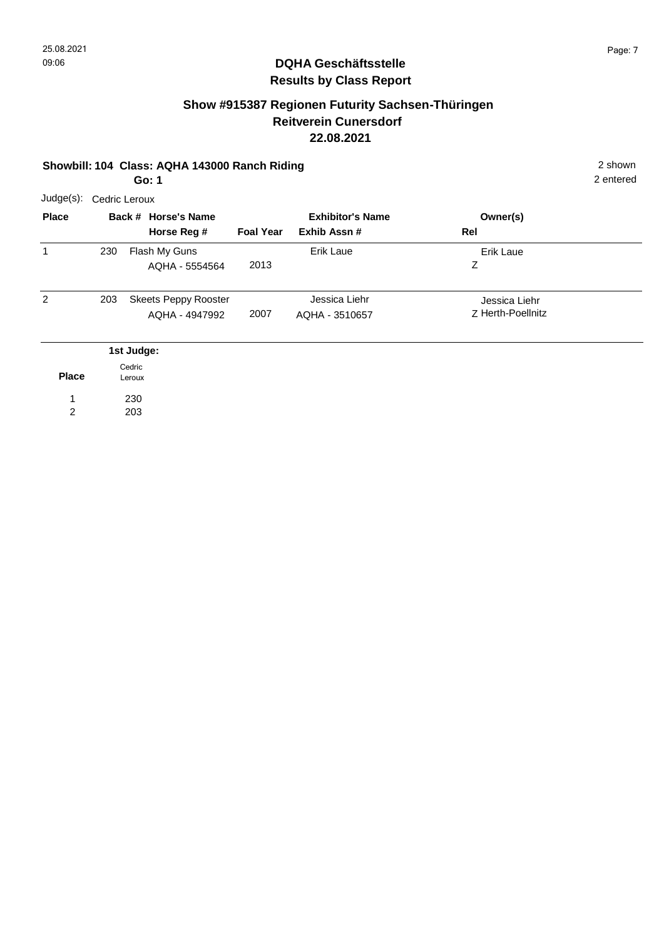# **Show #915387 Regionen Futurity Sachsen-Thüringen Reitverein Cunersdorf 22.08.2021**

#### **Showbill: 104 Class: AQHA 143000 Ranch Riding** 2 shown **Go: 1**

2 entered

| Judge(s):      | Cedric Leroux    |                                               |                  |                                        |                                    |  |  |  |  |  |
|----------------|------------------|-----------------------------------------------|------------------|----------------------------------------|------------------------------------|--|--|--|--|--|
| <b>Place</b>   |                  | Back # Horse's Name<br>Horse Reg #            | <b>Foal Year</b> | <b>Exhibitor's Name</b><br>Exhib Assn# | Owner(s)<br>Rel                    |  |  |  |  |  |
| 1              | 230              | Flash My Guns<br>AQHA - 5554564               | 2013             | Erik Laue                              | <b>Erik Laue</b><br>Ζ              |  |  |  |  |  |
| $\overline{2}$ | 203              | <b>Skeets Peppy Rooster</b><br>AQHA - 4947992 | 2007             | Jessica Liehr<br>AQHA - 3510657        | Jessica Liehr<br>Z Herth-Poellnitz |  |  |  |  |  |
|                | 1st Judge:       |                                               |                  |                                        |                                    |  |  |  |  |  |
| <b>Place</b>   | Cedric<br>Leroux |                                               |                  |                                        |                                    |  |  |  |  |  |
|                |                  | 230                                           |                  |                                        |                                    |  |  |  |  |  |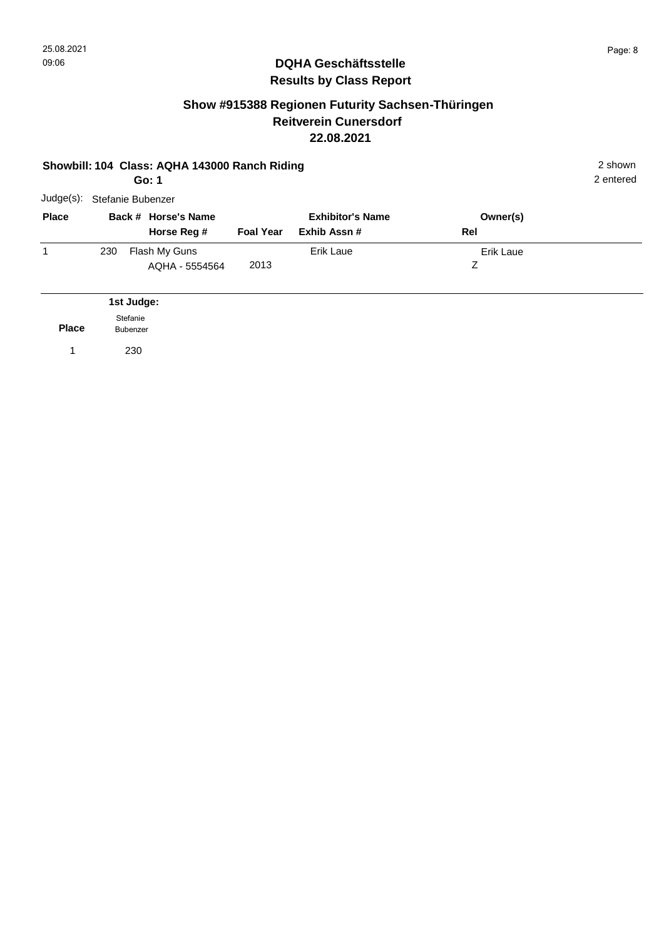### **Show #915388 Regionen Futurity Sachsen-Thüringen Reitverein Cunersdorf 22.08.2021**

|              | 2 shown<br>Showbill: 104 Class: AQHA 143000 Ranch Riding<br>2 entered<br>Go: 1 |                                    |                  |                                         |                 |  |  |  |  |  |
|--------------|--------------------------------------------------------------------------------|------------------------------------|------------------|-----------------------------------------|-----------------|--|--|--|--|--|
| Judge(s):    |                                                                                | Stefanie Bubenzer                  |                  |                                         |                 |  |  |  |  |  |
| <b>Place</b> |                                                                                | Back # Horse's Name<br>Horse Reg # | <b>Foal Year</b> | <b>Exhibitor's Name</b><br>Exhib Assn # | Owner(s)<br>Rel |  |  |  |  |  |
| 1            | 230                                                                            | Flash My Guns<br>AQHA - 5554564    | 2013             | Erik Laue                               | Erik Laue<br>Ζ  |  |  |  |  |  |
|              |                                                                                | 1st Judge:                         |                  |                                         |                 |  |  |  |  |  |
| <b>Place</b> | Stefanie<br>Bubenzer                                                           |                                    |                  |                                         |                 |  |  |  |  |  |
| 1            |                                                                                | 230                                |                  |                                         |                 |  |  |  |  |  |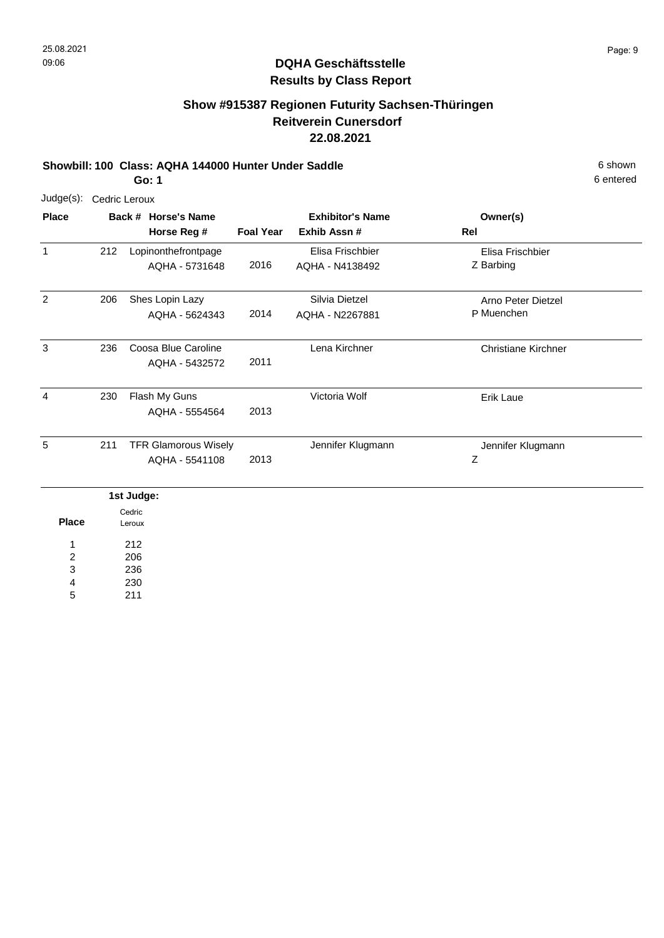# **Show #915387 Regionen Futurity Sachsen-Thüringen Reitverein Cunersdorf 22.08.2021**

#### **Showbill: 100 Class: AQHA 144000 Hunter Under Saddle** 6 Shown

**Go: 1**

| Judge(s):      | Cedric Leroux |                  |                                               |                  |                                        |                                  |  |  |  |  |
|----------------|---------------|------------------|-----------------------------------------------|------------------|----------------------------------------|----------------------------------|--|--|--|--|
| <b>Place</b>   |               |                  | Back # Horse's Name<br>Horse Reg #            | <b>Foal Year</b> | <b>Exhibitor's Name</b><br>Exhib Assn# | Owner(s)<br>Rel                  |  |  |  |  |
| $\mathbf{1}$   | 212           |                  | Lopinonthefrontpage<br>AQHA - 5731648         | 2016             | Elisa Frischbier<br>AQHA - N4138492    | Elisa Frischbier<br>Z Barbing    |  |  |  |  |
| $\overline{2}$ | 206           |                  | Shes Lopin Lazy<br>AQHA - 5624343             | 2014             | Silvia Dietzel<br>AQHA - N2267881      | Arno Peter Dietzel<br>P Muenchen |  |  |  |  |
| 3              | 236           |                  | Coosa Blue Caroline<br>AQHA - 5432572         | 2011             | Lena Kirchner                          | <b>Christiane Kirchner</b>       |  |  |  |  |
| 4              | 230           |                  | Flash My Guns<br>AQHA - 5554564               | 2013             | Victoria Wolf                          | <b>Erik Laue</b>                 |  |  |  |  |
| 5              | 211           |                  | <b>TFR Glamorous Wisely</b><br>AQHA - 5541108 | 2013             | Jennifer Klugmann                      | Jennifer Klugmann<br>Ζ           |  |  |  |  |
|                |               | 1st Judge:       |                                               |                  |                                        |                                  |  |  |  |  |
| <b>Place</b>   |               | Cedric<br>Leroux |                                               |                  |                                        |                                  |  |  |  |  |

212 206 236 1 2 3

230 211 4 5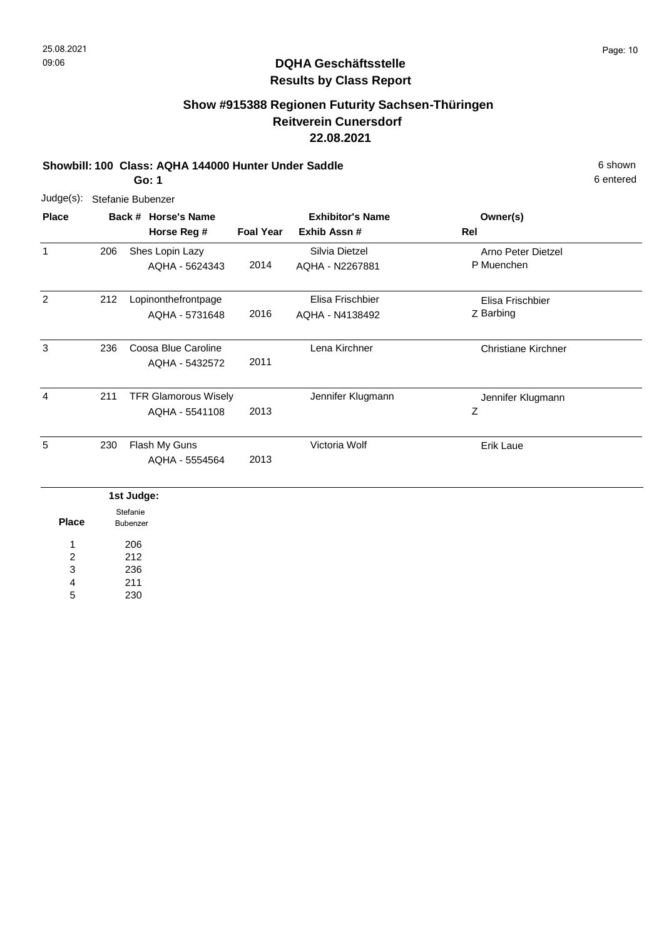# **Show #915388 Regionen Futurity Sachsen-Thüringen Reitverein Cunersdorf 22.08.2021**

#### **Showbill: 100 Class: AQHA 144000 Hunter Under Saddle** 6 Shown

6 entered

**Go: 1**

| $Judge(s)$ :   |                      |                     | Stefanie Bubenzer           |                  |                         |                            |
|----------------|----------------------|---------------------|-----------------------------|------------------|-------------------------|----------------------------|
| <b>Place</b>   |                      | Back # Horse's Name |                             |                  | <b>Exhibitor's Name</b> | Owner(s)                   |
|                |                      |                     | Horse Reg #                 | <b>Foal Year</b> | Exhib Assn #            | Rel                        |
| $\mathbf{1}$   | 206                  |                     | Shes Lopin Lazy             |                  | Silvia Dietzel          | Arno Peter Dietzel         |
|                |                      |                     | AQHA - 5624343              | 2014             | AQHA - N2267881         | P Muenchen                 |
| $\overline{2}$ | 212                  |                     | Lopinonthefrontpage         |                  | Elisa Frischbier        | Elisa Frischbier           |
|                |                      |                     | AQHA - 5731648              | 2016             | AQHA - N4138492         | Z Barbing                  |
| 3              | 236                  |                     | Coosa Blue Caroline         |                  | Lena Kirchner           | <b>Christiane Kirchner</b> |
|                |                      |                     | AQHA - 5432572              | 2011             |                         |                            |
| 4              | 211                  |                     | <b>TFR Glamorous Wisely</b> |                  | Jennifer Klugmann       | Jennifer Klugmann          |
|                |                      |                     | AQHA - 5541108              | 2013             |                         | Ζ                          |
| 5              | 230                  |                     | Flash My Guns               |                  | Victoria Wolf           | Erik Laue                  |
|                |                      |                     | AQHA - 5554564              | 2013             |                         |                            |
|                |                      | 1st Judge:          |                             |                  |                         |                            |
| <b>Place</b>   | Stefanie<br>Bubenzer |                     |                             |                  |                         |                            |
| 1              |                      | 206                 |                             |                  |                         |                            |
| $\overline{c}$ |                      | 212                 |                             |                  |                         |                            |
| 3              |                      | 236                 |                             |                  |                         |                            |

211 4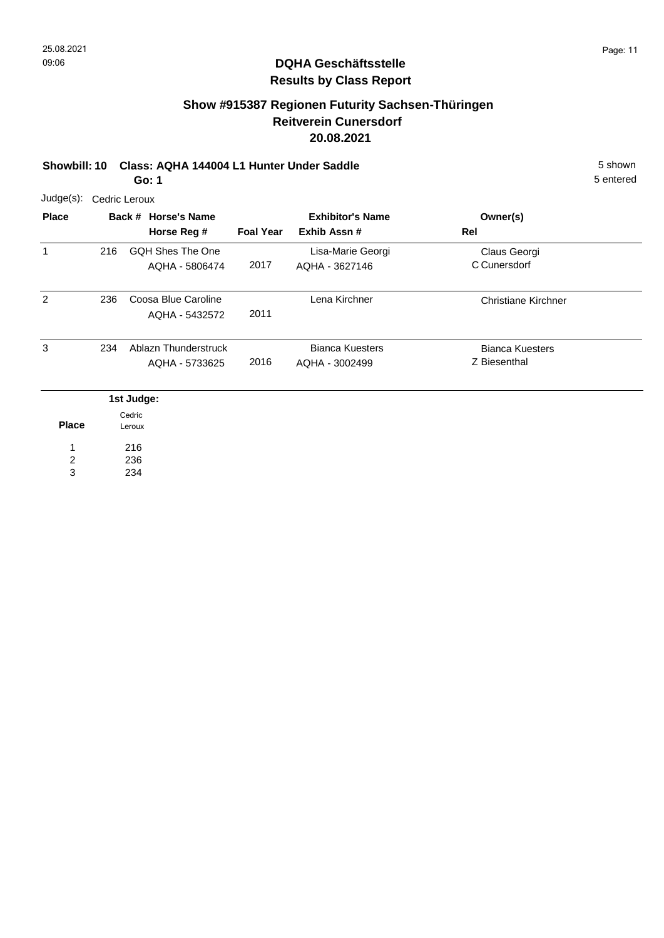### **Show #915387 Regionen Futurity Sachsen-Thüringen Reitverein Cunersdorf 20.08.2021**

**Showbill: 10 Class: AQHA 144004 L1 Hunter Under Saddle** 5 shown **Go: 1**

| $Judge(s)$ : | Cedric Leroux |                                        |                  |                                          |                                        |  |  |  |  |  |
|--------------|---------------|----------------------------------------|------------------|------------------------------------------|----------------------------------------|--|--|--|--|--|
| <b>Place</b> |               | Back # Horse's Name<br>Horse Reg #     | <b>Foal Year</b> | <b>Exhibitor's Name</b><br>Exhib Assn#   | Owner(s)<br>Rel                        |  |  |  |  |  |
| 1            | 216           | GQH Shes The One<br>AQHA - 5806474     | 2017             | Lisa-Marie Georgi<br>AQHA - 3627146      | Claus Georgi<br>C Cunersdorf           |  |  |  |  |  |
| 2            | 236           | Coosa Blue Caroline<br>AQHA - 5432572  | 2011             | Lena Kirchner                            | <b>Christiane Kirchner</b>             |  |  |  |  |  |
| 3            | 234           | Ablazn Thunderstruck<br>AQHA - 5733625 | 2016             | <b>Bianca Kuesters</b><br>AQHA - 3002499 | <b>Bianca Kuesters</b><br>Z Biesenthal |  |  |  |  |  |
|              |               | 1st Judge:                             |                  |                                          |                                        |  |  |  |  |  |

|       | Cedric          |
|-------|-----------------|
| Place | Leroux          |
| 1     | 216             |
| 2     | 236             |
| ء     | 23<br>$\cdot$ 4 |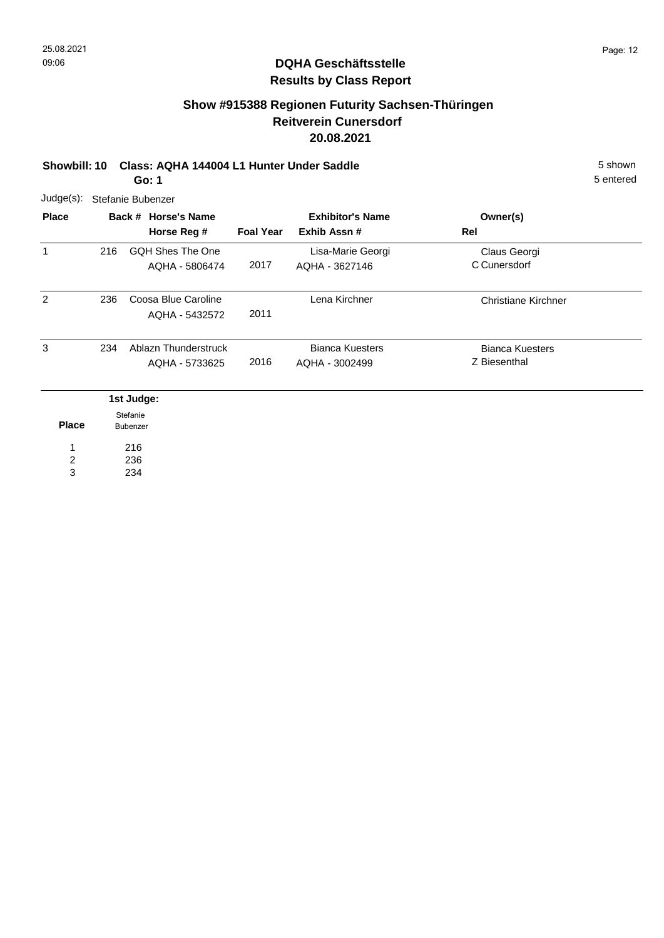### **Show #915388 Regionen Futurity Sachsen-Thüringen Reitverein Cunersdorf 20.08.2021**

**Showbill: 10 Class: AQHA 144004 L1 Hunter Under Saddle** 5 shown **Go: 1**

| $Judge(s)$ :  |     | Stefanie Bubenzer                      |                  |                                          |                                        |
|---------------|-----|----------------------------------------|------------------|------------------------------------------|----------------------------------------|
| <b>Place</b>  |     | Back # Horse's Name<br>Horse Reg #     | <b>Foal Year</b> | <b>Exhibitor's Name</b><br>Exhib Assn#   | Owner(s)<br>Rel                        |
| 1             | 216 | GQH Shes The One<br>AOHA - 5806474     | 2017             | Lisa-Marie Georgi<br>AQHA - 3627146      | Claus Georgi<br>C Cunersdorf           |
| $\mathcal{P}$ | 236 | Coosa Blue Caroline<br>AQHA - 5432572  | 2011             | Lena Kirchner                            | Christiane Kirchner                    |
| 3             | 234 | Ablazn Thunderstruck<br>AQHA - 5733625 | 2016             | <b>Bianca Kuesters</b><br>AQHA - 3002499 | <b>Bianca Kuesters</b><br>Z Biesenthal |
|               |     | 1st Judge:                             |                  |                                          |                                        |

| Place | Stefanie<br>Bubenzer |
|-------|----------------------|
| 1     | 216                  |
| 2     | 236                  |
| з     | 234                  |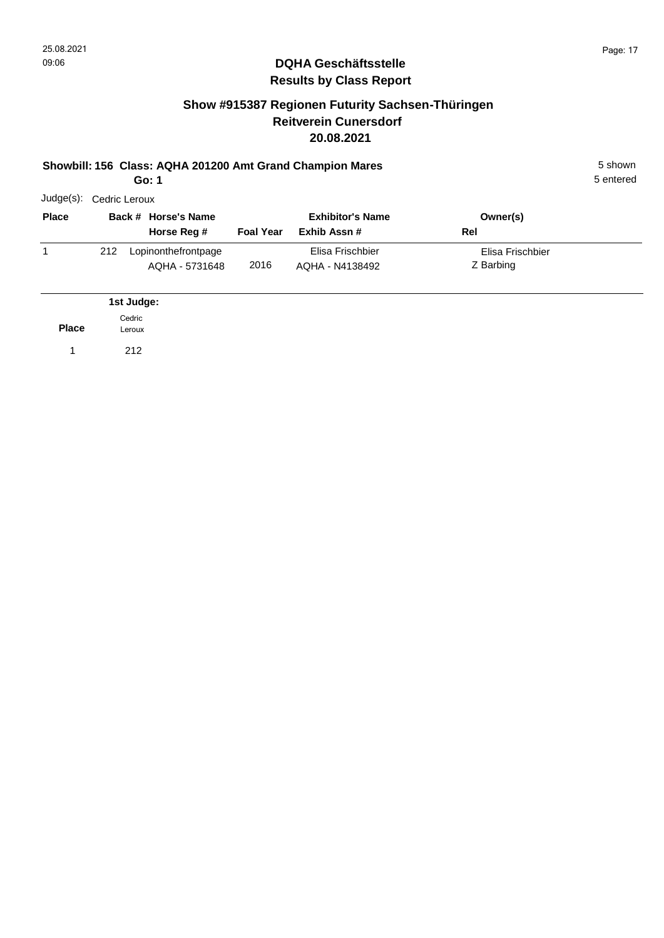#### **Show #915387 Regionen Futurity Sachsen-Thüringen Reitverein Cunersdorf 20.08.2021**

#### **Showbill: 156 Class: AQHA 201200 Amt Grand Champion Mares** 5 Shown 5 shown

**Go: 1**

1 212

| Judge(s):    | Cedric Leroux |                                       |                  |                                         |                               |  |
|--------------|---------------|---------------------------------------|------------------|-----------------------------------------|-------------------------------|--|
| <b>Place</b> |               | Back # Horse's Name<br>Horse Reg #    | <b>Foal Year</b> | <b>Exhibitor's Name</b><br>Exhib Assn # | Owner(s)<br>Rel               |  |
|              | 212           | Lopinonthefrontpage<br>AQHA - 5731648 | 2016             | Elisa Frischbier<br>AQHA - N4138492     | Elisa Frischbier<br>Z Barbing |  |
|              |               | 1st Judge:                            |                  |                                         |                               |  |
| <b>Place</b> |               | Cedric<br>Leroux                      |                  |                                         |                               |  |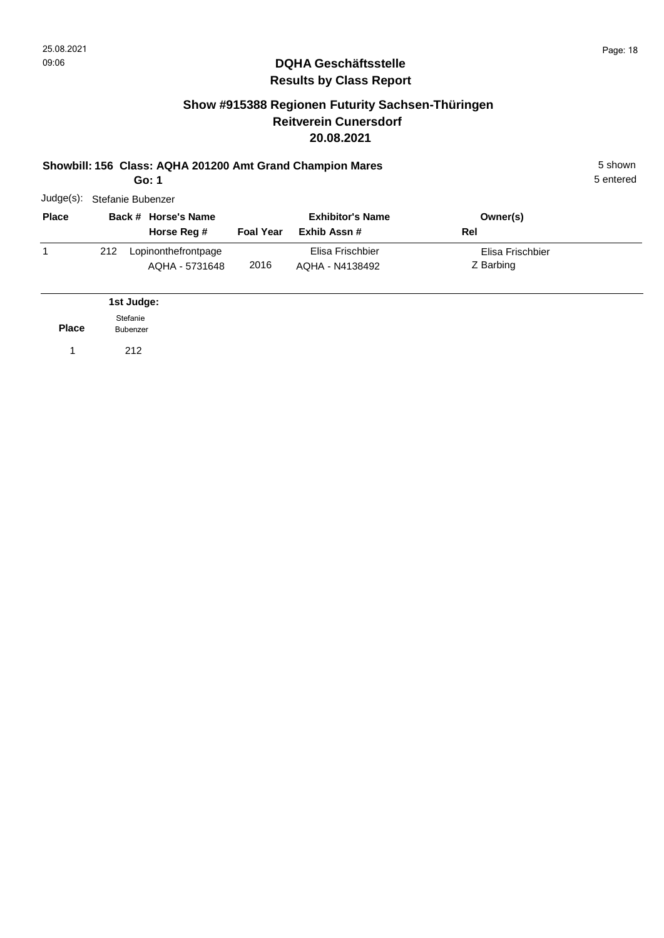**Place**

1 212

Stefanie Bubenzer

#### **DQHA Geschäftsstelle Results by Class Report**

#### **Show #915388 Regionen Futurity Sachsen-Thüringen Reitverein Cunersdorf 20.08.2021**

#### **Showbill: 156 Class: AQHA 201200 Amt Grand Champion Mares** 5 Shown 5 shown **Go: 1**

| Judge(s):    |     | Stefanie Bubenzer                     |                  |                                         |                               |  |
|--------------|-----|---------------------------------------|------------------|-----------------------------------------|-------------------------------|--|
| <b>Place</b> |     | Back # Horse's Name<br>Horse Reg #    | <b>Foal Year</b> | <b>Exhibitor's Name</b><br>Exhib Assn # | Owner(s)<br>Rel               |  |
|              | 212 | Lopinonthefrontpage<br>AOHA - 5731648 | 2016             | Elisa Frischbier<br>AQHA - N4138492     | Elisa Frischbier<br>Z Barbing |  |
|              |     | 1st Judge:                            |                  |                                         |                               |  |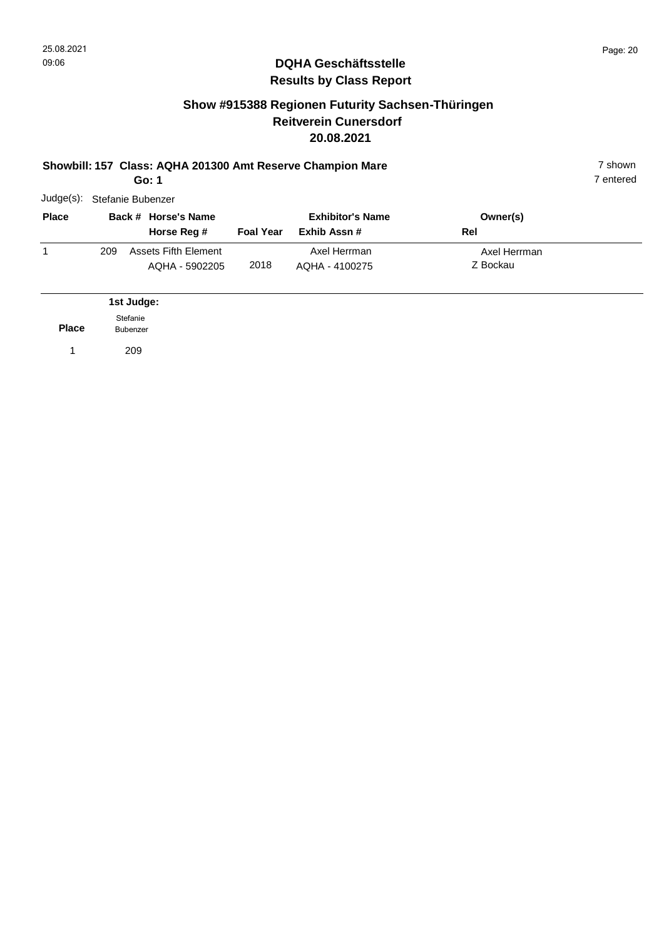#### **Show #915388 Regionen Futurity Sachsen-Thüringen Reitverein Cunersdorf 20.08.2021**

#### **Showbill: 157 Class: AQHA 201300 Amt Reserve Champion Mare** 7 shown **Go: 1**

7 entered

| Judge(s):    |     | Stefanie Bubenzer                      |                  |                                         |                          |  |
|--------------|-----|----------------------------------------|------------------|-----------------------------------------|--------------------------|--|
| <b>Place</b> |     | Back # Horse's Name<br>Horse Reg #     | <b>Foal Year</b> | <b>Exhibitor's Name</b><br>Exhib Assn # | Owner(s)<br>Rel          |  |
|              | 209 | Assets Fifth Element<br>AQHA - 5902205 | 2018             | Axel Herrman<br>AQHA - 4100275          | Axel Herrman<br>Z Bockau |  |
|              |     | 1st Judge:                             |                  |                                         |                          |  |

**Place** 1 209 Stefanie Bubenzer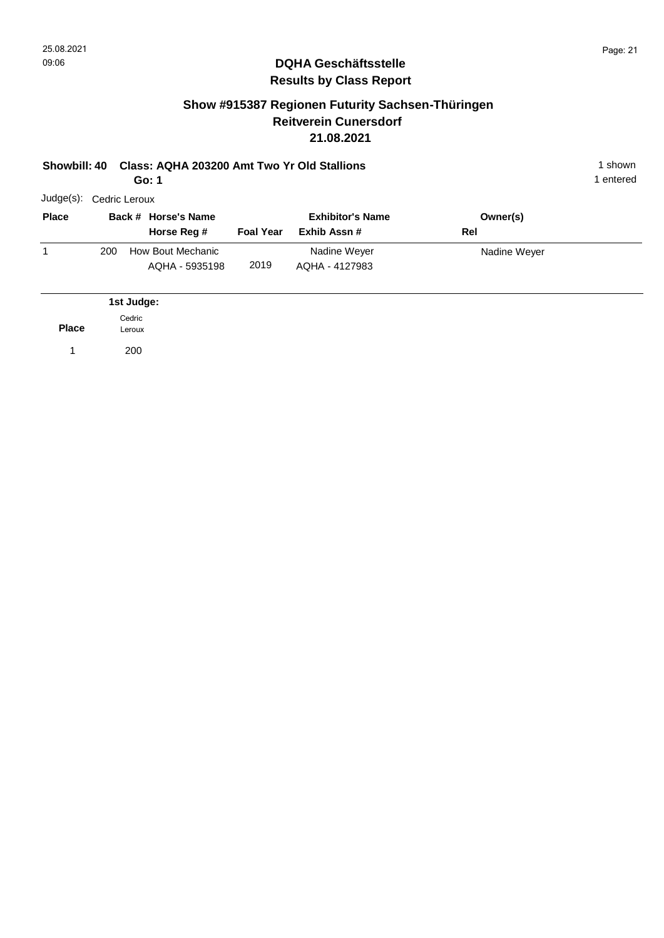#### **Show #915387 Regionen Futurity Sachsen-Thüringen Reitverein Cunersdorf 21.08.2021**

#### **Showbill: 40 Class: AQHA 203200 Amt Two Yr Old Stallions** 1 Shown 1 shown

| Go: 1                   |  |
|-------------------------|--|
| Judae(s): Codric Lorouv |  |

| <b>Place</b> |     | Back # Horse's Name<br>Horse Reg #  | <b>Foal Year</b> | <b>Exhibitor's Name</b><br>Exhib Assn # | Owner(s)<br>Rel |  |
|--------------|-----|-------------------------------------|------------------|-----------------------------------------|-----------------|--|
|              | 200 | How Bout Mechanic<br>AQHA - 5935198 | 2019             | Nadine Weyer<br>AQHA - 4127983          | Nadine Weyer    |  |

|              | 1st Judge:       |
|--------------|------------------|
| <b>Place</b> | Cedric<br>Leroux |
|              | 200              |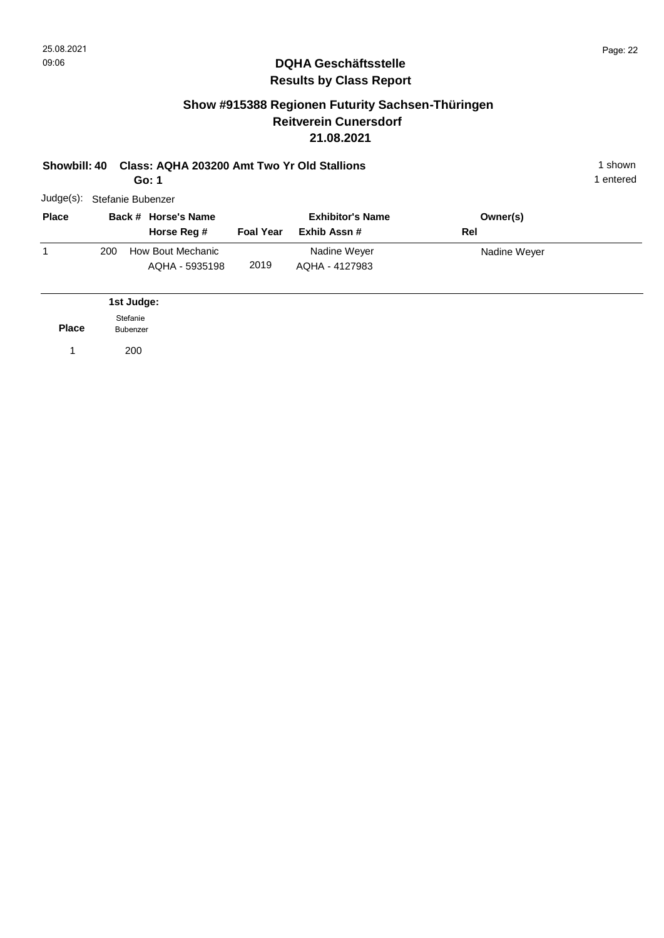#### **Show #915388 Regionen Futurity Sachsen-Thüringen Reitverein Cunersdorf 21.08.2021**

| Showbill: 40 |     |                             | Class: AQHA 203200 Amt Two Yr Old Stallions<br>Go: 1 |                  |                                         |                 | 1 shown<br>1 entered |
|--------------|-----|-----------------------------|------------------------------------------------------|------------------|-----------------------------------------|-----------------|----------------------|
| $Judge(s)$ : |     |                             | Stefanie Bubenzer                                    |                  |                                         |                 |                      |
| <b>Place</b> |     |                             | Back # Horse's Name<br>Horse Reg #                   | <b>Foal Year</b> | <b>Exhibitor's Name</b><br>Exhib Assn # | Owner(s)<br>Rel |                      |
| 1            | 200 |                             | How Bout Mechanic<br>AQHA - 5935198                  | 2019             | Nadine Weyer<br>AQHA - 4127983          | Nadine Weyer    |                      |
|              |     | 1st Judge:                  |                                                      |                  |                                         |                 |                      |
| <b>Place</b> |     | Stefanie<br><b>Bubenzer</b> |                                                      |                  |                                         |                 |                      |
| 1            |     | 200                         |                                                      |                  |                                         |                 |                      |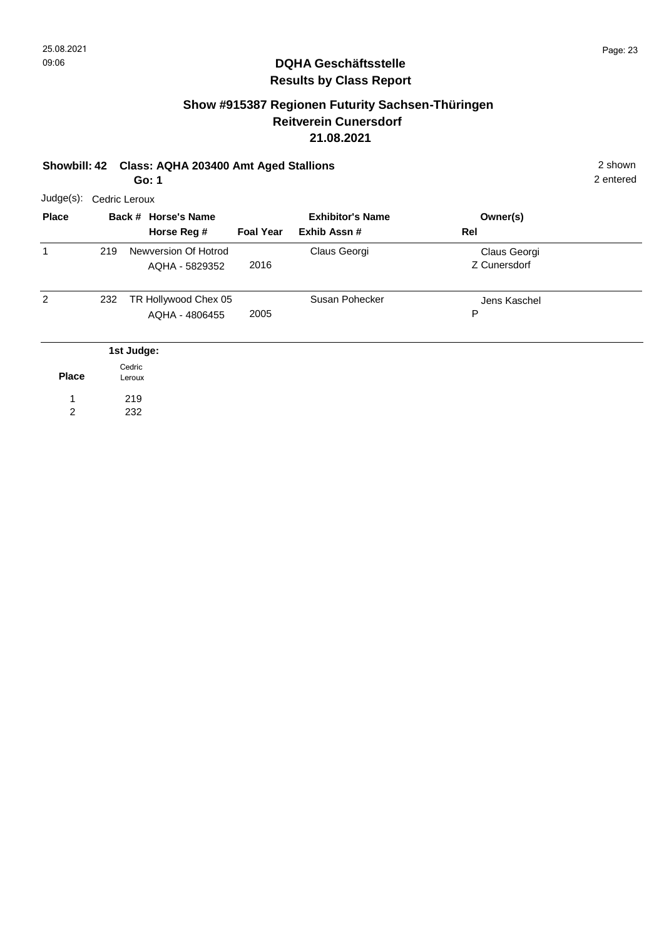# **Show #915387 Regionen Futurity Sachsen-Thüringen Reitverein Cunersdorf 21.08.2021**

#### **Showbill: 42 Class: AQHA 203400 Amt Aged Stallions** 2 shown

2 entered

**Go: 1**

| Judge(s):      | Cedric Leroux |                  |                                        |                  |                                         |                              |  |
|----------------|---------------|------------------|----------------------------------------|------------------|-----------------------------------------|------------------------------|--|
| <b>Place</b>   |               |                  | Back # Horse's Name<br>Horse Reg #     | <b>Foal Year</b> | <b>Exhibitor's Name</b><br>Exhib Assn # | Owner(s)<br>Rel              |  |
| 1              | 219           |                  | Newversion Of Hotrod<br>AQHA - 5829352 | 2016             | Claus Georgi                            | Claus Georgi<br>Z Cunersdorf |  |
| $\overline{2}$ | 232           |                  | TR Hollywood Chex 05<br>AQHA - 4806455 | 2005             | Susan Pohecker                          | Jens Kaschel<br>P            |  |
|                |               | 1st Judge:       |                                        |                  |                                         |                              |  |
| <b>Place</b>   |               | Cedric<br>Leroux |                                        |                  |                                         |                              |  |
|                |               | 219              |                                        |                  |                                         |                              |  |
| 2              |               | 232              |                                        |                  |                                         |                              |  |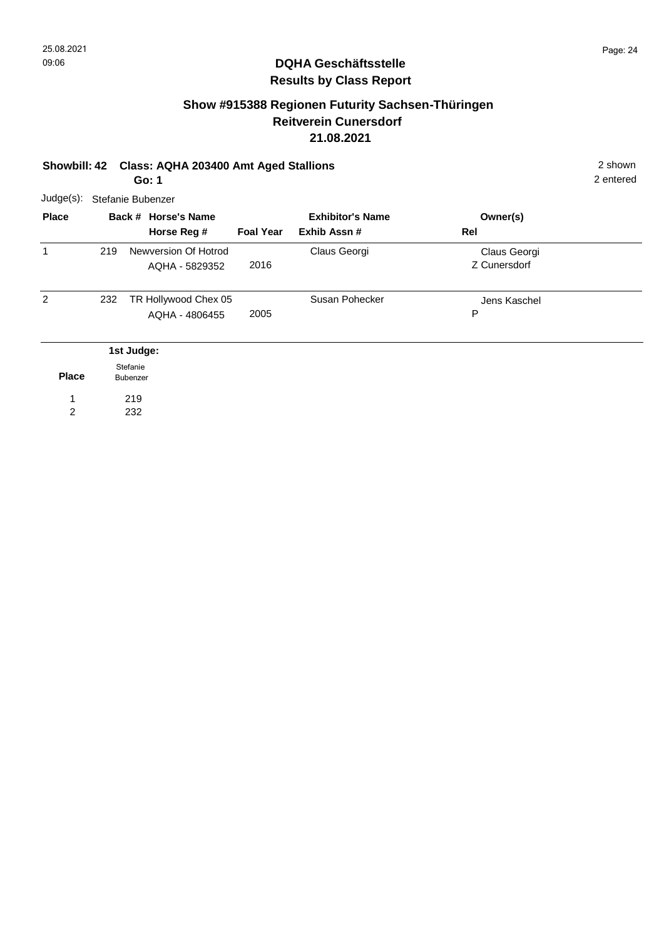# **Show #915388 Regionen Futurity Sachsen-Thüringen Reitverein Cunersdorf 21.08.2021**

#### **Showbill: 42 Class: AQHA 203400 Amt Aged Stallions** 2 shown **Go: 1**

2 entered

| <b>Place</b> |     | Back # Horse's Name<br>Horse Reg #     | <b>Foal Year</b> | <b>Exhibitor's Name</b><br>Exhib Assn# | Owner(s)<br>Rel              |  |
|--------------|-----|----------------------------------------|------------------|----------------------------------------|------------------------------|--|
| $\mathbf 1$  | 219 | Newversion Of Hotrod<br>AQHA - 5829352 | 2016             | Claus Georgi                           | Claus Georgi<br>Z Cunersdorf |  |
| 2            | 232 | TR Hollywood Chex 05<br>AQHA - 4806455 | 2005             | Susan Pohecker                         | Jens Kaschel<br>P            |  |
|              |     | 1st Judge:<br>Stefanie                 |                  |                                        |                              |  |

**Place** 219 232 1 2 Bubenzer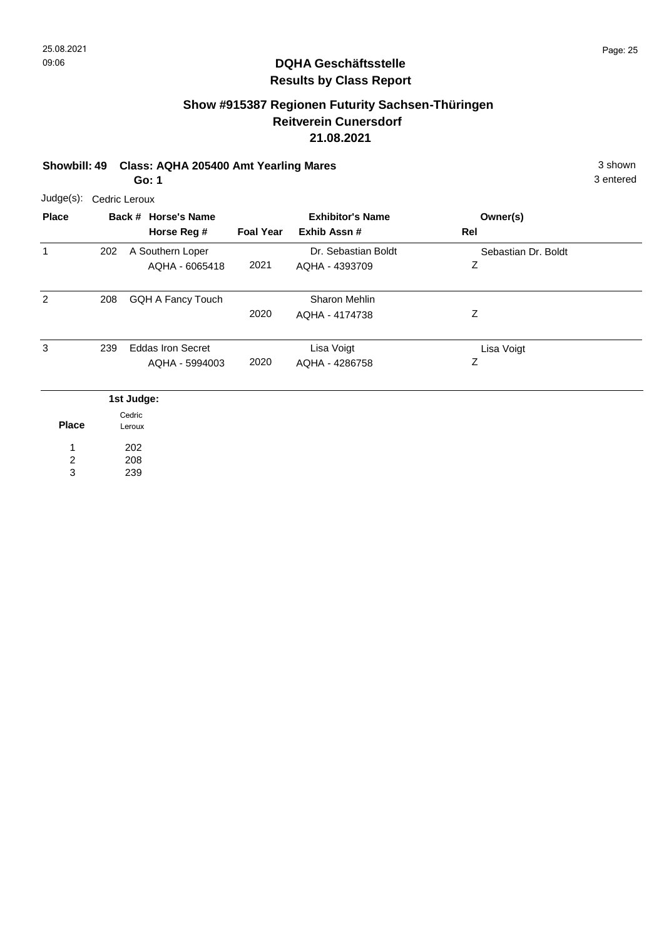# **Show #915387 Regionen Futurity Sachsen-Thüringen Reitverein Cunersdorf 21.08.2021**

#### **Showbill: 49 Class: AQHA 205400 Amt Yearling Mares** 3 shown 3 shown

**Go: 1**

3 entered

| <b>Place</b> |     | Back # Horse's Name<br>Horse Reg #         | <b>Foal Year</b> | <b>Exhibitor's Name</b><br>Exhib Assn# | Owner(s)<br>Rel          |
|--------------|-----|--------------------------------------------|------------------|----------------------------------------|--------------------------|
| 1            | 202 | A Southern Loper<br>AQHA - 6065418         | 2021             | Dr. Sebastian Boldt<br>AQHA - 4393709  | Sebastian Dr. Boldt<br>Ζ |
| 2            | 208 | GQH A Fancy Touch                          | 2020             | Sharon Mehlin<br>AQHA - 4174738        | Z                        |
| 3            | 239 | <b>Eddas Iron Secret</b><br>AQHA - 5994003 | 2020             | Lisa Voigt<br>AQHA - 4286758           | Lisa Voigt<br>Ζ          |
|              |     | 1st Judge:                                 |                  |                                        |                          |
| <b>Place</b> |     | Cedric<br>Leroux                           |                  |                                        |                          |

208 239 2 3

1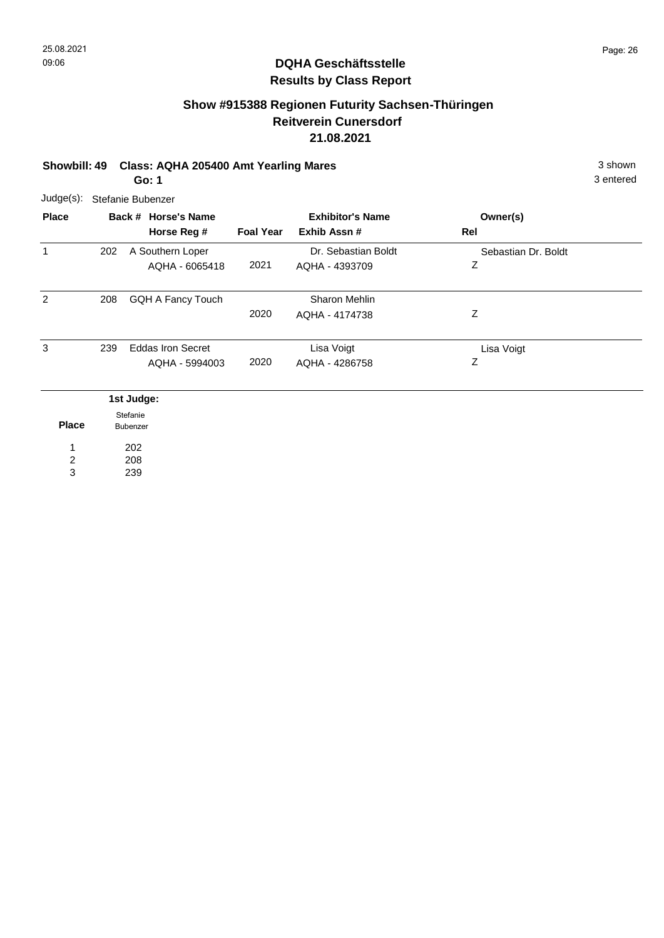# **Show #915388 Regionen Futurity Sachsen-Thüringen Reitverein Cunersdorf 21.08.2021**

# **Showbill: 49 Class: AQHA 205400 Amt Yearling Mares** 3 shown

3 entered

**Go: 1**

| $Judge(s)$ :   |     | Stefanie Bubenzer        |                  |                         |                     |  |
|----------------|-----|--------------------------|------------------|-------------------------|---------------------|--|
| <b>Place</b>   |     | Back # Horse's Name      |                  | <b>Exhibitor's Name</b> | Owner(s)            |  |
|                |     | Horse Reg #              | <b>Foal Year</b> | Exhib Assn #            | Rel                 |  |
| $\mathbf{1}$   | 202 | A Southern Loper         |                  | Dr. Sebastian Boldt     | Sebastian Dr. Boldt |  |
|                |     | AQHA - 6065418           | 2021             | AQHA - 4393709          | Ζ                   |  |
|                |     |                          |                  |                         |                     |  |
| 2              | 208 | GQH A Fancy Touch        |                  | Sharon Mehlin           |                     |  |
|                |     |                          | 2020             | AQHA - 4174738          | Ζ                   |  |
|                |     |                          |                  |                         |                     |  |
| 3              | 239 | <b>Eddas Iron Secret</b> |                  | Lisa Voigt              | Lisa Voigt          |  |
|                |     | AQHA - 5994003           | 2020             | AQHA - 4286758          | Ζ                   |  |
|                |     |                          |                  |                         |                     |  |
|                |     | 1st Judge:               |                  |                         |                     |  |
|                |     | Stefanie                 |                  |                         |                     |  |
| <b>Place</b>   |     | Bubenzer                 |                  |                         |                     |  |
| 1              |     | 202                      |                  |                         |                     |  |
| $\overline{2}$ |     | 208                      |                  |                         |                     |  |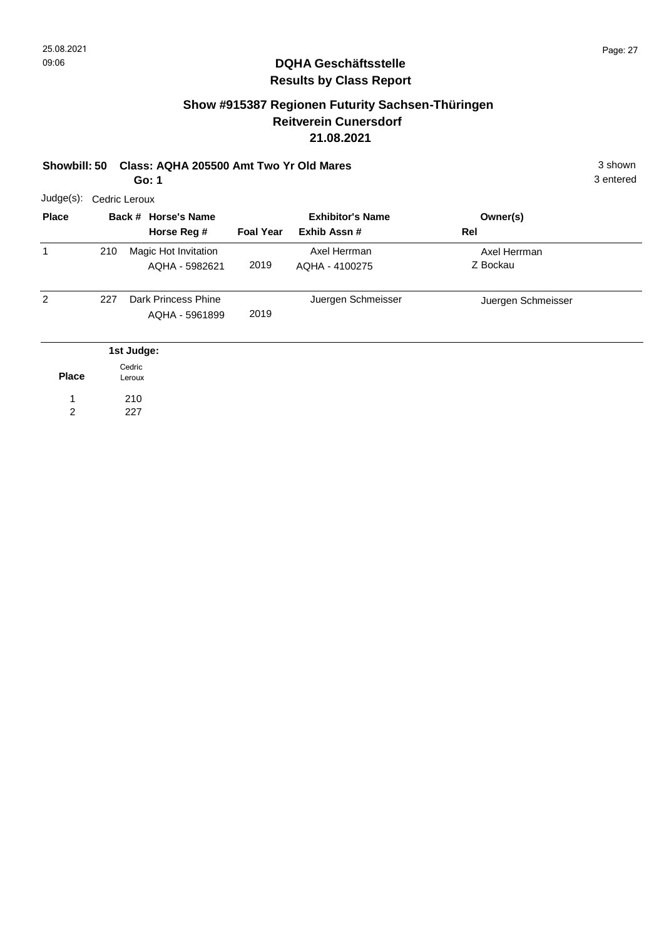# **Show #915387 Regionen Futurity Sachsen-Thüringen Reitverein Cunersdorf 21.08.2021**

# **Showbill: 50 Class: AQHA 205500 Amt Two Yr Old Mares** 3 Shown 3 shown

3 entered

**Go: 1**

| $Judge(s)$ :   |     | Cedric Leroux                                |                  |                                         |                          |  |
|----------------|-----|----------------------------------------------|------------------|-----------------------------------------|--------------------------|--|
| <b>Place</b>   |     | Back # Horse's Name<br>Horse Reg #           | <b>Foal Year</b> | <b>Exhibitor's Name</b><br>Exhib Assn # | Owner(s)<br>Rel          |  |
| 1              | 210 | Magic Hot Invitation<br>AQHA - 5982621       | 2019             | Axel Herrman<br>AQHA - 4100275          | Axel Herrman<br>Z Bockau |  |
| $\overline{2}$ | 227 | <b>Dark Princess Phine</b><br>AQHA - 5961899 | 2019             | Juergen Schmeisser                      | Juergen Schmeisser       |  |
|                |     | 1st Judge:                                   |                  |                                         |                          |  |
| <b>Place</b>   |     | Cedric<br>Leroux                             |                  |                                         |                          |  |
| 1              |     | 210                                          |                  |                                         |                          |  |
| 2              |     | 227                                          |                  |                                         |                          |  |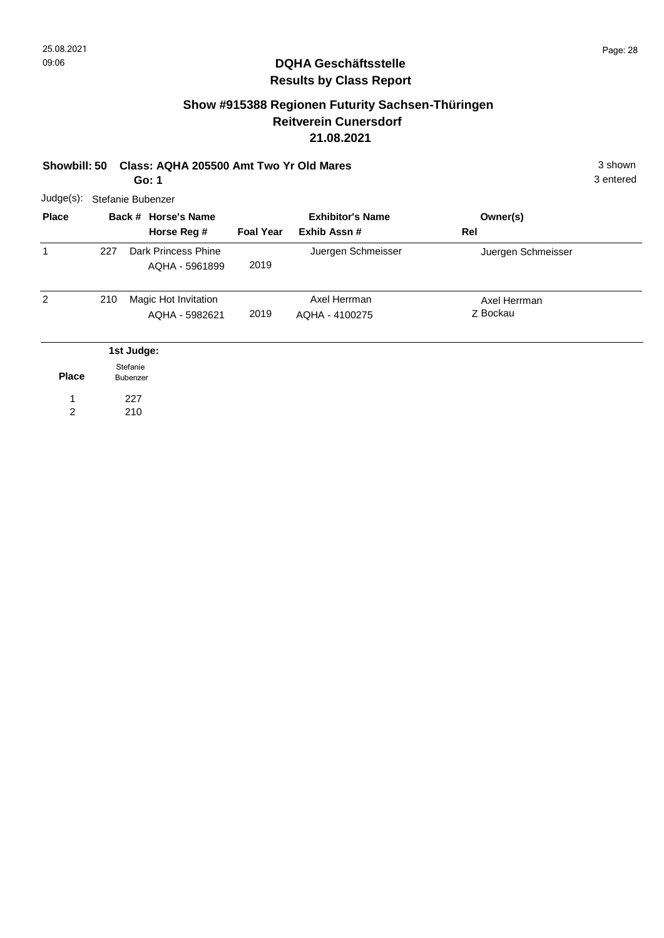# **Show #915388 Regionen Futurity Sachsen-Thüringen Reitverein Cunersdorf 21.08.2021**

| Showbill: 50<br>Go: 1                                       |                  | Class: AQHA 205500 Amt Two Yr Old Mares |                          |  |
|-------------------------------------------------------------|------------------|-----------------------------------------|--------------------------|--|
| $Judge(s)$ :<br>Stefanie Bubenzer                           |                  |                                         |                          |  |
| <b>Place</b><br>Back # Horse's Name<br>Horse Reg #          | <b>Foal Year</b> | <b>Exhibitor's Name</b><br>Exhib Assn # | Owner(s)<br>Rel          |  |
| $\mathbf 1$<br>227<br>Dark Princess Phine<br>AQHA - 5961899 | 2019             | Juergen Schmeisser                      | Juergen Schmeisser       |  |
| 2<br>210<br>Magic Hot Invitation<br>AQHA - 5982621          | 2019             | Axel Herrman<br>AQHA - 4100275          | Axel Herrman<br>Z Bockau |  |
| 1st Judge:                                                  |                  |                                         |                          |  |
| Stefanie<br><b>Place</b><br><b>Bubenzer</b>                 |                  |                                         |                          |  |
| 227<br>2<br>210                                             |                  |                                         |                          |  |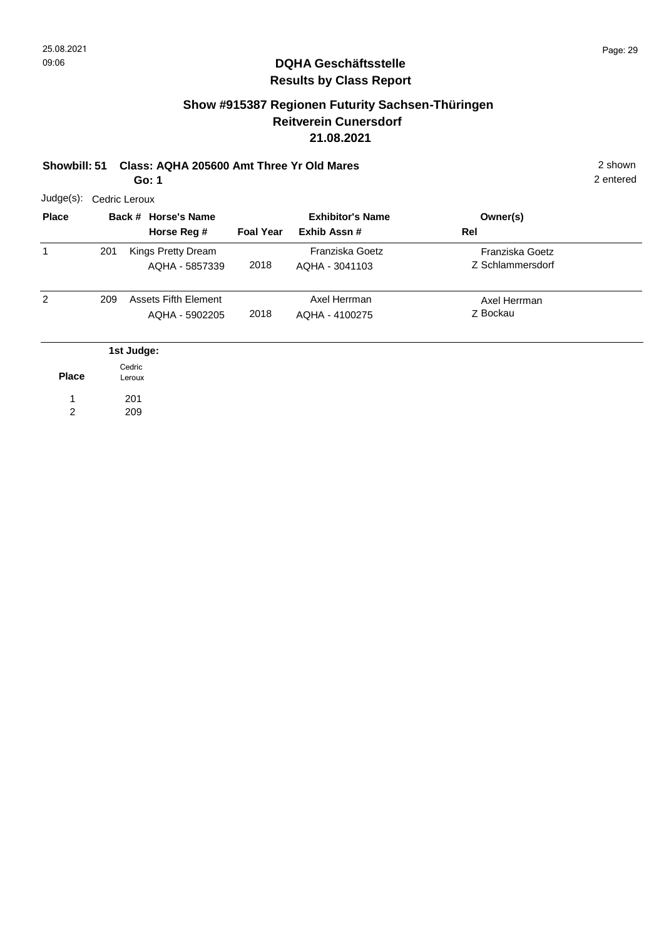#### **Show #915387 Regionen Futurity Sachsen-Thüringen Reitverein Cunersdorf 21.08.2021**

# **Showbill: 51 Class: AQHA 205600 Amt Three Yr Old Mares** 2 shown

| Go: 1 |
|-------|
|       |

| Judge(s):    | Cedric Leroux |                                               |                  |                                         |                                     |  |  |  |  |
|--------------|---------------|-----------------------------------------------|------------------|-----------------------------------------|-------------------------------------|--|--|--|--|
| <b>Place</b> |               | Back # Horse's Name<br>Horse Reg #            | <b>Foal Year</b> | <b>Exhibitor's Name</b><br>Exhib Assn # | Owner(s)<br>Rel                     |  |  |  |  |
| 1            | 201           | Kings Pretty Dream<br>AQHA - 5857339          | 2018             | Franziska Goetz<br>AQHA - 3041103       | Franziska Goetz<br>Z Schlammersdorf |  |  |  |  |
| 2            | 209           | <b>Assets Fifth Element</b><br>AQHA - 5902205 | 2018             | Axel Herrman<br>AQHA - 4100275          | Axel Herrman<br>Z Bockau            |  |  |  |  |
|              |               | 1st Judge:                                    |                  |                                         |                                     |  |  |  |  |
| <b>Place</b> |               | Cedric<br>Leroux                              |                  |                                         |                                     |  |  |  |  |
|              |               | 201                                           |                  |                                         |                                     |  |  |  |  |
| 2            |               | 209                                           |                  |                                         |                                     |  |  |  |  |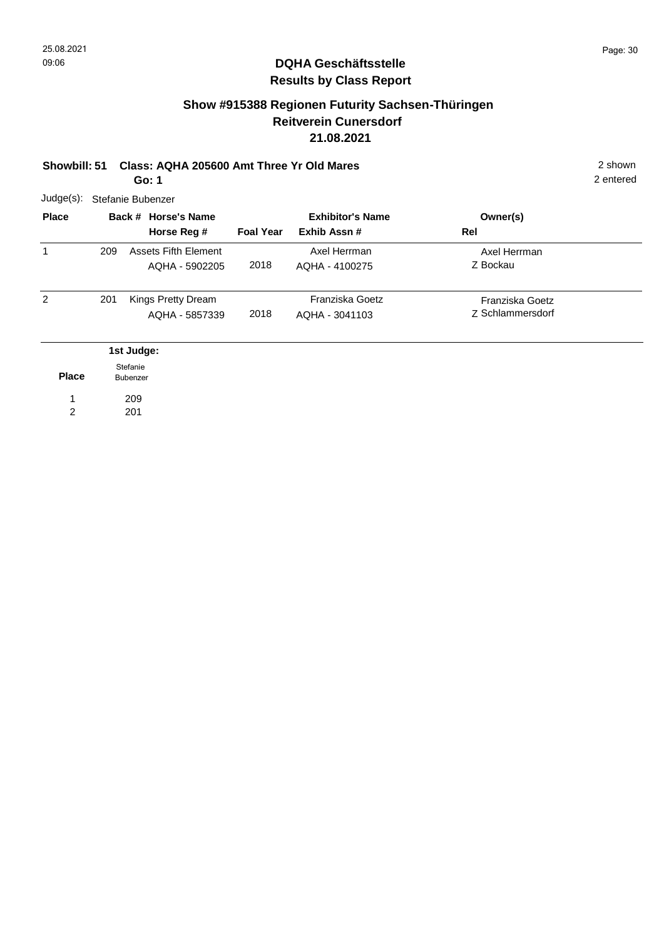### **Show #915388 Regionen Futurity Sachsen-Thüringen Reitverein Cunersdorf 21.08.2021**

#### **Showbill: 51 Class: AQHA 205600 Amt Three Yr Old Mares** 2 shown **Go: 1**

209 201

1 2

| $Judge(s)$ :<br><b>Place</b> |     | Stefanie Bubenzer<br>Back # Horse's Name<br>Horse Reg # | <b>Foal Year</b> | <b>Exhibitor's Name</b><br>Exhib Assn# | Owner(s)<br>Rel                     |  |
|------------------------------|-----|---------------------------------------------------------|------------------|----------------------------------------|-------------------------------------|--|
| 1                            | 209 | Assets Fifth Element<br>AQHA - 5902205                  | 2018             | Axel Herrman<br>AQHA - 4100275         | Axel Herrman<br>Z Bockau            |  |
| 2                            | 201 | Kings Pretty Dream<br>AQHA - 5857339                    | 2018             | Franziska Goetz<br>AQHA - 3041103      | Franziska Goetz<br>Z Schlammersdorf |  |
| <b>Place</b>                 |     | 1st Judge:<br>Stefanie<br><b>Bubenzer</b>               |                  |                                        |                                     |  |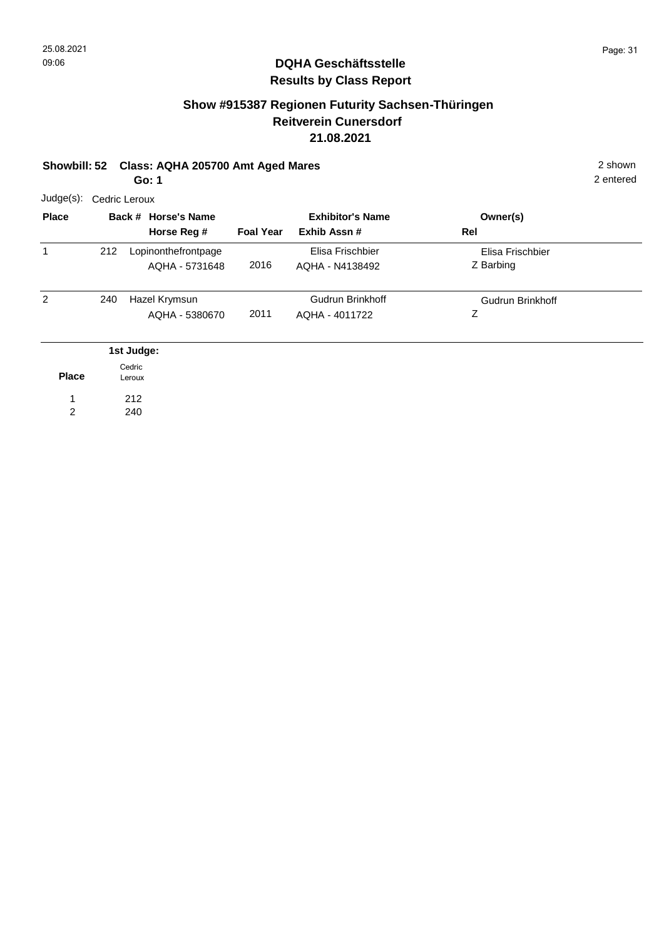# **Show #915387 Regionen Futurity Sachsen-Thüringen Reitverein Cunersdorf 21.08.2021**

# **Showbill: 52 Class: AQHA 205700 Amt Aged Mares** 2 shown

**Go: 1**

| Judge(s):      | Cedric Leroux |                                       |                  |                                         |                               |  |  |  |  |
|----------------|---------------|---------------------------------------|------------------|-----------------------------------------|-------------------------------|--|--|--|--|
| <b>Place</b>   |               | Back # Horse's Name<br>Horse Reg #    | <b>Foal Year</b> | <b>Exhibitor's Name</b><br>Exhib Assn # | Owner(s)<br>Rel               |  |  |  |  |
| 1              | 212           | Lopinonthefrontpage<br>AQHA - 5731648 | 2016             | Elisa Frischbier<br>AQHA - N4138492     | Elisa Frischbier<br>Z Barbing |  |  |  |  |
| $\overline{2}$ | 240           | Hazel Krymsun<br>AQHA - 5380670       | 2011             | Gudrun Brinkhoff<br>AQHA - 4011722      | <b>Gudrun Brinkhoff</b><br>Ζ  |  |  |  |  |
|                |               | 1st Judge:                            |                  |                                         |                               |  |  |  |  |
| <b>Place</b>   |               | Cedric<br>Leroux                      |                  |                                         |                               |  |  |  |  |
| 1              |               | 212                                   |                  |                                         |                               |  |  |  |  |
| 2              |               | 240                                   |                  |                                         |                               |  |  |  |  |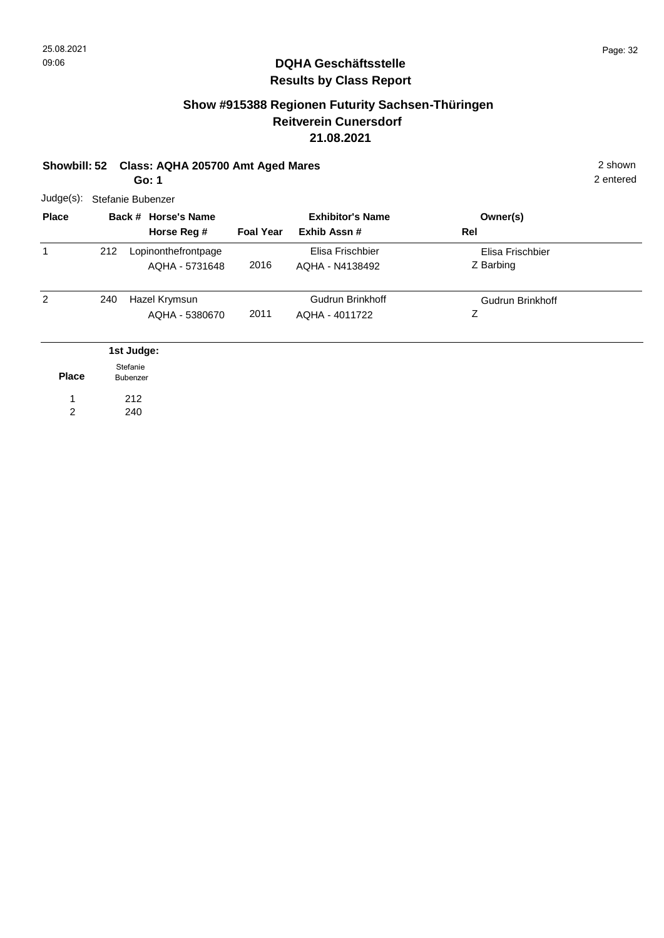# **Show #915388 Regionen Futurity Sachsen-Thüringen Reitverein Cunersdorf 21.08.2021**

#### **Showbill: 52 Class: AQHA 205700 Amt Aged Mares** 2 shown

2 entered

**Go: 1**

| $Judge(s)$ : | Stefanie Bubenzer |                                       |                  |                                        |                               |  |  |  |  |
|--------------|-------------------|---------------------------------------|------------------|----------------------------------------|-------------------------------|--|--|--|--|
| <b>Place</b> |                   | Back # Horse's Name<br>Horse Reg #    | <b>Foal Year</b> | <b>Exhibitor's Name</b><br>Exhib Assn# | Owner(s)<br>Rel               |  |  |  |  |
| 1            | 212               | Lopinonthefrontpage<br>AQHA - 5731648 | 2016             | Elisa Frischbier<br>AQHA - N4138492    | Elisa Frischbier<br>Z Barbing |  |  |  |  |
| 2            | 240               | Hazel Krymsun<br>AQHA - 5380670       | 2011             | Gudrun Brinkhoff<br>AQHA - 4011722     | <b>Gudrun Brinkhoff</b><br>Ζ  |  |  |  |  |
|              |                   | 1st Judge:                            |                  |                                        |                               |  |  |  |  |
| <b>Place</b> |                   | Stefanie<br>Bubenzer                  |                  |                                        |                               |  |  |  |  |
| 1            |                   | 212                                   |                  |                                        |                               |  |  |  |  |
| 2            |                   | 240                                   |                  |                                        |                               |  |  |  |  |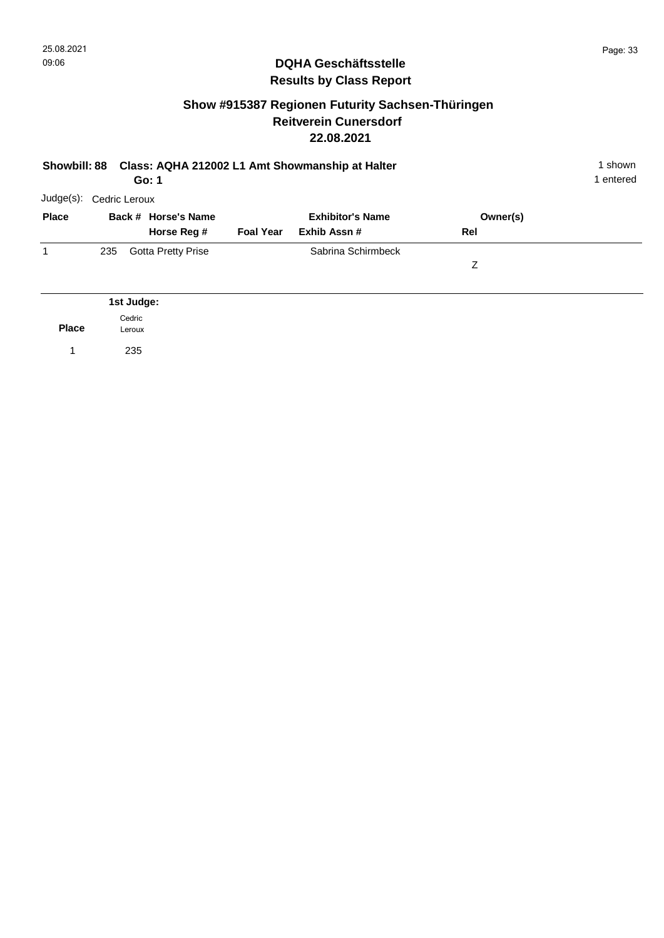### **Show #915387 Regionen Futurity Sachsen-Thüringen Reitverein Cunersdorf 22.08.2021**

| Class: AQHA 212002 L1 Amt Showmanship at Halter<br><b>Showbill: 88</b><br>Go: 1 |                  |                           |                  |                         |          |  |
|---------------------------------------------------------------------------------|------------------|---------------------------|------------------|-------------------------|----------|--|
| Judge(s):                                                                       | Cedric Leroux    |                           |                  |                         |          |  |
| <b>Place</b>                                                                    |                  | Back # Horse's Name       |                  | <b>Exhibitor's Name</b> | Owner(s) |  |
|                                                                                 |                  | Horse Reg #               | <b>Foal Year</b> | Exhib Assn#             | Rel      |  |
| 1                                                                               | 235              | <b>Gotta Pretty Prise</b> |                  | Sabrina Schirmbeck      |          |  |
|                                                                                 |                  |                           |                  |                         | Z        |  |
|                                                                                 |                  |                           |                  |                         |          |  |
|                                                                                 | 1st Judge:       |                           |                  |                         |          |  |
| <b>Place</b>                                                                    | Cedric<br>Leroux |                           |                  |                         |          |  |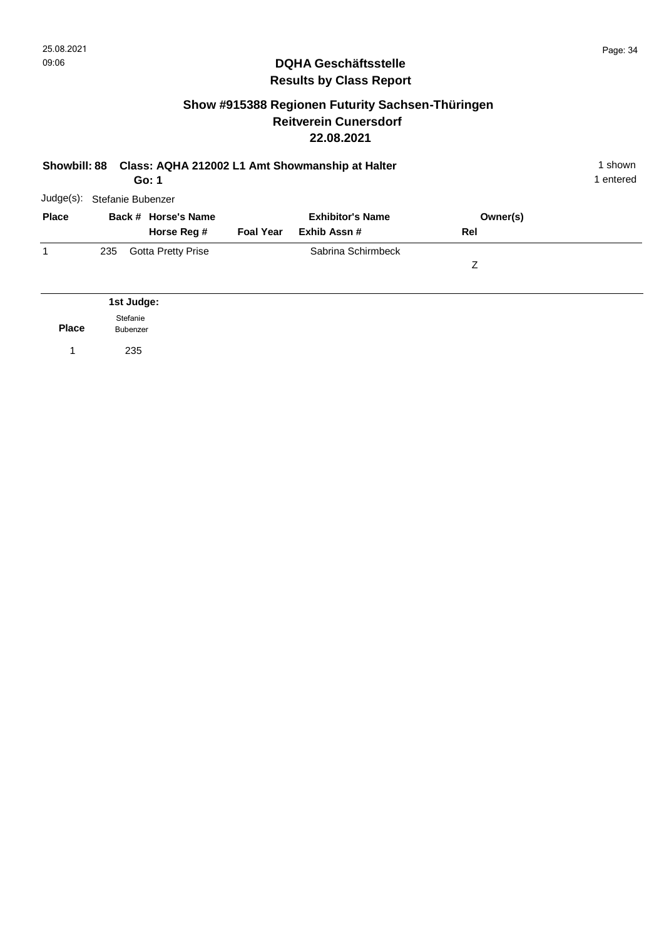### **Show #915388 Regionen Futurity Sachsen-Thüringen Reitverein Cunersdorf 22.08.2021**

| <b>Showbill: 88</b> |                   | Go: 1                     |                  | Class: AQHA 212002 L1 Amt Showmanship at Halter |          | 1 shown<br>1 entered |
|---------------------|-------------------|---------------------------|------------------|-------------------------------------------------|----------|----------------------|
| Judge(s):           | Stefanie Bubenzer |                           |                  |                                                 |          |                      |
| <b>Place</b>        |                   | Back # Horse's Name       |                  | <b>Exhibitor's Name</b>                         | Owner(s) |                      |
|                     |                   | Horse Reg #               | <b>Foal Year</b> | Exhib Assn#                                     | Rel      |                      |
| 1                   | 235               | <b>Gotta Pretty Prise</b> |                  | Sabrina Schirmbeck                              |          |                      |
|                     |                   |                           |                  |                                                 | Ζ        |                      |
|                     |                   |                           |                  |                                                 |          |                      |
|                     | 1st Judge:        |                           |                  |                                                 |          |                      |
|                     | Stefanie          |                           |                  |                                                 |          |                      |

**Place** Bubenzer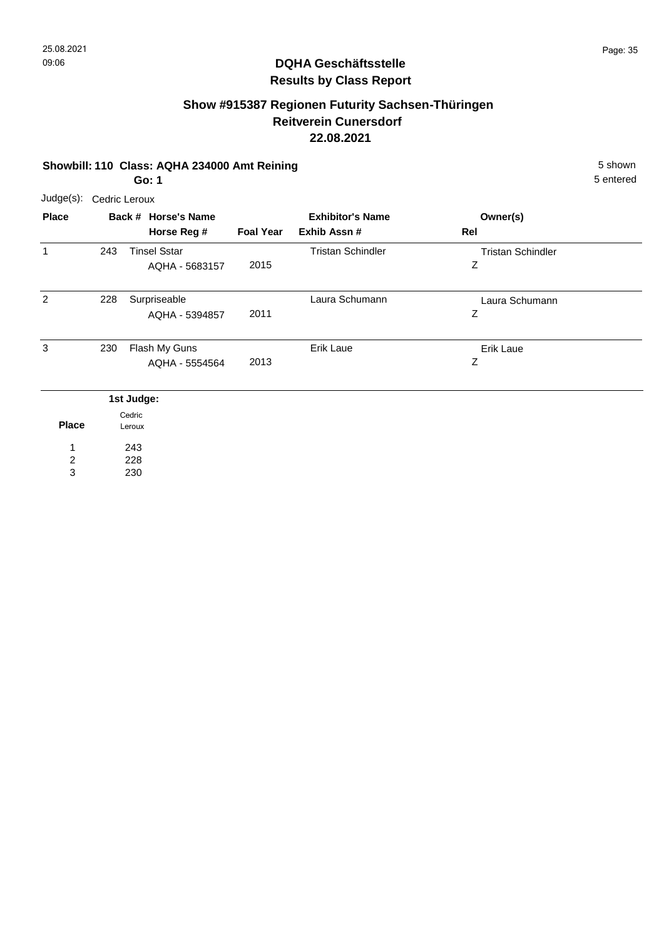# **Show #915387 Regionen Futurity Sachsen-Thüringen Reitverein Cunersdorf 22.08.2021**

#### **Showbill: 110 Class: AQHA 234000 Amt Reining 5 Shown 5 shown 5 shown**

5 entered

**Go: 1**

| Judge(s):      |     | Cedric Leroux                         |                  |                                         |                               |  |
|----------------|-----|---------------------------------------|------------------|-----------------------------------------|-------------------------------|--|
| <b>Place</b>   |     | Back # Horse's Name<br>Horse Reg #    | <b>Foal Year</b> | <b>Exhibitor's Name</b><br>Exhib Assn # | Owner(s)<br>Rel               |  |
| 1              | 243 | <b>Tinsel Sstar</b><br>AQHA - 5683157 | 2015             | <b>Tristan Schindler</b>                | <b>Tristan Schindler</b><br>Ζ |  |
| $\overline{2}$ | 228 | Surpriseable<br>AQHA - 5394857        | 2011             | Laura Schumann                          | Laura Schumann<br>Ζ           |  |
| 3              | 230 | Flash My Guns<br>AQHA - 5554564       | 2013             | Erik Laue                               | Erik Laue<br>Ζ                |  |
|                |     | 1st Judge:                            |                  |                                         |                               |  |
| <b>Place</b>   |     | Cedric<br>Leroux                      |                  |                                         |                               |  |

228 2

1

243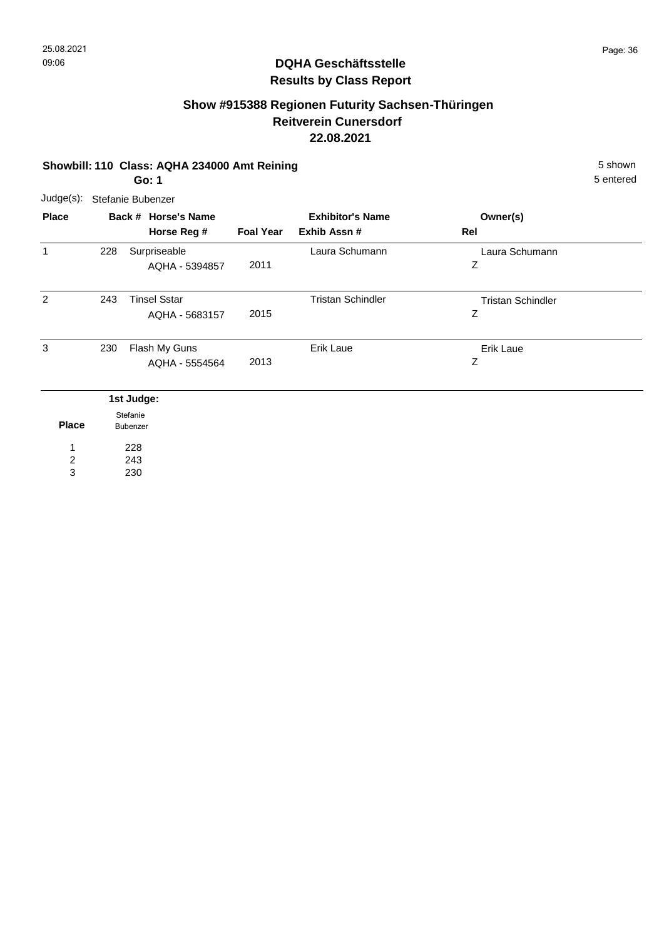# **Show #915388 Regionen Futurity Sachsen-Thüringen Reitverein Cunersdorf 22.08.2021**

#### **Showbill: 110 Class: AQHA 234000 Amt Reining 5 Shown 5 shown 5 shown Go: 1**

5 entered

| Judge(s): Stefanie Bubenzer |  |
|-----------------------------|--|
|                             |  |

| <b>Place</b> |     | Back # Horse's Name  |                  | <b>Exhibitor's Name</b>  | Owner(s)                 |  |
|--------------|-----|----------------------|------------------|--------------------------|--------------------------|--|
|              |     | Horse Reg #          | <b>Foal Year</b> | Exhib Assn #             | Rel                      |  |
| 1            | 228 | Surpriseable         |                  | Laura Schumann           | Laura Schumann           |  |
|              |     | AQHA - 5394857       | 2011             |                          | Ζ                        |  |
| 2            | 243 | <b>Tinsel Sstar</b>  |                  | <b>Tristan Schindler</b> | <b>Tristan Schindler</b> |  |
|              |     | AQHA - 5683157       | 2015             |                          | Ζ                        |  |
| 3            | 230 | Flash My Guns        |                  | Erik Laue                | Erik Laue                |  |
|              |     | AQHA - 5554564       | 2013             |                          | Ζ                        |  |
|              |     | 1st Judge:           |                  |                          |                          |  |
| <b>Place</b> |     | Stefanie<br>Bubenzer |                  |                          |                          |  |
| 1            |     | 228                  |                  |                          |                          |  |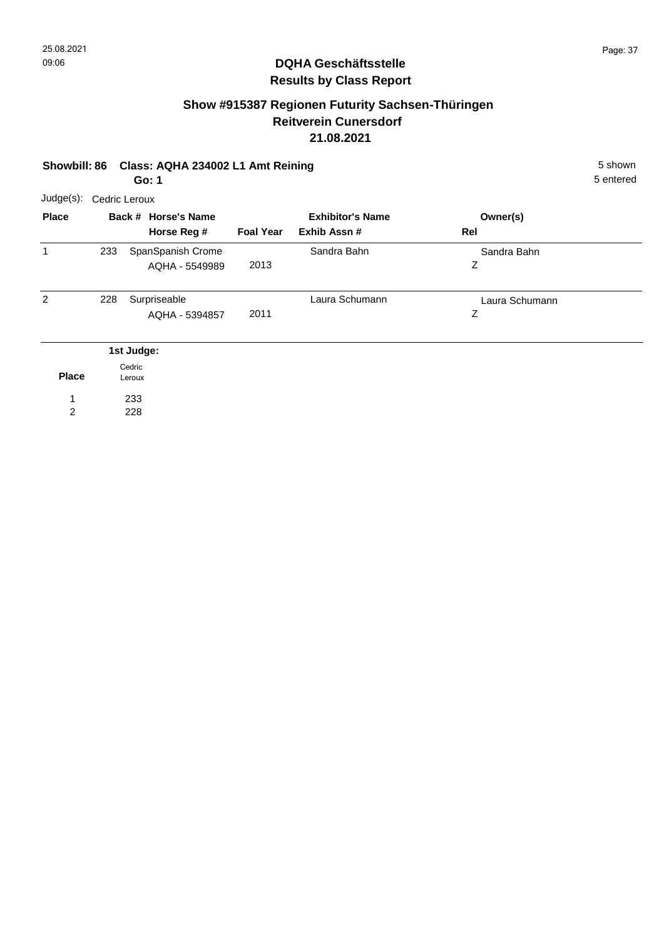# **Show #915387 Regionen Futurity Sachsen-Thüringen Reitverein Cunersdorf 21.08.2021**

#### **Showbill: 86 Class: AQHA 234002 L1 Amt Reining 5 Shown 5 shown 5 shown Go: 1**

| .                       |
|-------------------------|
| Judge(s): Cedric Leroux |

| <b>Place</b> |     | Back # Horse's Name<br>Horse Reg #  | <b>Foal Year</b> | <b>Exhibitor's Name</b><br>Exhib Assn # | Owner(s)<br>Rel     |  |
|--------------|-----|-------------------------------------|------------------|-----------------------------------------|---------------------|--|
| 1            | 233 | SpanSpanish Crome<br>AQHA - 5549989 | 2013             | Sandra Bahn                             | Sandra Bahn<br>Ζ    |  |
| 2            | 228 | Surpriseable<br>AQHA - 5394857      | 2011             | Laura Schumann                          | Laura Schumann<br>Ζ |  |
|              |     | 1st Judge:                          |                  |                                         |                     |  |
| <b>Place</b> |     | Cedric<br>Leroux                    |                  |                                         |                     |  |
| 1            |     | 233                                 |                  |                                         |                     |  |
| 2            |     | 228                                 |                  |                                         |                     |  |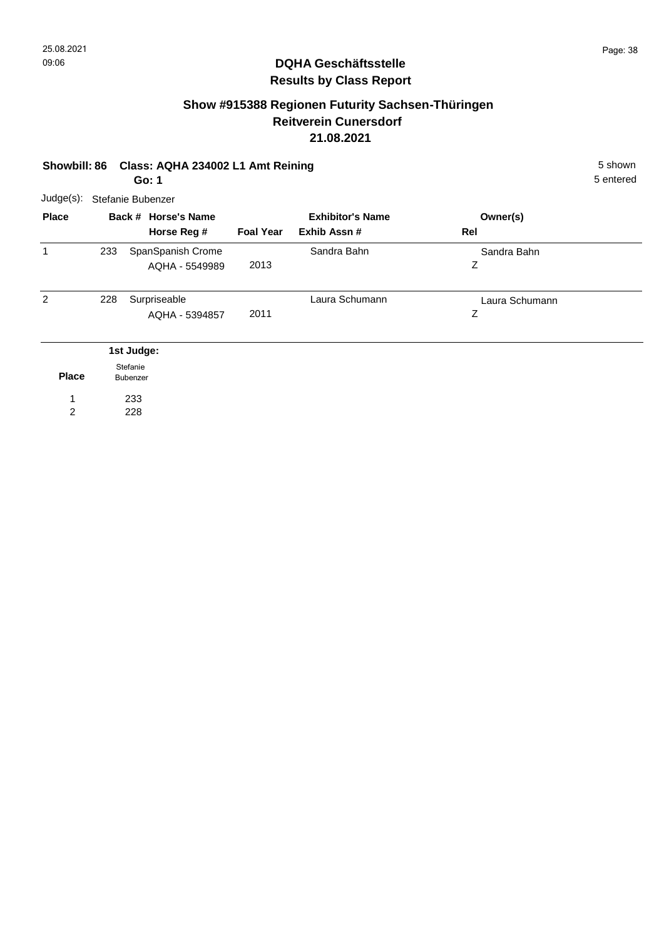#### **Show #915388 Regionen Futurity Sachsen-Thüringen Reitverein Cunersdorf 21.08.2021**

# **Showbill: 86 Class: AQHA 234002 L1 Amt Reining 5 Shown 5 Shown 5 shown Go: 1** Judge(s): Stefanie Bubenzer

**Back # Horse's Name Place Owner(s) Horse Reg # Exhib Assn # Foal Year Rel Exhibitor's Name** 1 Z Sandra Bahn 2013 233 SpanSpanish Crome **Canada Sandra Bahn** AQHA - 5549989  $\overline{2}$ Z Laura Schumann 2011 Surpriseable AQHA - 5394857 228 Surpriseable Laura Schumann **Place 1st Judge:**  233 1 Stefanie Bubenzer

228 2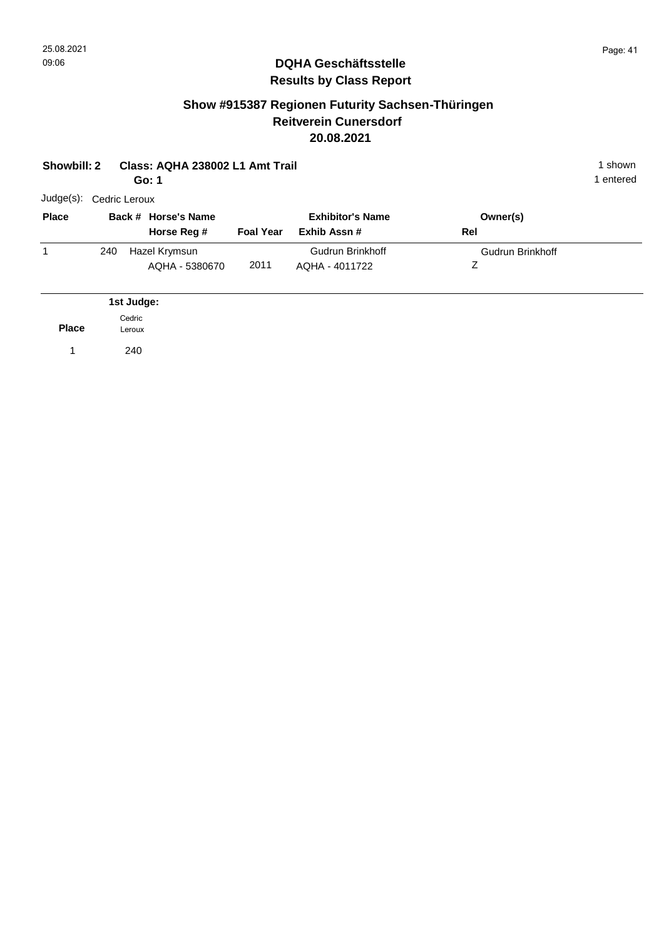### **Show #915387 Regionen Futurity Sachsen-Thüringen Reitverein Cunersdorf 20.08.2021**

|              | Showbill: 2<br>Class: AQHA 238002 L1 Amt Trail<br>Go: 1 |                  | 1 shown<br>1 entered               |                  |                                        |     |                              |  |
|--------------|---------------------------------------------------------|------------------|------------------------------------|------------------|----------------------------------------|-----|------------------------------|--|
| $Judge(s)$ : | Cedric Leroux                                           |                  |                                    |                  |                                        |     |                              |  |
| <b>Place</b> |                                                         |                  | Back # Horse's Name<br>Horse Reg # | <b>Foal Year</b> | <b>Exhibitor's Name</b><br>Exhib Assn# | Rel | Owner(s)                     |  |
| $\mathbf{1}$ | 240                                                     |                  | Hazel Krymsun<br>AQHA - 5380670    | 2011             | Gudrun Brinkhoff<br>AQHA - 4011722     |     | <b>Gudrun Brinkhoff</b><br>Ζ |  |
|              |                                                         | 1st Judge:       |                                    |                  |                                        |     |                              |  |
| <b>Place</b> |                                                         | Cedric<br>Leroux |                                    |                  |                                        |     |                              |  |
| 1            |                                                         | 240              |                                    |                  |                                        |     |                              |  |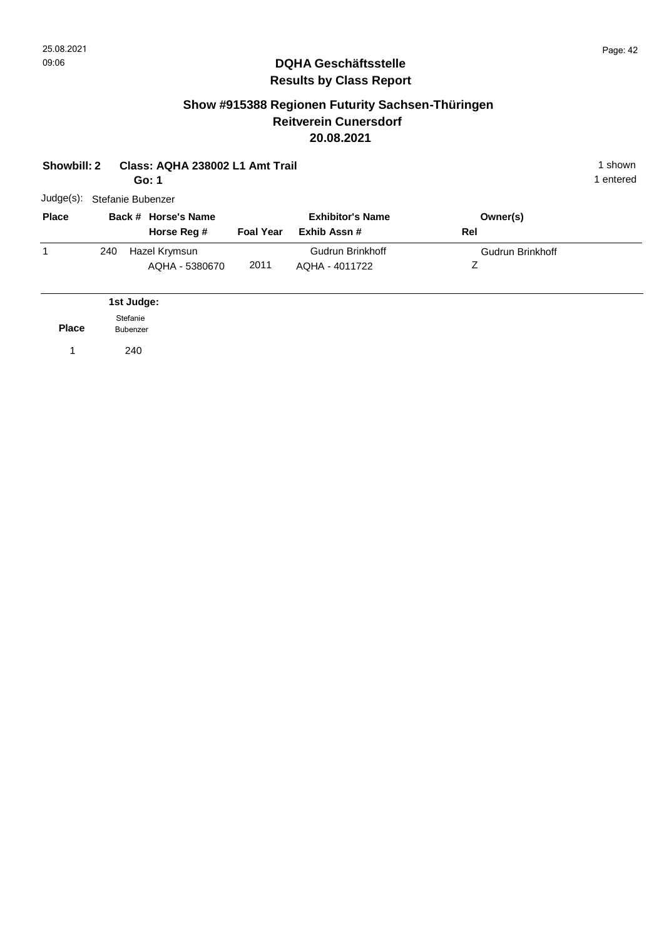#### **Show #915388 Regionen Futurity Sachsen-Thüringen Reitverein Cunersdorf 20.08.2021**

| Showbill: 2  |                   |                      | Class: AQHA 238002 L1 Amt Trail<br>Go: 1 |                  |                                         |                              | 1 shown<br>1 entered |
|--------------|-------------------|----------------------|------------------------------------------|------------------|-----------------------------------------|------------------------------|----------------------|
| Judge(s):    | Stefanie Bubenzer |                      |                                          |                  |                                         |                              |                      |
| <b>Place</b> |                   |                      | Back # Horse's Name<br>Horse Reg #       | <b>Foal Year</b> | <b>Exhibitor's Name</b><br>Exhib Assn # | Owner(s)<br>Rel              |                      |
| 1            | 240               |                      | Hazel Krymsun<br>AQHA - 5380670          | 2011             | Gudrun Brinkhoff<br>AQHA - 4011722      | <b>Gudrun Brinkhoff</b><br>Z |                      |
|              |                   | 1st Judge:           |                                          |                  |                                         |                              |                      |
| <b>Place</b> |                   | Stefanie<br>Bubenzer |                                          |                  |                                         |                              |                      |
| 1            |                   | 240                  |                                          |                  |                                         |                              |                      |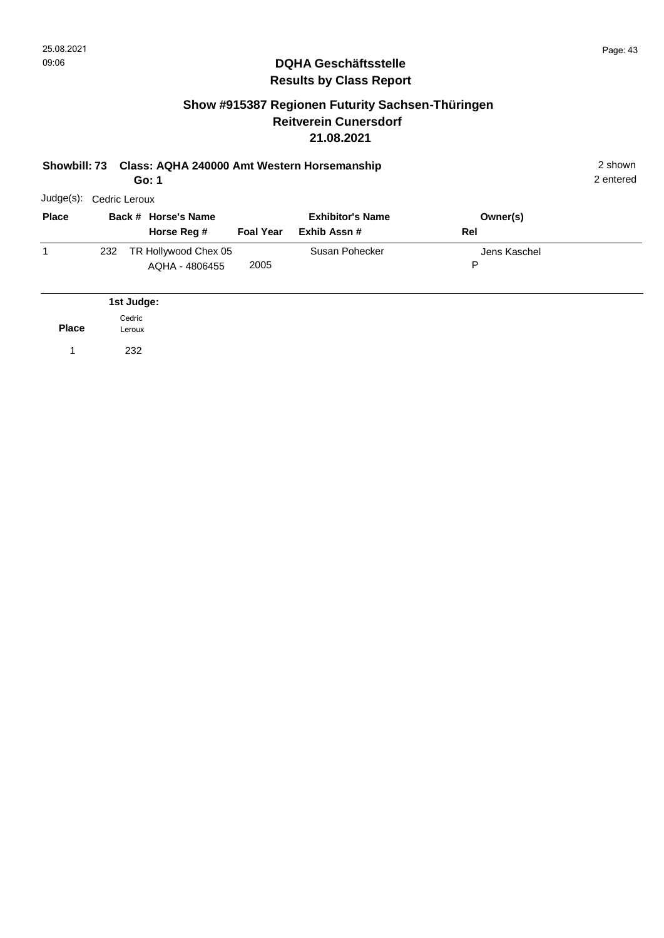2 entered

#### **DQHA Geschäftsstelle Results by Class Report**

#### **Show #915387 Regionen Futurity Sachsen-Thüringen Reitverein Cunersdorf 21.08.2021**

|              |             |                                                                 |                         |                                                          | 2 shown<br>2 entered |
|--------------|-------------|-----------------------------------------------------------------|-------------------------|----------------------------------------------------------|----------------------|
| $Judge(s)$ : |             |                                                                 |                         |                                                          |                      |
|              |             |                                                                 | <b>Exhibitor's Name</b> | Owner(s)                                                 |                      |
|              | Horse Reg # | <b>Foal Year</b>                                                | Exhib Assn #            | Rel                                                      |                      |
| 232          |             |                                                                 | Susan Pohecker          | Jens Kaschel                                             |                      |
|              |             | 2005                                                            |                         | P                                                        |                      |
|              |             | Go: 1<br>Cedric Leroux<br>Back # Horse's Name<br>AQHA - 4806455 | TR Hollywood Chex 05    | Showbill: 73 Class: AQHA 240000 Amt Western Horsemanship |                      |

|              | 1st Judge:       |
|--------------|------------------|
| <b>Place</b> | Cedric<br>Leroux |
|              | 232              |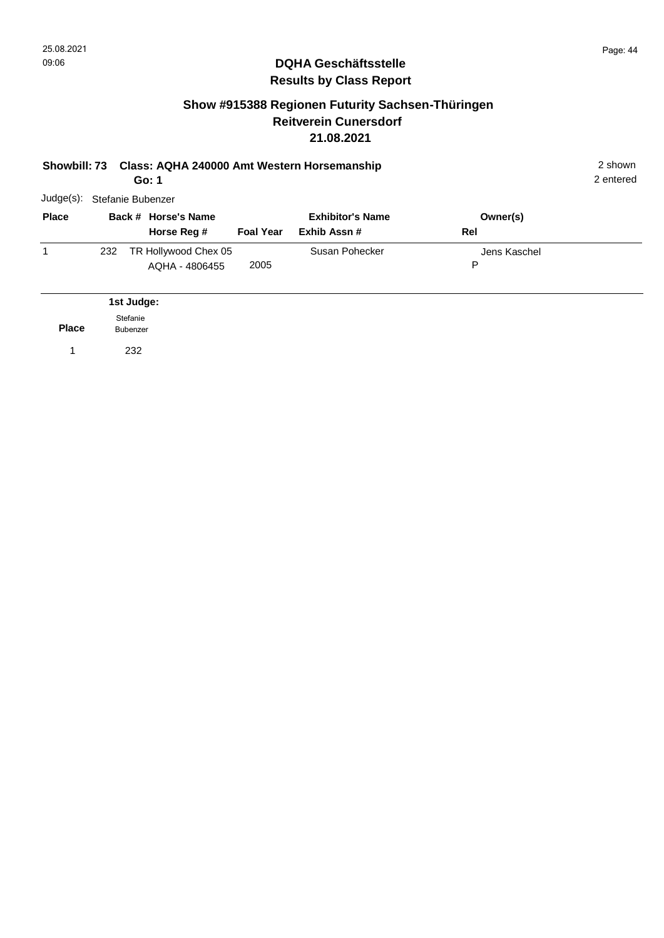## **Show #915388 Regionen Futurity Sachsen-Thüringen Reitverein Cunersdorf 21.08.2021**

| Class: AQHA 240000 Amt Western Horsemanship<br><b>Showbill: 73</b><br>Go: 1 |     |                             |                                        |                  |                                         |     |              |  |
|-----------------------------------------------------------------------------|-----|-----------------------------|----------------------------------------|------------------|-----------------------------------------|-----|--------------|--|
| $Judge(s)$ :                                                                |     |                             | Stefanie Bubenzer                      |                  |                                         |     |              |  |
| <b>Place</b>                                                                |     |                             | Back # Horse's Name<br>Horse Reg #     | <b>Foal Year</b> | <b>Exhibitor's Name</b><br>Exhib Assn # | Rel | Owner(s)     |  |
| 1                                                                           | 232 |                             | TR Hollywood Chex 05<br>AQHA - 4806455 | 2005             | Susan Pohecker                          | P   | Jens Kaschel |  |
|                                                                             |     | 1st Judge:                  |                                        |                  |                                         |     |              |  |
| <b>Place</b>                                                                |     | Stefanie<br><b>Bubenzer</b> |                                        |                  |                                         |     |              |  |
|                                                                             |     | 232                         |                                        |                  |                                         |     |              |  |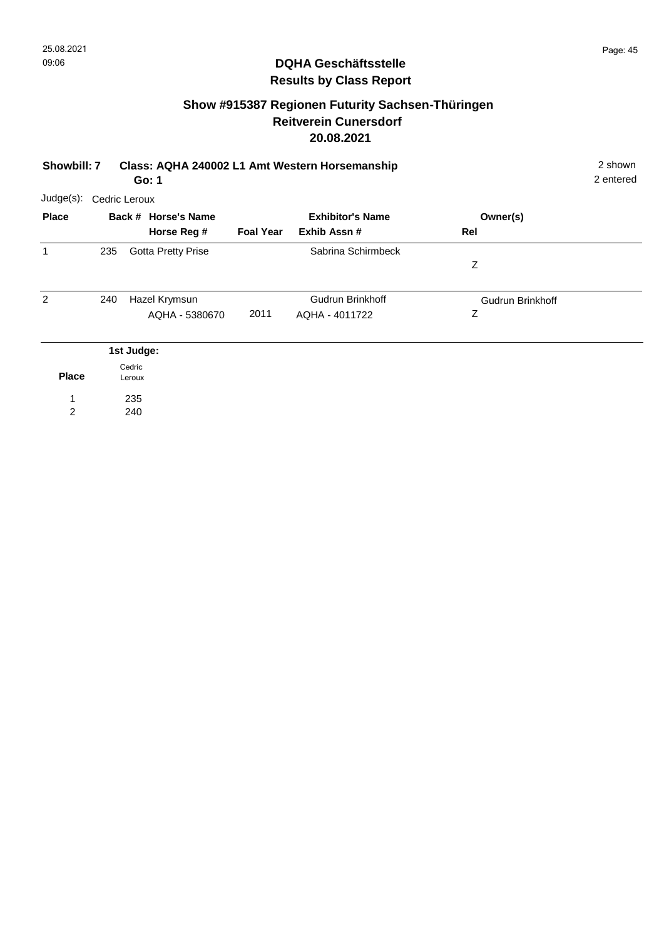## **Show #915387 Regionen Futurity Sachsen-Thüringen Reitverein Cunersdorf 20.08.2021**

| Showbill: 7         |               |                  | Class: AQHA 240002 L1 Amt Western Horsemanship<br>Go: 1 |                  | 2 shown<br>2 entered                   |                              |  |
|---------------------|---------------|------------------|---------------------------------------------------------|------------------|----------------------------------------|------------------------------|--|
| $Judge(s)$ :        | Cedric Leroux |                  |                                                         |                  |                                        |                              |  |
| <b>Place</b>        |               |                  | Back # Horse's Name<br>Horse Reg #                      | <b>Foal Year</b> | <b>Exhibitor's Name</b><br>Exhib Assn# | Owner(s)<br>Rel              |  |
| 1                   | 235           |                  | <b>Gotta Pretty Prise</b>                               |                  | Sabrina Schirmbeck                     | Z                            |  |
| $\overline{2}$      | 240           |                  | Hazel Krymsun<br>AQHA - 5380670                         | 2011             | Gudrun Brinkhoff<br>AQHA - 4011722     | <b>Gudrun Brinkhoff</b><br>Ζ |  |
|                     |               | 1st Judge:       |                                                         |                  |                                        |                              |  |
| <b>Place</b>        |               | Cedric<br>Leroux |                                                         |                  |                                        |                              |  |
| 1<br>$\overline{2}$ |               | 235<br>240       |                                                         |                  |                                        |                              |  |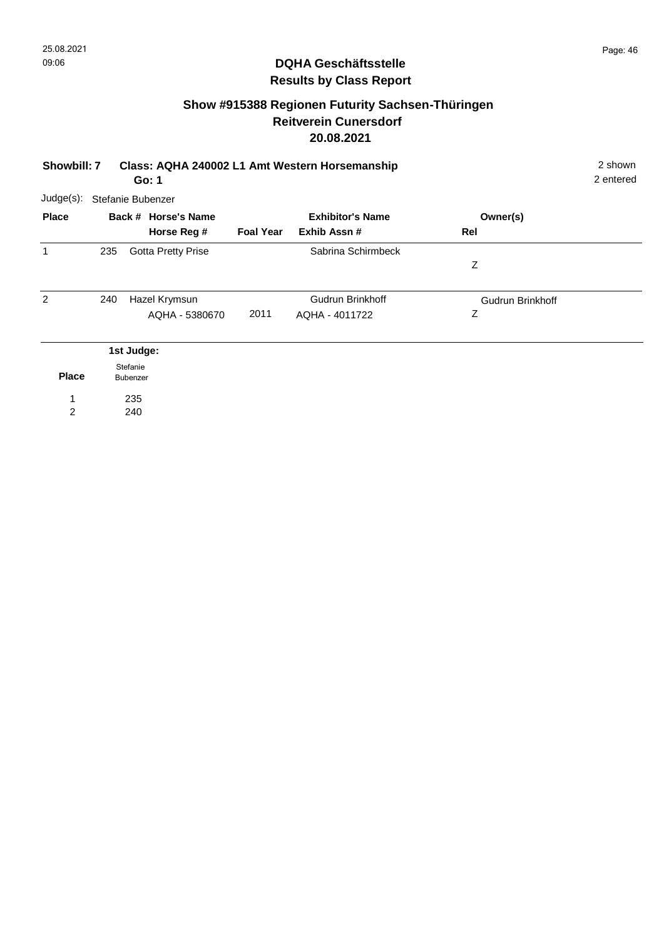## **Show #915388 Regionen Futurity Sachsen-Thüringen Reitverein Cunersdorf 20.08.2021**

| Showbill: 7<br>Go: 1 |     |                      |                                    | Class: AQHA 240002 L1 Amt Western Horsemanship |                                         |                       | 2 shown<br>2 entered |
|----------------------|-----|----------------------|------------------------------------|------------------------------------------------|-----------------------------------------|-----------------------|----------------------|
| Judge(s):            |     |                      | Stefanie Bubenzer                  |                                                |                                         |                       |                      |
| <b>Place</b>         |     |                      | Back # Horse's Name<br>Horse Reg # | <b>Foal Year</b>                               | <b>Exhibitor's Name</b><br>Exhib Assn # | Owner(s)<br>Rel       |                      |
| 1                    | 235 |                      | <b>Gotta Pretty Prise</b>          |                                                | Sabrina Schirmbeck                      | Z                     |                      |
| 2                    | 240 |                      | Hazel Krymsun<br>AQHA - 5380670    | 2011                                           | Gudrun Brinkhoff<br>AQHA - 4011722      | Gudrun Brinkhoff<br>Ζ |                      |
|                      |     | 1st Judge:           |                                    |                                                |                                         |                       |                      |
| <b>Place</b>         |     | Stefanie<br>Bubenzer |                                    |                                                |                                         |                       |                      |
| 2                    |     | 235<br>240           |                                    |                                                |                                         |                       |                      |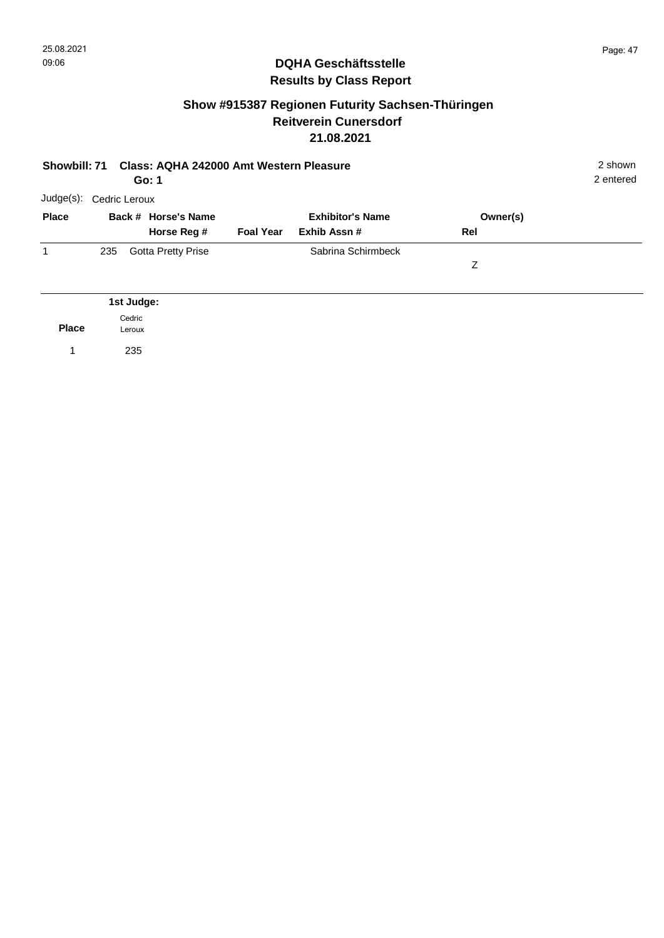## **Show #915387 Regionen Futurity Sachsen-Thüringen Reitverein Cunersdorf 21.08.2021**

| Class: AQHA 242000 Amt Western Pleasure<br><b>Showbill: 71</b><br>Go: 1 |                  |                                    |                  |                                        |                 | 2 shown<br>2 entered |
|-------------------------------------------------------------------------|------------------|------------------------------------|------------------|----------------------------------------|-----------------|----------------------|
| Judge(s):                                                               | Cedric Leroux    |                                    |                  |                                        |                 |                      |
| <b>Place</b>                                                            |                  | Back # Horse's Name<br>Horse Reg # | <b>Foal Year</b> | <b>Exhibitor's Name</b><br>Exhib Assn# | Owner(s)<br>Rel |                      |
| 1                                                                       | 235              | <b>Gotta Pretty Prise</b>          |                  | Sabrina Schirmbeck                     | Z               |                      |
|                                                                         | 1st Judge:       |                                    |                  |                                        |                 |                      |
| <b>Place</b>                                                            | Cedric<br>Leroux |                                    |                  |                                        |                 |                      |

1 235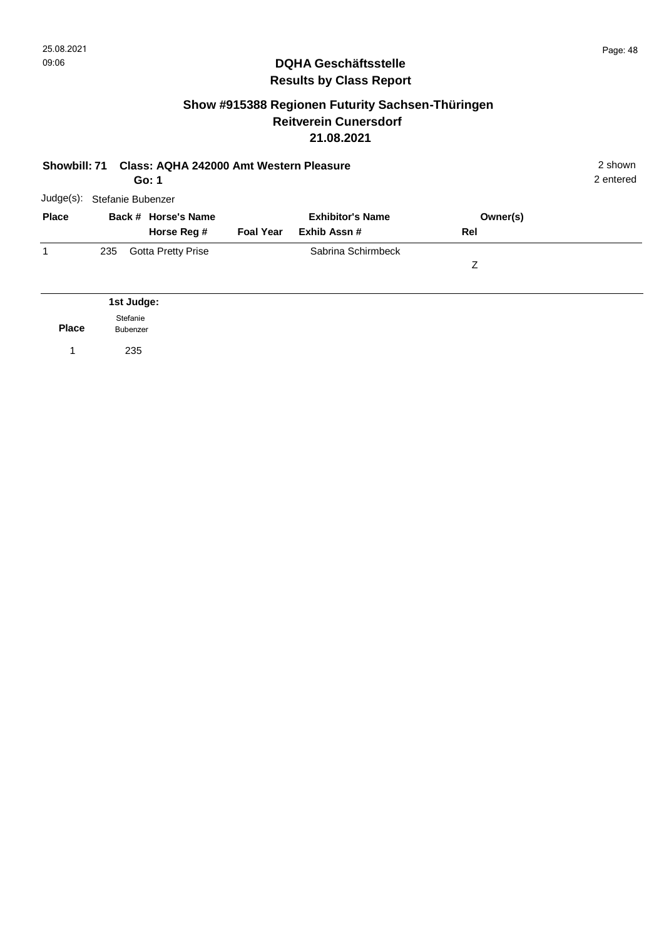## **Show #915388 Regionen Futurity Sachsen-Thüringen Reitverein Cunersdorf 21.08.2021**

| Class: AQHA 242000 Amt Western Pleasure<br><b>Showbill: 71</b><br>Go: 1 |                   |            |                           |                         |                    |          | 2 shown<br>2 entered |
|-------------------------------------------------------------------------|-------------------|------------|---------------------------|-------------------------|--------------------|----------|----------------------|
| Judge(s):                                                               | Stefanie Bubenzer |            |                           |                         |                    |          |                      |
| <b>Place</b>                                                            |                   |            | Back # Horse's Name       | <b>Exhibitor's Name</b> |                    | Owner(s) |                      |
|                                                                         |                   |            | Horse Reg #               | <b>Foal Year</b>        | Exhib Assn #       | Rel      |                      |
| 1                                                                       | 235               |            | <b>Gotta Pretty Prise</b> |                         | Sabrina Schirmbeck |          |                      |
|                                                                         |                   |            |                           |                         |                    | Ζ        |                      |
|                                                                         |                   |            |                           |                         |                    |          |                      |
|                                                                         |                   | 1st Judge: |                           |                         |                    |          |                      |

**Place** Stefanie Bubenzer

1 235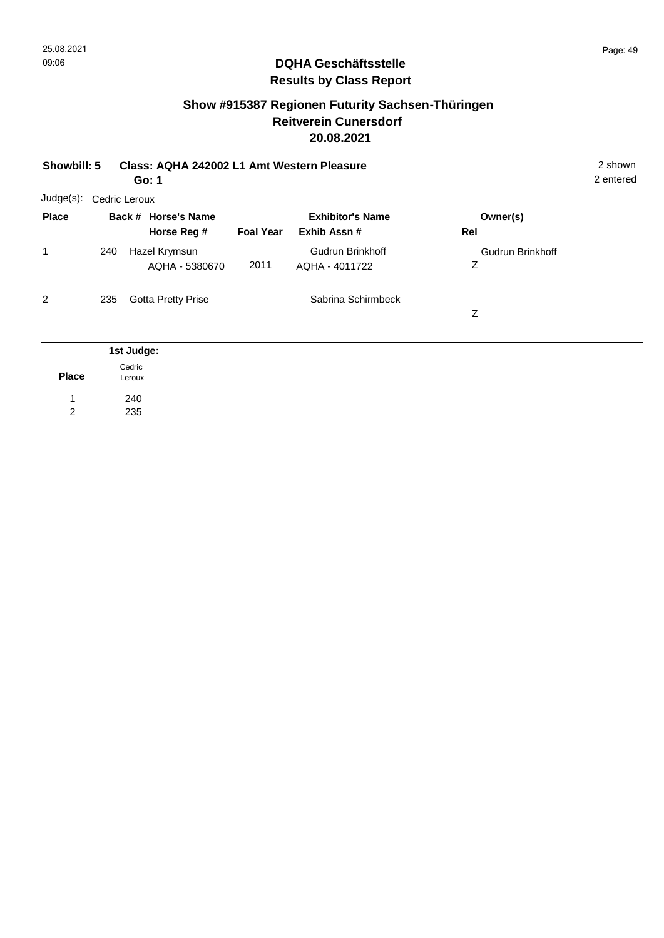## **Show #915387 Regionen Futurity Sachsen-Thüringen Reitverein Cunersdorf 20.08.2021**

| Showbill: 5 Class: AQHA 242002 L1 Amt Western Pleasure | 2 shown   |
|--------------------------------------------------------|-----------|
| Go: 1                                                  | 2 enterec |

240 235

1 2

| Judge(s):      | Cedric Leroux |                           |                         |                    |                         |  |  |  |  |  |
|----------------|---------------|---------------------------|-------------------------|--------------------|-------------------------|--|--|--|--|--|
| <b>Place</b>   |               | Back # Horse's Name       | <b>Exhibitor's Name</b> |                    | Owner(s)                |  |  |  |  |  |
|                |               | Horse Reg #               | <b>Foal Year</b>        | Exhib Assn #       | Rel                     |  |  |  |  |  |
| 1              | 240           | Hazel Krymsun             |                         | Gudrun Brinkhoff   | <b>Gudrun Brinkhoff</b> |  |  |  |  |  |
|                |               | AQHA - 5380670            | 2011                    | AQHA - 4011722     | Ζ                       |  |  |  |  |  |
| $\overline{2}$ | 235           | <b>Gotta Pretty Prise</b> |                         | Sabrina Schirmbeck |                         |  |  |  |  |  |
|                |               |                           |                         |                    | Z                       |  |  |  |  |  |
|                |               | 1st Judge:                |                         |                    |                         |  |  |  |  |  |
| <b>Place</b>   |               | Cedric<br>Leroux          |                         |                    |                         |  |  |  |  |  |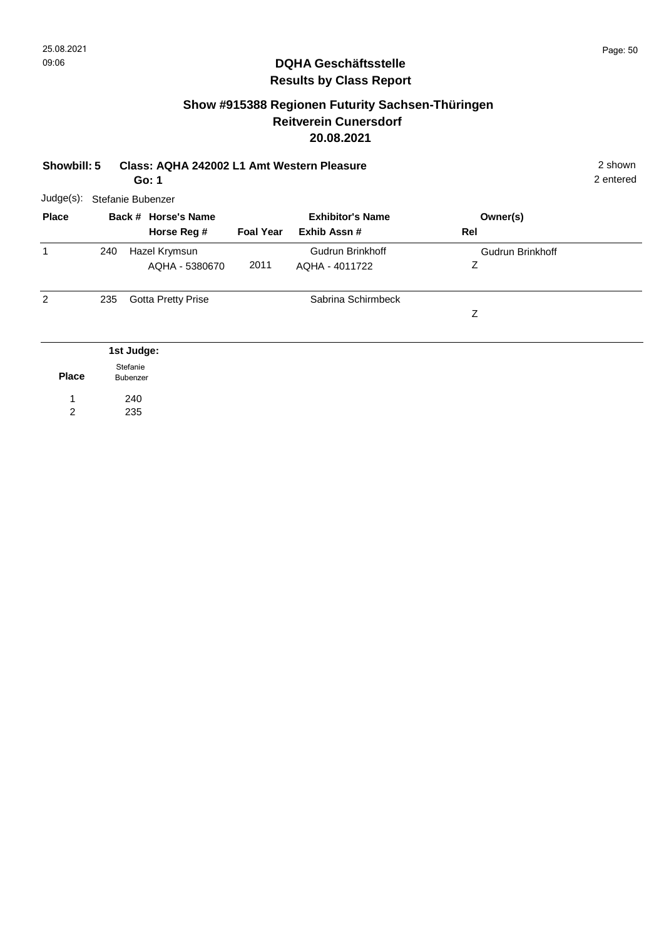## **Show #915388 Regionen Futurity Sachsen-Thüringen Reitverein Cunersdorf 20.08.2021**

| Class: AQHA 242002 L1 Amt Western Pleasure<br>Showbill: 5<br>Go: 1 |     |                      |                           |                  |                         |                  |  |
|--------------------------------------------------------------------|-----|----------------------|---------------------------|------------------|-------------------------|------------------|--|
| $Judge(s)$ :                                                       |     |                      | Stefanie Bubenzer         |                  |                         |                  |  |
| <b>Place</b>                                                       |     |                      | Back # Horse's Name       |                  | <b>Exhibitor's Name</b> | Owner(s)         |  |
|                                                                    |     |                      | Horse Reg #               | <b>Foal Year</b> | Exhib Assn #            | Rel              |  |
| $\mathbf{1}$                                                       | 240 |                      | Hazel Krymsun             |                  | Gudrun Brinkhoff        | Gudrun Brinkhoff |  |
|                                                                    |     |                      | AQHA - 5380670            | 2011             | AQHA - 4011722          | Ζ                |  |
| $\overline{2}$                                                     | 235 |                      | <b>Gotta Pretty Prise</b> |                  | Sabrina Schirmbeck      |                  |  |
|                                                                    |     |                      |                           |                  |                         | Ζ                |  |
|                                                                    |     | 1st Judge:           |                           |                  |                         |                  |  |
| <b>Place</b>                                                       |     | Stefanie<br>Bubenzer |                           |                  |                         |                  |  |
| 1                                                                  |     | 240                  |                           |                  |                         |                  |  |
| 2                                                                  |     | 235                  |                           |                  |                         |                  |  |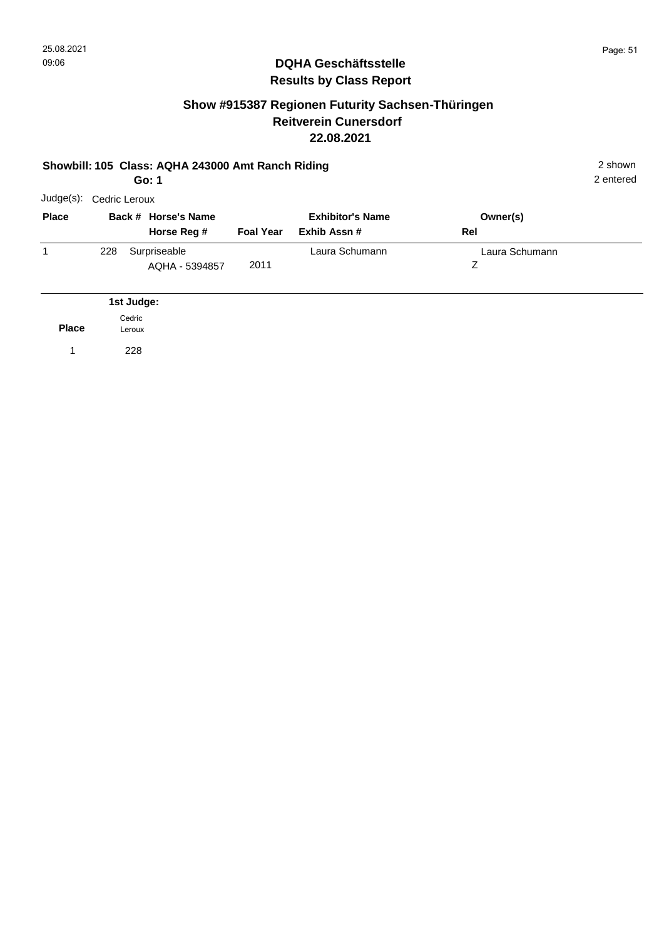## **Show #915387 Regionen Futurity Sachsen-Thüringen Reitverein Cunersdorf 22.08.2021**

#### **Showbill: 105 Class: AQHA 243000 Amt Ranch Riding** 2 shown **Go: 1**

2 entered

| Judge(s):    | Cedric Leroux |                                    |                  |                                         |                 |  |  |  |  |  |
|--------------|---------------|------------------------------------|------------------|-----------------------------------------|-----------------|--|--|--|--|--|
| <b>Place</b> |               | Back # Horse's Name<br>Horse Reg # | <b>Foal Year</b> | <b>Exhibitor's Name</b><br>Exhib Assn # | Owner(s)<br>Rel |  |  |  |  |  |
| 1            | 228           | Surpriseable<br>AQHA - 5394857     | 2011             | Laura Schumann                          | Laura Schumann  |  |  |  |  |  |
|              |               | 1st Judge:                         |                  |                                         |                 |  |  |  |  |  |

**Place** Cedric Leroux

1 228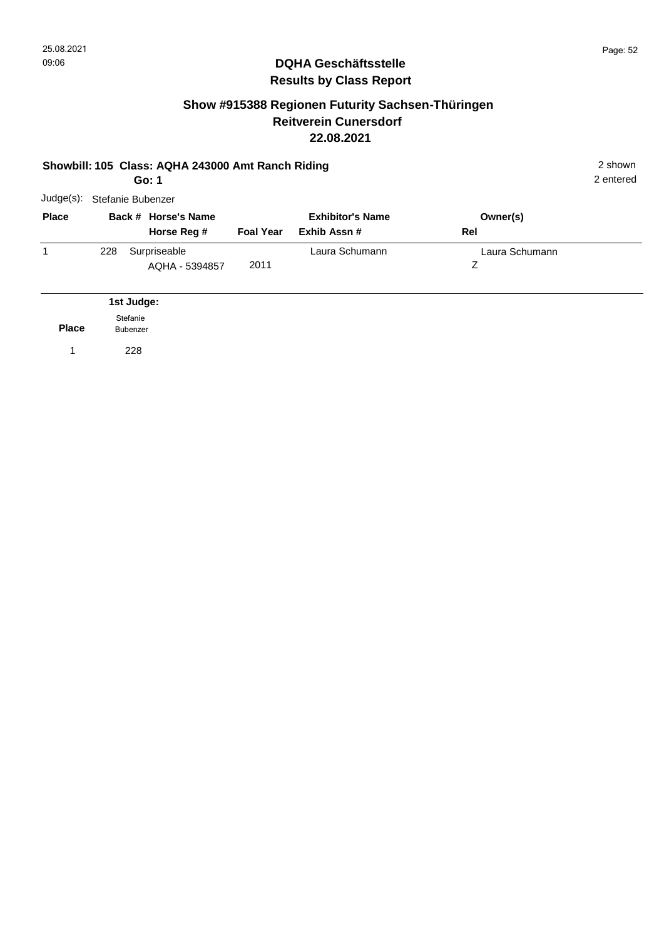#### **Show #915388 Regionen Futurity Sachsen-Thüringen Reitverein Cunersdorf 22.08.2021**

#### **Showbill: 105 Class: AQHA 243000 Amt Ranch Riding** 2 shown **Go: 1** Judge(s): Stefanie Bubenzer 2 entered **Back # Horse's Name Place Owner(s) Horse Reg # Exhib Assn # Foal Year Rel Exhibitor's Name** 1 Z Laura Schumann 2011 228 Surpriseable **Early Schumann** AQHA - 5394857 **Place 1st Judge:**  1 228 Stefanie Bubenzer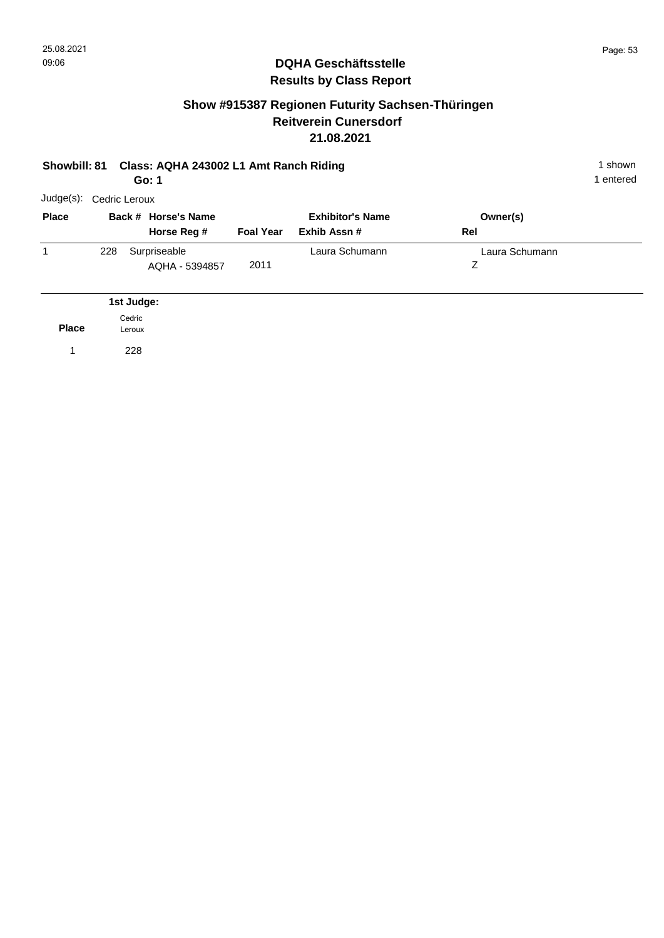## **Show #915387 Regionen Futurity Sachsen-Thüringen Reitverein Cunersdorf 21.08.2021**

#### **Showbill: 81 Class: AQHA 243002 L1 Amt Ranch Riding 1 shown 1 shown 1 shown Go: 1**

1 entered

|  | Owner(s)<br>Rel | <b>Exhibitor's Name</b> |                  | Back # Horse's Name | <b>Place</b> |
|--|-----------------|-------------------------|------------------|---------------------|--------------|
|  |                 | Exhib Assn #            | <b>Foal Year</b> | Horse Reg #         |              |
|  | Laura Schumann  | Laura Schumann          |                  | Surpriseable        | 1<br>228     |
|  |                 |                         | 2011             | AQHA - 5394857      |              |
|  |                 |                         |                  |                     |              |

**Place** Cedric Leroux

1 228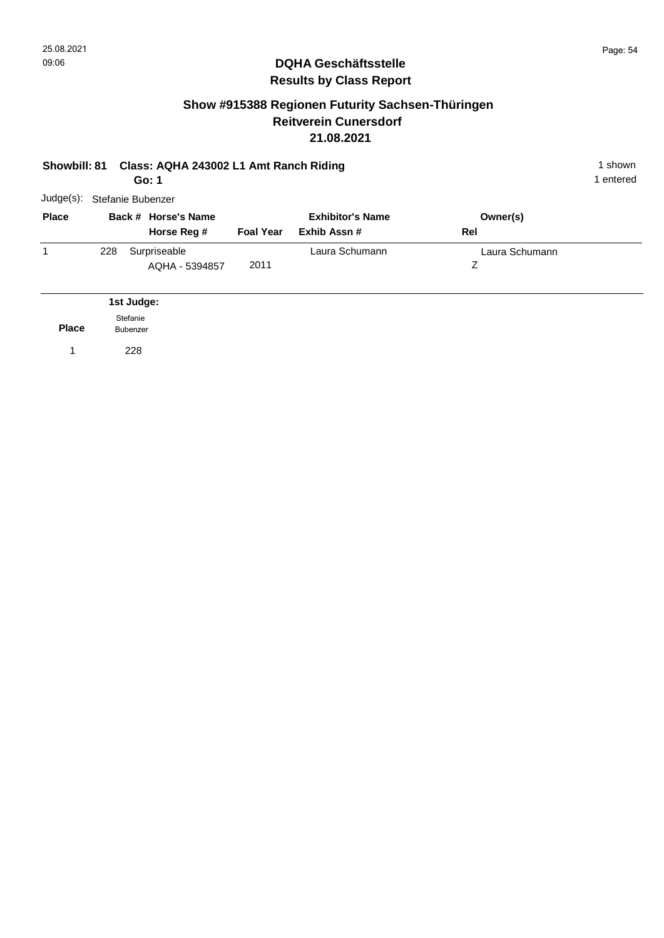## **Show #915388 Regionen Futurity Sachsen-Thüringen Reitverein Cunersdorf 21.08.2021**

| <b>Showbill: 81</b> |                      |            | Go: 1                              |                  | Class: AQHA 243002 L1 Amt Ranch Riding  |                     |  |  |  |
|---------------------|----------------------|------------|------------------------------------|------------------|-----------------------------------------|---------------------|--|--|--|
| Judge(s):           | Stefanie Bubenzer    |            |                                    |                  |                                         |                     |  |  |  |
| <b>Place</b>        |                      |            | Back # Horse's Name<br>Horse Reg # | <b>Foal Year</b> | <b>Exhibitor's Name</b><br>Exhib Assn # | Owner(s)<br>Rel     |  |  |  |
| 1                   | 228                  |            | Surpriseable<br>AQHA - 5394857     | 2011             | Laura Schumann                          | Laura Schumann<br>Z |  |  |  |
|                     |                      | 1st Judge: |                                    |                  |                                         |                     |  |  |  |
| <b>Place</b>        | Stefanie<br>Bubenzer |            |                                    |                  |                                         |                     |  |  |  |
| 1                   |                      | 228        |                                    |                  |                                         |                     |  |  |  |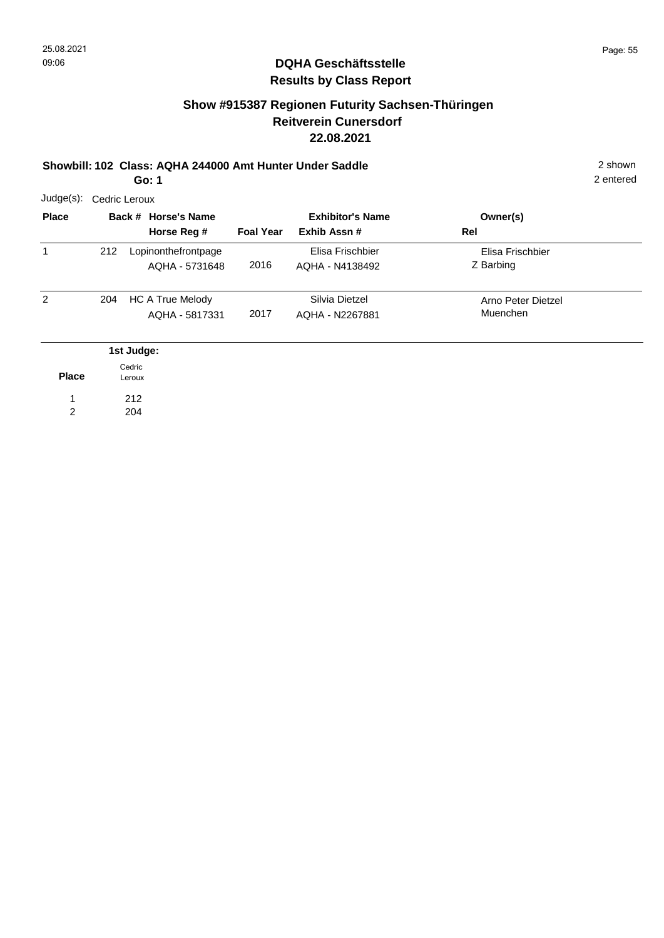## **Show #915387 Regionen Futurity Sachsen-Thüringen Reitverein Cunersdorf 22.08.2021**

## **Showbill: 102 Class: AQHA 244000 Amt Hunter Under Saddle** 2 shown

**Go: 1**

| Judge(s):    |                  | Cedric Leroux |                                           |                  |                                         |                                |  |  |  |  |  |  |
|--------------|------------------|---------------|-------------------------------------------|------------------|-----------------------------------------|--------------------------------|--|--|--|--|--|--|
| <b>Place</b> |                  |               | Back # Horse's Name<br>Horse Reg #        | <b>Foal Year</b> | <b>Exhibitor's Name</b><br>Exhib Assn # | Owner(s)<br>Rel                |  |  |  |  |  |  |
| $\mathbf{1}$ | 212              |               | Lopinonthefrontpage<br>AQHA - 5731648     | 2016             | Elisa Frischbier<br>AQHA - N4138492     | Elisa Frischbier<br>Z Barbing  |  |  |  |  |  |  |
| 2            | 204              |               | <b>HC A True Melody</b><br>AQHA - 5817331 | 2017             | Silvia Dietzel<br>AQHA - N2267881       | Arno Peter Dietzel<br>Muenchen |  |  |  |  |  |  |
|              |                  | 1st Judge:    |                                           |                  |                                         |                                |  |  |  |  |  |  |
| <b>Place</b> | Cedric<br>Leroux |               |                                           |                  |                                         |                                |  |  |  |  |  |  |
|              |                  | 212           |                                           |                  |                                         |                                |  |  |  |  |  |  |
| 2            |                  | 204           |                                           |                  |                                         |                                |  |  |  |  |  |  |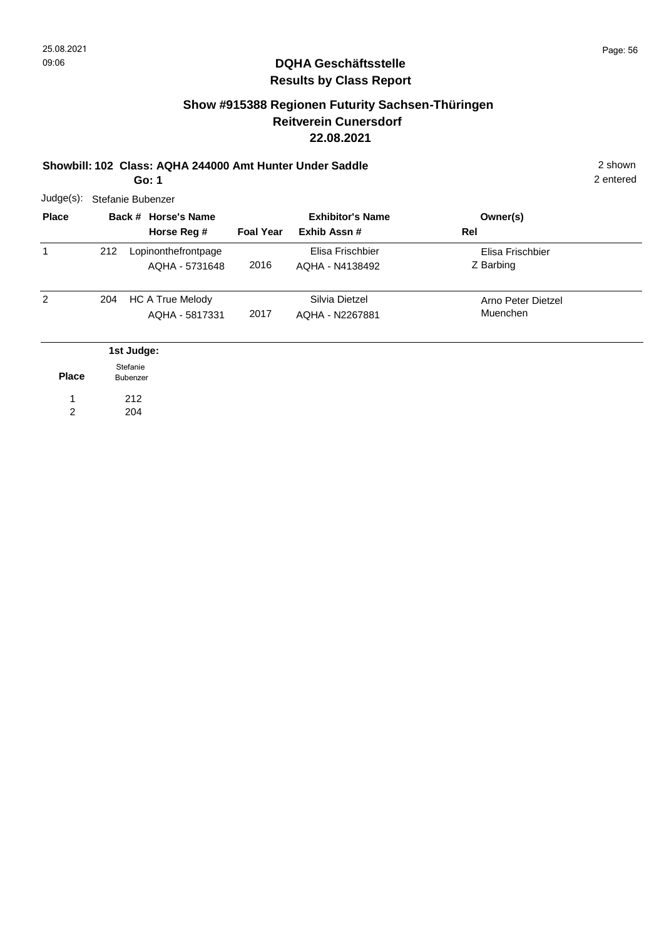## **Show #915388 Regionen Futurity Sachsen-Thüringen Reitverein Cunersdorf 22.08.2021**

## **Showbill: 102 Class: AQHA 244000 Amt Hunter Under Saddle** 2 shown

2 entered

**Go: 1**

| $Judge(s)$ : | Stefanie Bubenzer    |                                           |                  |                                         |                                |  |  |  |  |  |
|--------------|----------------------|-------------------------------------------|------------------|-----------------------------------------|--------------------------------|--|--|--|--|--|
| <b>Place</b> |                      | Back # Horse's Name<br>Horse Reg #        | <b>Foal Year</b> | <b>Exhibitor's Name</b><br>Exhib Assn # | Owner(s)<br>Rel                |  |  |  |  |  |
| $\mathbf{1}$ | 212                  | Lopinonthefrontpage<br>AQHA - 5731648     | 2016             | Elisa Frischbier<br>AQHA - N4138492     | Elisa Frischbier<br>Z Barbing  |  |  |  |  |  |
| 2            | 204                  | <b>HC A True Melody</b><br>AQHA - 5817331 | 2017             | Silvia Dietzel<br>AQHA - N2267881       | Arno Peter Dietzel<br>Muenchen |  |  |  |  |  |
|              |                      | 1st Judge:                                |                  |                                         |                                |  |  |  |  |  |
| <b>Place</b> | Stefanie<br>Bubenzer |                                           |                  |                                         |                                |  |  |  |  |  |
|              |                      | 212                                       |                  |                                         |                                |  |  |  |  |  |
| 2            |                      | 204                                       |                  |                                         |                                |  |  |  |  |  |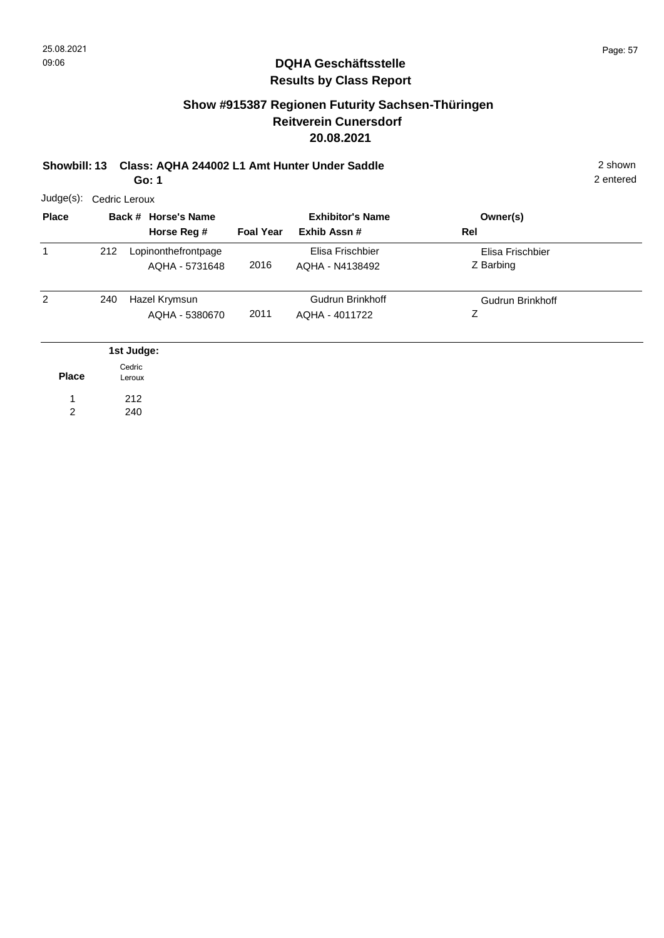## **Show #915387 Regionen Futurity Sachsen-Thüringen Reitverein Cunersdorf 20.08.2021**

**Showbill: 13 Class: AQHA 244002 L1 Amt Hunter Under Saddle** 2 shown

2 entered

**Go: 1**

| $Judge(s)$ : |     | Cedric Leroux                         |                  |                                           |                               |  |  |  |  |  |  |
|--------------|-----|---------------------------------------|------------------|-------------------------------------------|-------------------------------|--|--|--|--|--|--|
| <b>Place</b> |     | Back # Horse's Name<br>Horse Reg #    | <b>Foal Year</b> | <b>Exhibitor's Name</b><br>Exhib Assn #   | Owner(s)<br>Rel               |  |  |  |  |  |  |
| 1            | 212 | Lopinonthefrontpage<br>AQHA - 5731648 | 2016             | Elisa Frischbier<br>AQHA - N4138492       | Elisa Frischbier<br>Z Barbing |  |  |  |  |  |  |
| 2            | 240 | Hazel Krymsun<br>AQHA - 5380670       | 2011             | <b>Gudrun Brinkhoff</b><br>AQHA - 4011722 | Gudrun Brinkhoff<br>Ζ         |  |  |  |  |  |  |
|              |     | 1st Judge:                            |                  |                                           |                               |  |  |  |  |  |  |
| <b>Place</b> |     | Cedric<br>Leroux                      |                  |                                           |                               |  |  |  |  |  |  |
| 1            |     | 212                                   |                  |                                           |                               |  |  |  |  |  |  |
| 2            |     | 240                                   |                  |                                           |                               |  |  |  |  |  |  |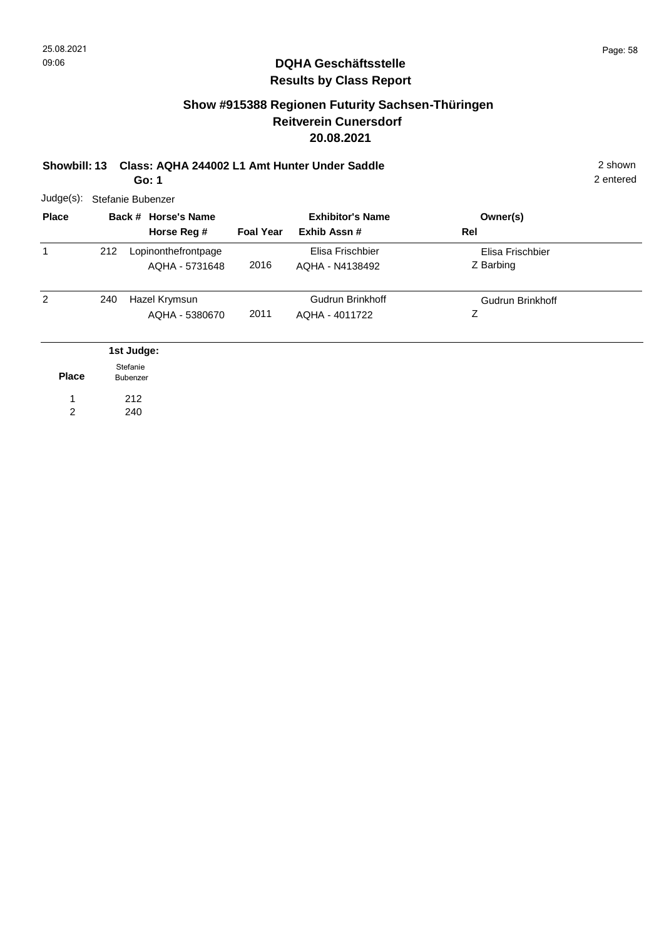## **Show #915388 Regionen Futurity Sachsen-Thüringen Reitverein Cunersdorf 20.08.2021**

**Showbill: 13 Class: AQHA 244002 L1 Amt Hunter Under Saddle** 2 shown **Go: 1**

2 entered

| Judge(s):    | Stefanie Bubenzer |                                           |                  |                                           |                               |  |  |  |  |
|--------------|-------------------|-------------------------------------------|------------------|-------------------------------------------|-------------------------------|--|--|--|--|
| <b>Place</b> |                   | Back # Horse's Name<br>Horse Reg #        | <b>Foal Year</b> | <b>Exhibitor's Name</b><br>Exhib Assn#    | Owner(s)<br>Rel               |  |  |  |  |
| 1            | 212               | Lopinonthefrontpage<br>AQHA - 5731648     | 2016             | Elisa Frischbier<br>AQHA - N4138492       | Elisa Frischbier<br>Z Barbing |  |  |  |  |
| 2            | 240               | Hazel Krymsun<br>AQHA - 5380670           | 2011             | <b>Gudrun Brinkhoff</b><br>AQHA - 4011722 | Gudrun Brinkhoff<br>Ζ         |  |  |  |  |
| <b>Place</b> |                   | 1st Judge:<br>Stefanie<br><b>Bubenzer</b> |                  |                                           |                               |  |  |  |  |

212 240 1

2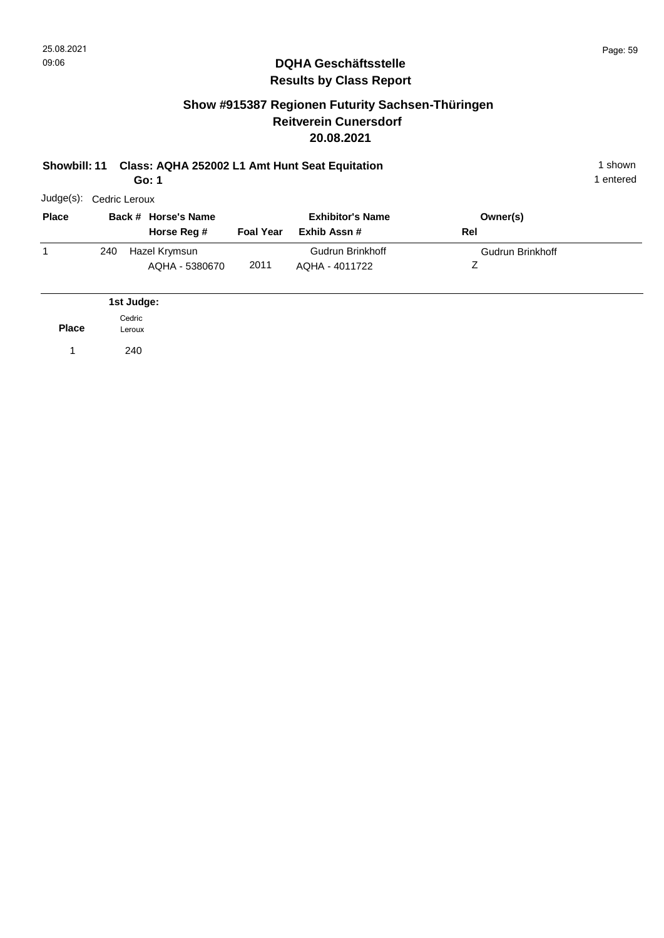**Place**

1 240

Leroux

### **DQHA Geschäftsstelle Results by Class Report**

## **Show #915387 Regionen Futurity Sachsen-Thüringen Reitverein Cunersdorf 20.08.2021**

#### **Showbill: 11 Class: AQHA 252002 L1 Amt Hunt Seat Equitation** 1 shown **Go: 1**

| Judge(s):    |     | Cedric Leroux                      |                  |                                        |                  |  |
|--------------|-----|------------------------------------|------------------|----------------------------------------|------------------|--|
| <b>Place</b> |     | Back # Horse's Name<br>Horse Reg # | <b>Foal Year</b> | <b>Exhibitor's Name</b><br>Exhib Assn# | Owner(s)<br>Rel  |  |
|              | 240 | Hazel Krymsun<br>AQHA - 5380670    | 2011             | Gudrun Brinkhoff<br>AQHA - 4011722     | Gudrun Brinkhoff |  |
|              |     | 1st Judge:                         |                  |                                        |                  |  |
|              |     | Cedric                             |                  |                                        |                  |  |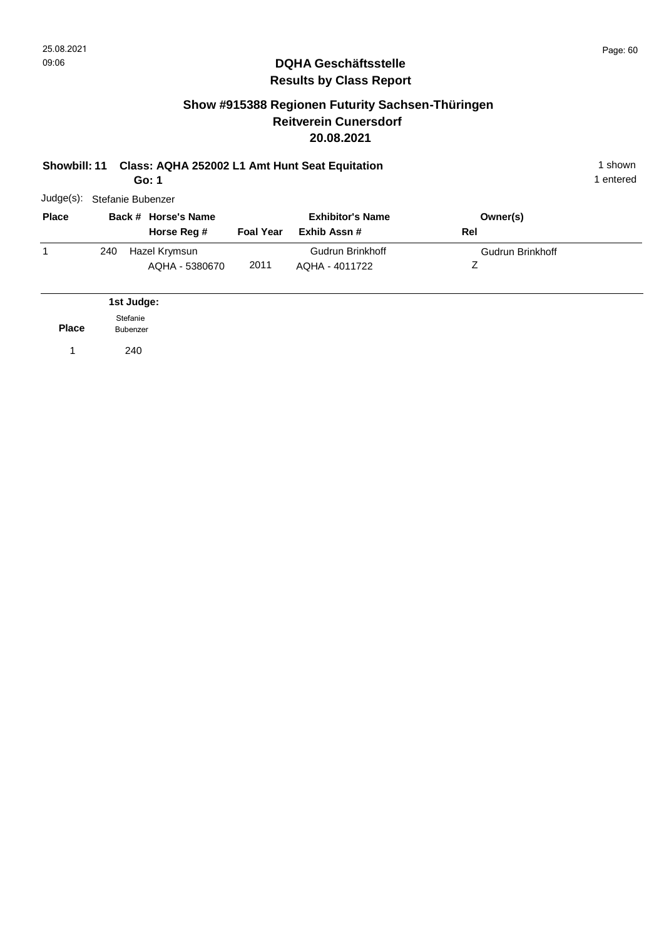1 entered

### **DQHA Geschäftsstelle Results by Class Report**

## **Show #915388 Regionen Futurity Sachsen-Thüringen Reitverein Cunersdorf 20.08.2021**

| Showbill: 11 Class: AQHA 252002 L1 Amt Hunt Seat Equitation | shown   |
|-------------------------------------------------------------|---------|
| Go: 1                                                       | entered |

Judge(s): Stefanie Bubenzer **Back # Horse's Name Place Owner(s) Horse Reg # Exhib Assn # Foal Year Rel Exhibitor's Name**  $\overline{1}$ Z Gudrun Brinkhoff 2011 240 Hazel Krymsun AQHA - 5380670 Gudrun Brinkhoff AQHA - 4011722

**Place 1st Judge:**  1 240 Stefanie Bubenzer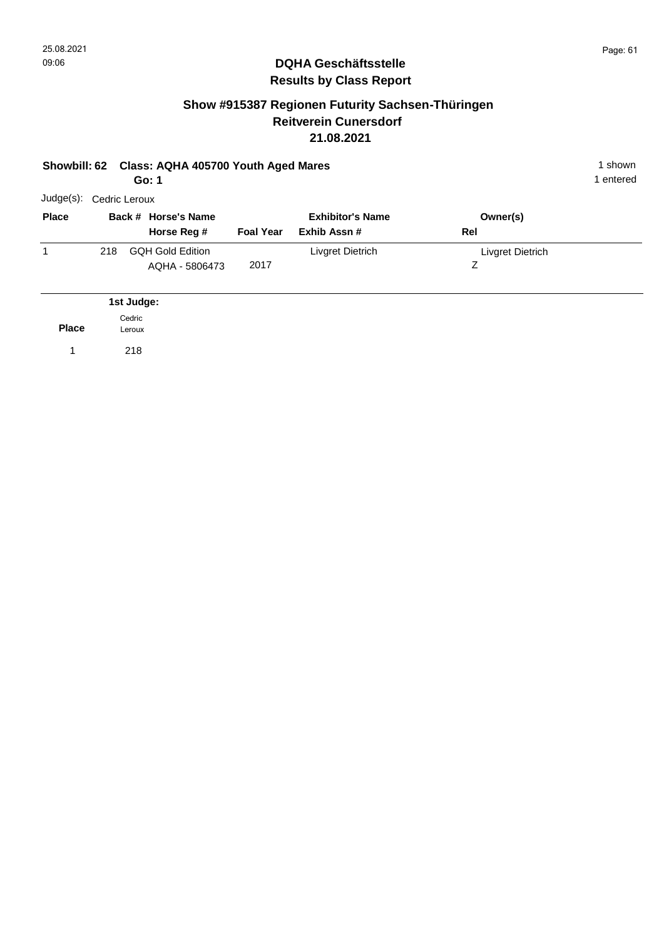**Place**

1 218

Leroux

### **DQHA Geschäftsstelle Results by Class Report**

## **Show #915387 Regionen Futurity Sachsen-Thüringen Reitverein Cunersdorf 21.08.2021**

#### **Showbill: 62 Class: AQHA 405700 Youth Aged Mares** 1 Shown 1 shown **Go: 1**

| Judge(s):<br>Cedric Leroux |                                           |                                             |                                         |                       |  |  |  |
|----------------------------|-------------------------------------------|---------------------------------------------|-----------------------------------------|-----------------------|--|--|--|
|                            | Horse Reg #                               | <b>Foal Year</b>                            | <b>Exhibitor's Name</b><br>Exhib Assn # | Owner(s)<br>Rel       |  |  |  |
| 218                        | <b>GQH Gold Edition</b><br>AQHA - 5806473 | 2017                                        | Livgret Dietrich                        | Livgret Dietrich<br>Ζ |  |  |  |
|                            |                                           |                                             |                                         |                       |  |  |  |
|                            |                                           | Back # Horse's Name<br>1st Judge:<br>Cedric |                                         |                       |  |  |  |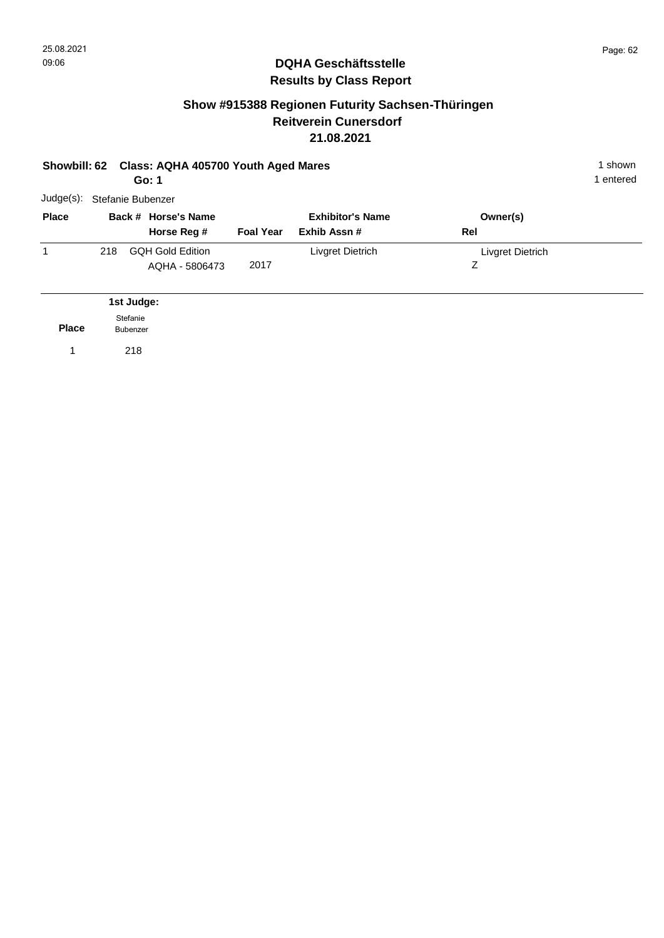## **Show #915388 Regionen Futurity Sachsen-Thüringen Reitverein Cunersdorf 21.08.2021**

|              |     |                             | Showbill: 62 Class: AQHA 405700 Youth Aged Mares<br>Go: 1 |                  |                                        |                       | 1 shown<br>1 entered |
|--------------|-----|-----------------------------|-----------------------------------------------------------|------------------|----------------------------------------|-----------------------|----------------------|
| Judge(s):    |     |                             | Stefanie Bubenzer                                         |                  |                                        |                       |                      |
| <b>Place</b> |     |                             | Back # Horse's Name<br>Horse Reg #                        | <b>Foal Year</b> | <b>Exhibitor's Name</b><br>Exhib Assn# | Owner(s)<br>Rel       |                      |
| 1            | 218 |                             | <b>GQH Gold Edition</b><br>AQHA - 5806473                 | 2017             | Livgret Dietrich                       | Livgret Dietrich<br>Z |                      |
|              |     | 1st Judge:                  |                                                           |                  |                                        |                       |                      |
| <b>Place</b> |     | Stefanie<br><b>Bubenzer</b> |                                                           |                  |                                        |                       |                      |
|              |     | 218                         |                                                           |                  |                                        |                       |                      |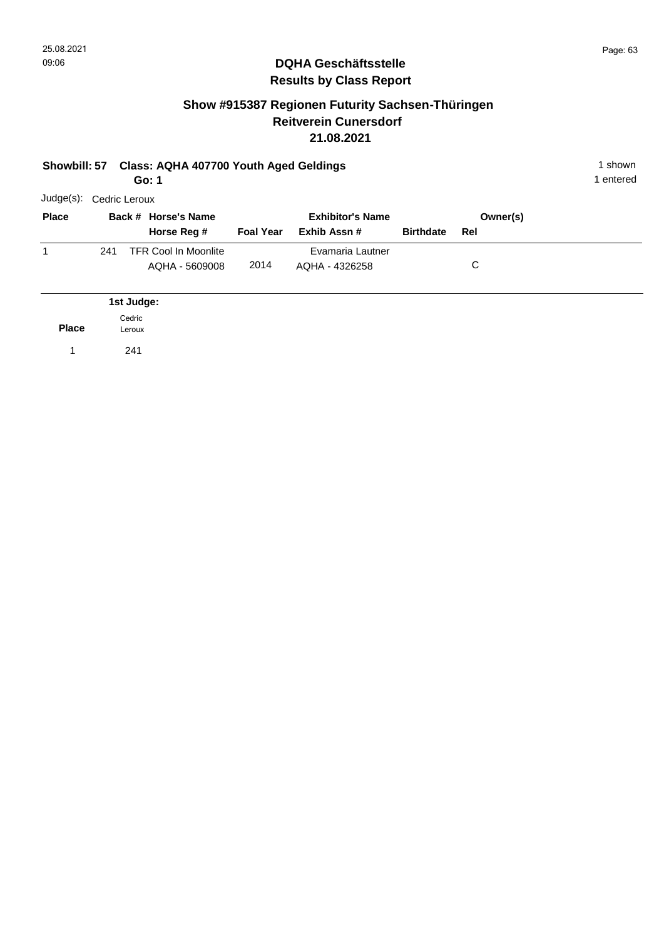**Place**

1 241

Leroux

### **DQHA Geschäftsstelle Results by Class Report**

## **Show #915387 Regionen Futurity Sachsen-Thüringen Reitverein Cunersdorf 21.08.2021**

#### **Showbill: 57 Class: AQHA 407700 Youth Aged Geldings** 1 Shown 1 shown **Go: 1**

| <b>Place</b> |     |            | Back # Horse's Name<br>Horse Reg #            | <b>Foal Year</b> | <b>Exhibitor's Name</b><br>Exhib Assn # | <b>Birthdate</b> | Owner(s)<br>Rel |  |
|--------------|-----|------------|-----------------------------------------------|------------------|-----------------------------------------|------------------|-----------------|--|
|              | 241 |            | <b>TFR Cool In Moonlite</b><br>AQHA - 5609008 | 2014             | Evamaria Lautner<br>AQHA - 4326258      |                  | С               |  |
|              |     | 1st Judge: |                                               |                  |                                         |                  |                 |  |
|              |     | Cedric     |                                               |                  |                                         |                  |                 |  |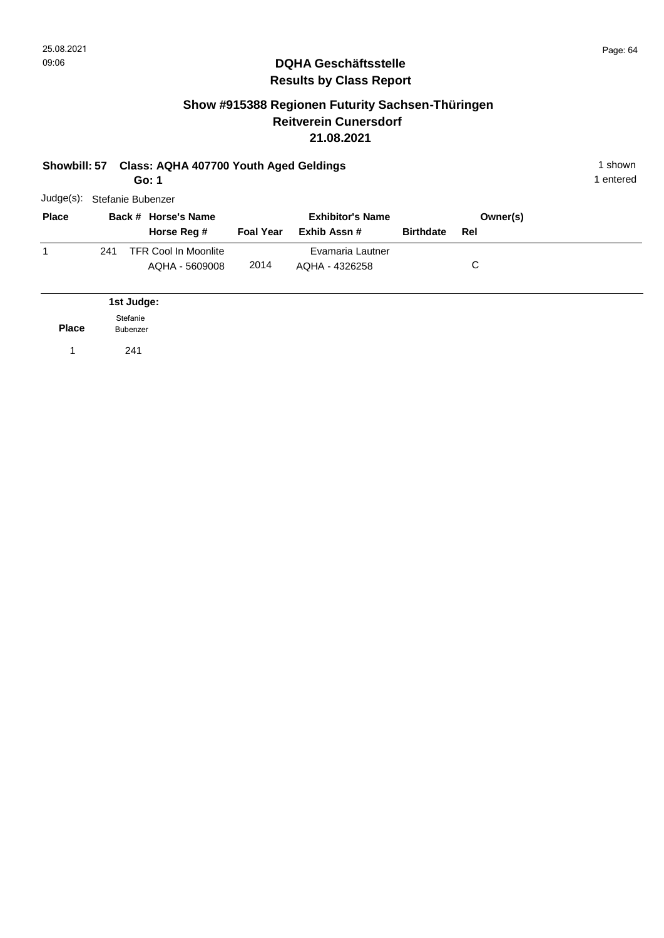## **Show #915388 Regionen Futurity Sachsen-Thüringen Reitverein Cunersdorf 21.08.2021**

| Showbill: 57 |     | <b>Class: AQHA 407700 Youth Aged Geldings</b><br>Go: 1 | 1 shown<br>1 entered                          |                  |                                         |                  |                 |  |
|--------------|-----|--------------------------------------------------------|-----------------------------------------------|------------------|-----------------------------------------|------------------|-----------------|--|
| Judge(s):    |     |                                                        | Stefanie Bubenzer                             |                  |                                         |                  |                 |  |
| <b>Place</b> |     |                                                        | Back # Horse's Name<br>Horse Reg #            | <b>Foal Year</b> | <b>Exhibitor's Name</b><br>Exhib Assn # | <b>Birthdate</b> | Owner(s)<br>Rel |  |
| 1            | 241 |                                                        | <b>TFR Cool In Moonlite</b><br>AQHA - 5609008 | 2014             | Evamaria Lautner<br>AQHA - 4326258      |                  | C               |  |
|              |     | 1st Judge:                                             |                                               |                  |                                         |                  |                 |  |
| <b>Place</b> |     | Stefanie<br>Bubenzer                                   |                                               |                  |                                         |                  |                 |  |
|              |     | 241                                                    |                                               |                  |                                         |                  |                 |  |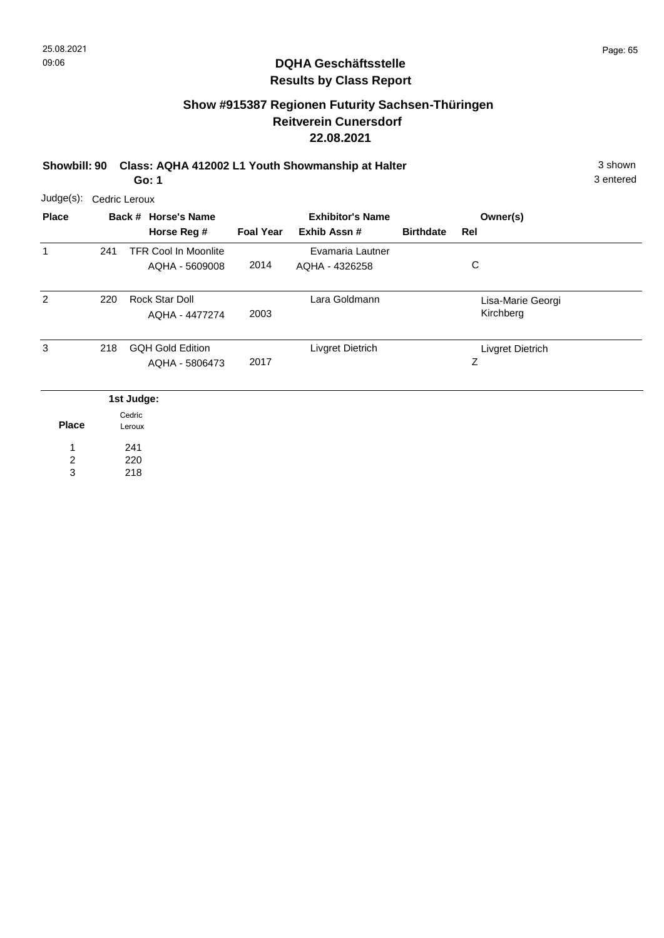## **Show #915387 Regionen Futurity Sachsen-Thüringen Reitverein Cunersdorf 22.08.2021**

**Showbill: 90 Class: AQHA 412002 L1 Youth Showmanship at Halter** 3 shown **Go: 1**

3 entered

 $\overline{\phantom{a}}$ 

| <b>Place</b> |     | Back # Horse's Name<br>Horse Reg #            | <b>Foal Year</b> | <b>Exhibitor's Name</b><br>Exhib Assn# | <b>Birthdate</b> | Owner(s)<br>Rel                |
|--------------|-----|-----------------------------------------------|------------------|----------------------------------------|------------------|--------------------------------|
| 1            | 241 | <b>TFR Cool In Moonlite</b><br>AQHA - 5609008 | 2014             | Evamaria Lautner<br>AQHA - 4326258     |                  | C                              |
| 2            | 220 | Rock Star Doll<br>AQHA - 4477274              | 2003             | Lara Goldmann                          |                  | Lisa-Marie Georgi<br>Kirchberg |
| 3            | 218 | <b>GQH Gold Edition</b><br>AQHA - 5806473     | 2017             | Livgret Dietrich                       |                  | Livgret Dietrich<br>Ζ          |
|              |     | 1st Judge:<br>Cedric                          |                  |                                        |                  |                                |

|       | <b>Ceanc</b> |
|-------|--------------|
| Place | Leroux       |
| 1     | 241          |
| 2     | 220          |
| 3     | 218          |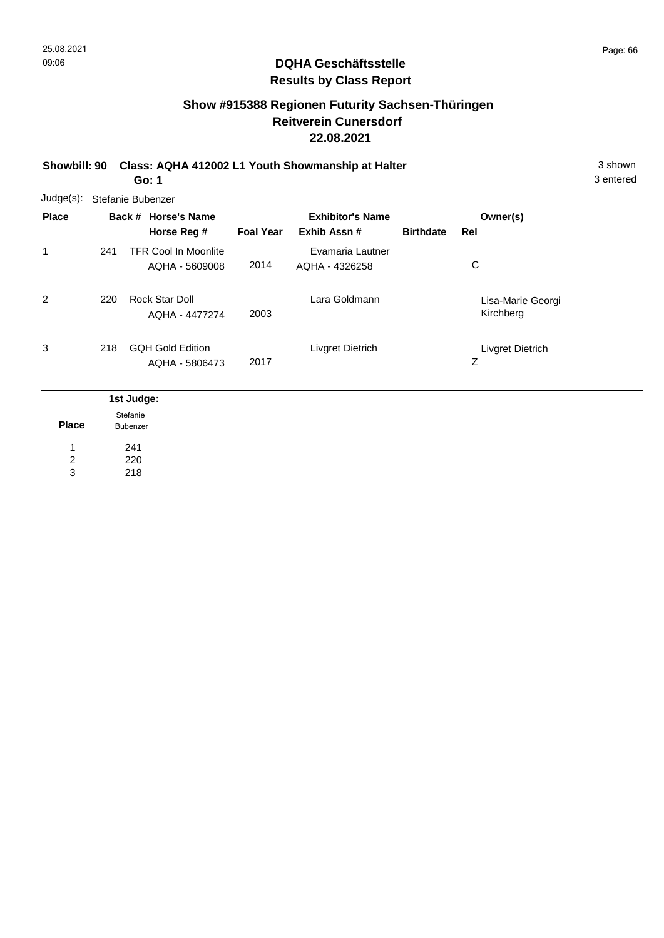## **Show #915388 Regionen Futurity Sachsen-Thüringen Reitverein Cunersdorf 22.08.2021**

**Showbill: 90 Class: AQHA 412002 L1 Youth Showmanship at Halter** 3 shown **Go: 1**

3 entered

| $Judge(s)$ :   | Stefanie Bubenzer |                                               |                  |                                        |                  |                                |  |  |  |
|----------------|-------------------|-----------------------------------------------|------------------|----------------------------------------|------------------|--------------------------------|--|--|--|
| <b>Place</b>   |                   | Back # Horse's Name<br>Horse Reg #            | <b>Foal Year</b> | <b>Exhibitor's Name</b><br>Exhib Assn# | <b>Birthdate</b> | Owner(s)<br>Rel                |  |  |  |
| 1              | 241               | <b>TFR Cool In Moonlite</b><br>AQHA - 5609008 | 2014             | Evamaria Lautner<br>AQHA - 4326258     |                  | C                              |  |  |  |
| $\overline{2}$ | 220               | Rock Star Doll<br>AQHA - 4477274              | 2003             | Lara Goldmann                          |                  | Lisa-Marie Georgi<br>Kirchberg |  |  |  |
| 3              | 218               | <b>GQH Gold Edition</b><br>AQHA - 5806473     | 2017             | Livgret Dietrich                       |                  | Livgret Dietrich<br>Z          |  |  |  |
| <b>Place</b>   |                   | 1st Judge:<br>Stefanie<br>Bubenzer            |                  |                                        |                  |                                |  |  |  |

220 2

1

241

218 3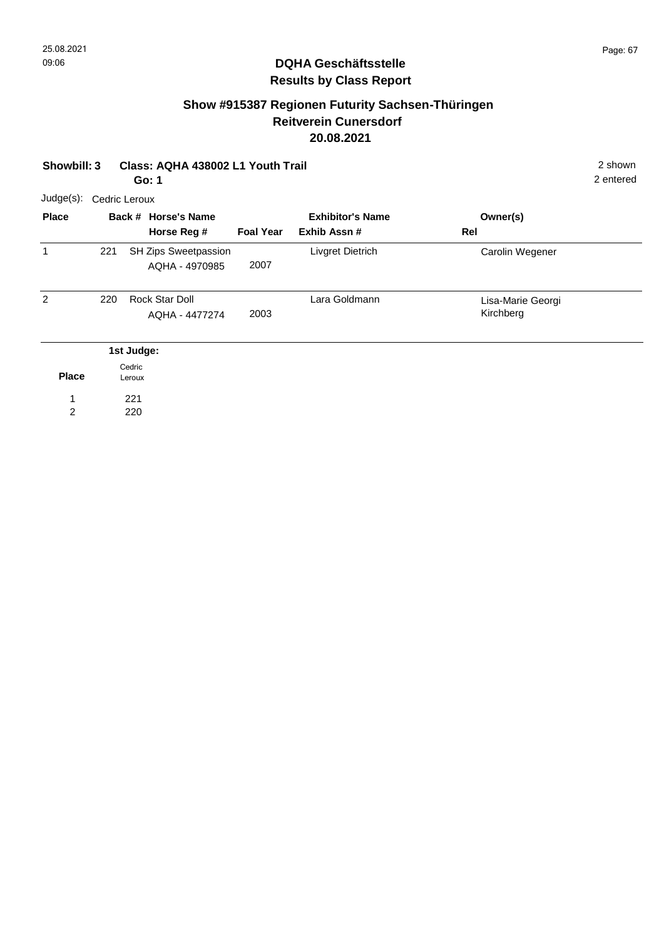## **Show #915387 Regionen Futurity Sachsen-Thüringen Reitverein Cunersdorf 20.08.2021**

| Showbill: 3<br>Class: AQHA 438002 L1 Youth Trail<br>Go: 1 |               |                  |                                        |                  |                                        |                                |  |  |
|-----------------------------------------------------------|---------------|------------------|----------------------------------------|------------------|----------------------------------------|--------------------------------|--|--|
| Judge(s):                                                 | Cedric Leroux |                  |                                        |                  |                                        |                                |  |  |
| <b>Place</b>                                              |               |                  | Back # Horse's Name<br>Horse Reg #     | <b>Foal Year</b> | <b>Exhibitor's Name</b><br>Exhib Assn# | Owner(s)<br>Rel                |  |  |
| 1                                                         | 221           |                  | SH Zips Sweetpassion<br>AQHA - 4970985 | 2007             | Livgret Dietrich                       | Carolin Wegener                |  |  |
| $\overline{2}$                                            | 220           |                  | Rock Star Doll<br>AQHA - 4477274       | 2003             | Lara Goldmann                          | Lisa-Marie Georgi<br>Kirchberg |  |  |
|                                                           |               | 1st Judge:       |                                        |                  |                                        |                                |  |  |
| <b>Place</b>                                              |               | Cedric<br>Leroux |                                        |                  |                                        |                                |  |  |
| $\overline{2}$                                            |               | 221<br>220       |                                        |                  |                                        |                                |  |  |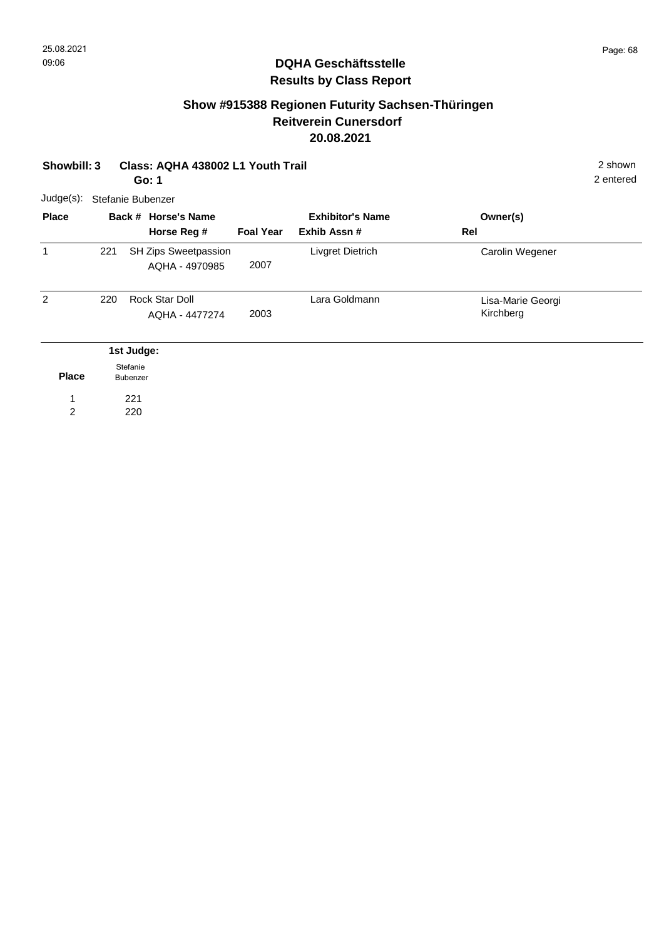## **Show #915388 Regionen Futurity Sachsen-Thüringen Reitverein Cunersdorf 20.08.2021**

| Showbill: 3    |                      |                   | Class: AQHA 438002 L1 Youth Trail<br>Go: 1 |                  |                                        |                                |  |  |  |  |
|----------------|----------------------|-------------------|--------------------------------------------|------------------|----------------------------------------|--------------------------------|--|--|--|--|
| $Judge(s)$ :   |                      | Stefanie Bubenzer |                                            |                  |                                        |                                |  |  |  |  |
| <b>Place</b>   |                      |                   | Back # Horse's Name<br>Horse Reg #         | <b>Foal Year</b> | <b>Exhibitor's Name</b><br>Exhib Assn# | Owner(s)<br>Rel                |  |  |  |  |
| 1              | 221                  |                   | SH Zips Sweetpassion<br>AQHA - 4970985     | 2007             | Livgret Dietrich                       | Carolin Wegener                |  |  |  |  |
| $\overline{2}$ | 220                  |                   | Rock Star Doll<br>AQHA - 4477274           | 2003             | Lara Goldmann                          | Lisa-Marie Georgi<br>Kirchberg |  |  |  |  |
|                |                      | 1st Judge:        |                                            |                  |                                        |                                |  |  |  |  |
| <b>Place</b>   | Stefanie<br>Bubenzer |                   |                                            |                  |                                        |                                |  |  |  |  |
| $\overline{2}$ |                      | 221<br>220        |                                            |                  |                                        |                                |  |  |  |  |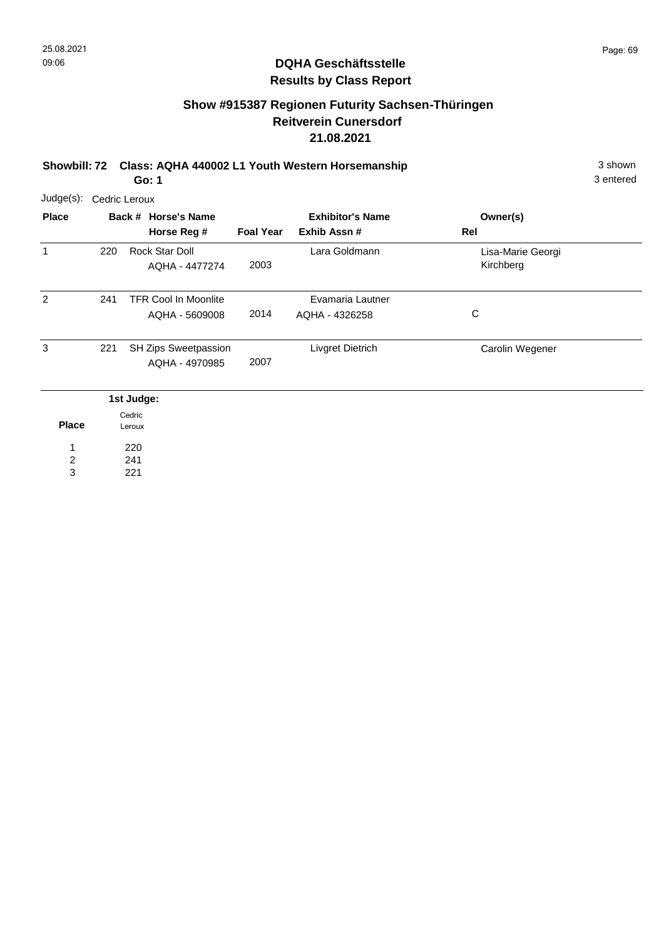## **Show #915387 Regionen Futurity Sachsen-Thüringen Reitverein Cunersdorf 21.08.2021**

**Showbill: 72 Class: AQHA 440002 L1 Youth Western Horsemanship** 3 shown 3 shown **Go: 1**

|              | Judge(s): Cedric Leroux |                                               |                  |                                    |                                |  |  |  |  |  |
|--------------|-------------------------|-----------------------------------------------|------------------|------------------------------------|--------------------------------|--|--|--|--|--|
| <b>Place</b> |                         | Back # Horse's Name                           |                  | <b>Exhibitor's Name</b>            | Owner(s)                       |  |  |  |  |  |
|              |                         | Horse Reg #                                   | <b>Foal Year</b> | Exhib Assn#                        | Rel                            |  |  |  |  |  |
| $\mathbf{1}$ | 220                     | Rock Star Doll<br>AQHA - 4477274              | 2003             | Lara Goldmann                      | Lisa-Marie Georgi<br>Kirchberg |  |  |  |  |  |
| 2            | 241                     | <b>TFR Cool In Moonlite</b><br>AQHA - 5609008 | 2014             | Evamaria Lautner<br>AQHA - 4326258 | C                              |  |  |  |  |  |
| 3            | 221                     | SH Zips Sweetpassion<br>AQHA - 4970985        | 2007             | Livgret Dietrich                   | Carolin Wegener                |  |  |  |  |  |
|              |                         | 1st Judge:                                    |                  |                                    |                                |  |  |  |  |  |

|              | Cedric |
|--------------|--------|
| <b>Place</b> | Leroux |
| 1            | 220    |
| 2            | 241    |
| 3            | 221    |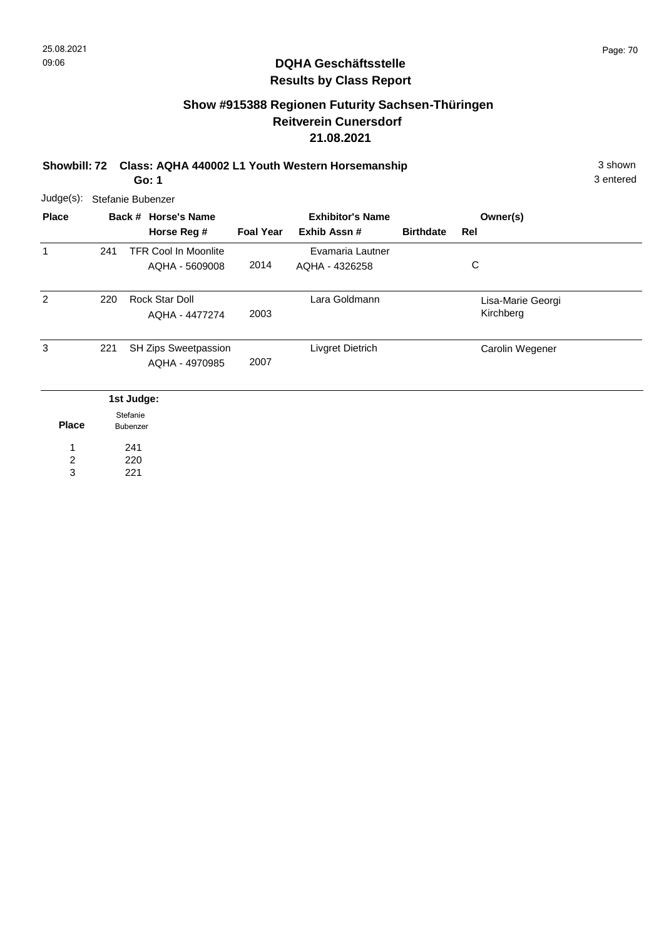## **Show #915388 Regionen Futurity Sachsen-Thüringen Reitverein Cunersdorf 21.08.2021**

**Showbill: 72 Class: AQHA 440002 L1 Youth Western Horsemanship** 3 shown 3 shown **Go: 1**

3 entered

| $Judge(s)$ : | Stefanie Bubenzer |                                               |                  |                                        |                  |                                |  |  |  |
|--------------|-------------------|-----------------------------------------------|------------------|----------------------------------------|------------------|--------------------------------|--|--|--|
| <b>Place</b> |                   | Back # Horse's Name<br>Horse Reg #            | <b>Foal Year</b> | <b>Exhibitor's Name</b><br>Exhib Assn# | <b>Birthdate</b> | Owner(s)<br>Rel                |  |  |  |
| -1           | 241               | <b>TFR Cool In Moonlite</b><br>AQHA - 5609008 | 2014             | Evamaria Lautner<br>AQHA - 4326258     |                  | C                              |  |  |  |
| 2            | 220               | <b>Rock Star Doll</b><br>AQHA - 4477274       | 2003             | Lara Goldmann                          |                  | Lisa-Marie Georgi<br>Kirchberg |  |  |  |
| 3            | 221               | <b>SH Zips Sweetpassion</b><br>AQHA - 4970985 | 2007             | Livgret Dietrich                       |                  | Carolin Wegener                |  |  |  |
| <b>Place</b> |                   | 1st Judge:<br>Stefanie<br>Bubenzer            |                  |                                        |                  |                                |  |  |  |

241 220 1 2

221 3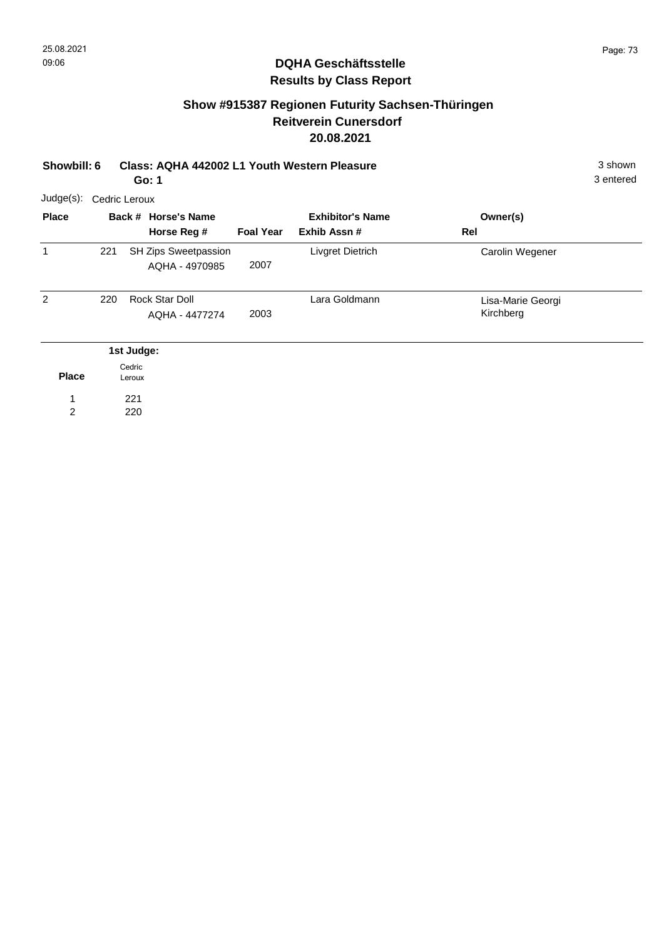## **Show #915387 Regionen Futurity Sachsen-Thüringen Reitverein Cunersdorf 20.08.2021**

| Showbill: 6    |               |                  | Class: AQHA 442002 L1 Youth Western Pleasure<br>Go: 1 |                  |                                        |                                |  |  |  |
|----------------|---------------|------------------|-------------------------------------------------------|------------------|----------------------------------------|--------------------------------|--|--|--|
| Judge(s):      | Cedric Leroux |                  |                                                       |                  |                                        |                                |  |  |  |
| <b>Place</b>   |               |                  | Back # Horse's Name<br>Horse Reg #                    | <b>Foal Year</b> | <b>Exhibitor's Name</b><br>Exhib Assn# | Owner(s)<br>Rel                |  |  |  |
| 1              | 221           |                  | SH Zips Sweetpassion<br>AQHA - 4970985                | 2007             | Livgret Dietrich                       | Carolin Wegener                |  |  |  |
| 2              | 220           |                  | Rock Star Doll<br>AQHA - 4477274                      | 2003             | Lara Goldmann                          | Lisa-Marie Georgi<br>Kirchberg |  |  |  |
|                |               | 1st Judge:       |                                                       |                  |                                        |                                |  |  |  |
| <b>Place</b>   |               | Cedric<br>Leroux |                                                       |                  |                                        |                                |  |  |  |
| $\overline{2}$ |               | 221<br>220       |                                                       |                  |                                        |                                |  |  |  |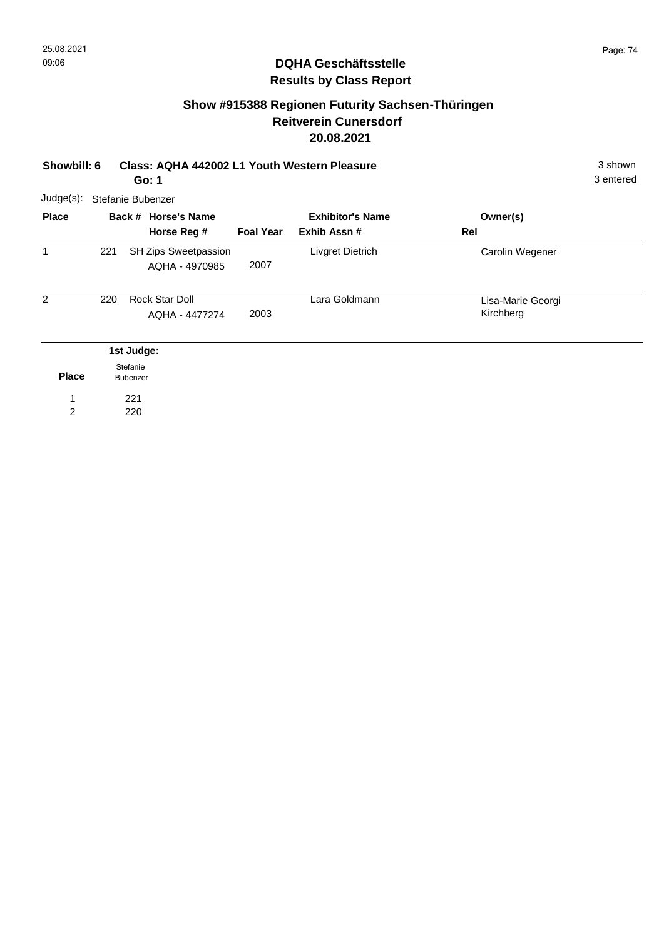## **Show #915388 Regionen Futurity Sachsen-Thüringen Reitverein Cunersdorf 20.08.2021**

| Showbill: 6         |     |                             | Class: AQHA 442002 L1 Youth Western Pleasure<br>Go: 1 |                  |                                        |     |                                |  |  |
|---------------------|-----|-----------------------------|-------------------------------------------------------|------------------|----------------------------------------|-----|--------------------------------|--|--|
| Judge(s):           |     |                             | Stefanie Bubenzer                                     |                  |                                        |     |                                |  |  |
| <b>Place</b>        |     |                             | Back # Horse's Name<br>Horse Reg #                    | <b>Foal Year</b> | <b>Exhibitor's Name</b><br>Exhib Assn# | Rel | Owner(s)                       |  |  |
| 1                   | 221 |                             | SH Zips Sweetpassion<br>AQHA - 4970985                | 2007             | Livgret Dietrich                       |     | Carolin Wegener                |  |  |
| 2                   | 220 |                             | Rock Star Doll<br>AQHA - 4477274                      | 2003             | Lara Goldmann                          |     | Lisa-Marie Georgi<br>Kirchberg |  |  |
|                     |     | 1st Judge:                  |                                                       |                  |                                        |     |                                |  |  |
| <b>Place</b>        |     | Stefanie<br><b>Bubenzer</b> |                                                       |                  |                                        |     |                                |  |  |
| 1<br>$\overline{2}$ |     | 221<br>220                  |                                                       |                  |                                        |     |                                |  |  |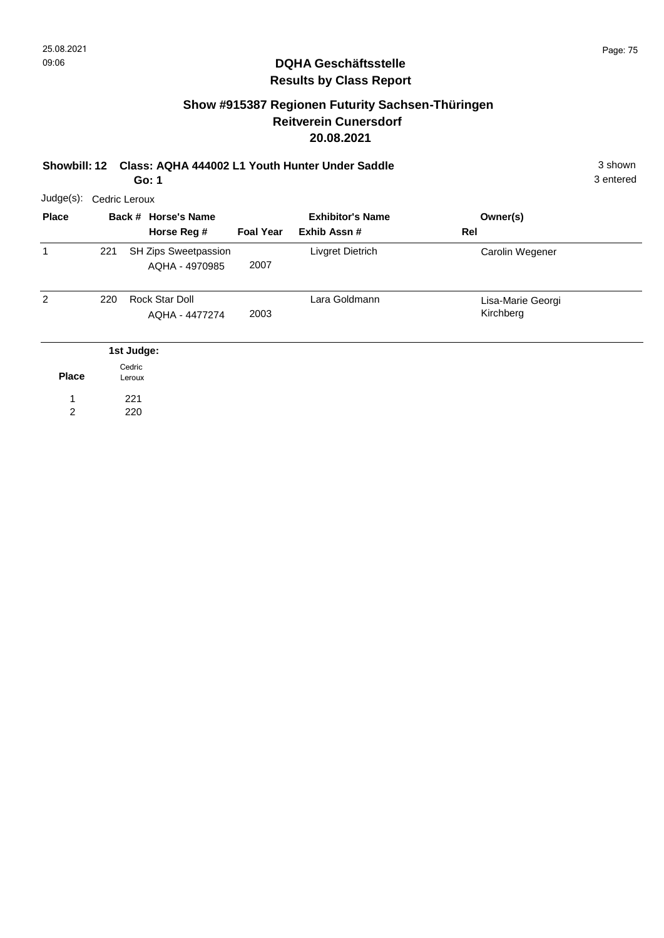## **Show #915387 Regionen Futurity Sachsen-Thüringen Reitverein Cunersdorf 20.08.2021**

**Showbill: 12 Class: AQHA 444002 L1 Youth Hunter Under Saddle** 3 shown **Go: 1**

| Judge(s):    |     | Cedric Leroux    |                                        |                  |                                         |                                |  |  |  |  |  |
|--------------|-----|------------------|----------------------------------------|------------------|-----------------------------------------|--------------------------------|--|--|--|--|--|
| <b>Place</b> |     |                  | Back # Horse's Name<br>Horse Reg #     | <b>Foal Year</b> | <b>Exhibitor's Name</b><br>Exhib Assn # | Owner(s)<br>Rel                |  |  |  |  |  |
| $\mathbf{1}$ | 221 |                  | SH Zips Sweetpassion<br>AQHA - 4970985 | 2007             | Livgret Dietrich                        | Carolin Wegener                |  |  |  |  |  |
| 2            | 220 |                  | Rock Star Doll<br>AQHA - 4477274       | 2003             | Lara Goldmann                           | Lisa-Marie Georgi<br>Kirchberg |  |  |  |  |  |
|              |     | 1st Judge:       |                                        |                  |                                         |                                |  |  |  |  |  |
| <b>Place</b> |     | Cedric<br>Leroux |                                        |                  |                                         |                                |  |  |  |  |  |
| 1            |     | 221              |                                        |                  |                                         |                                |  |  |  |  |  |
| 2            |     | 220              |                                        |                  |                                         |                                |  |  |  |  |  |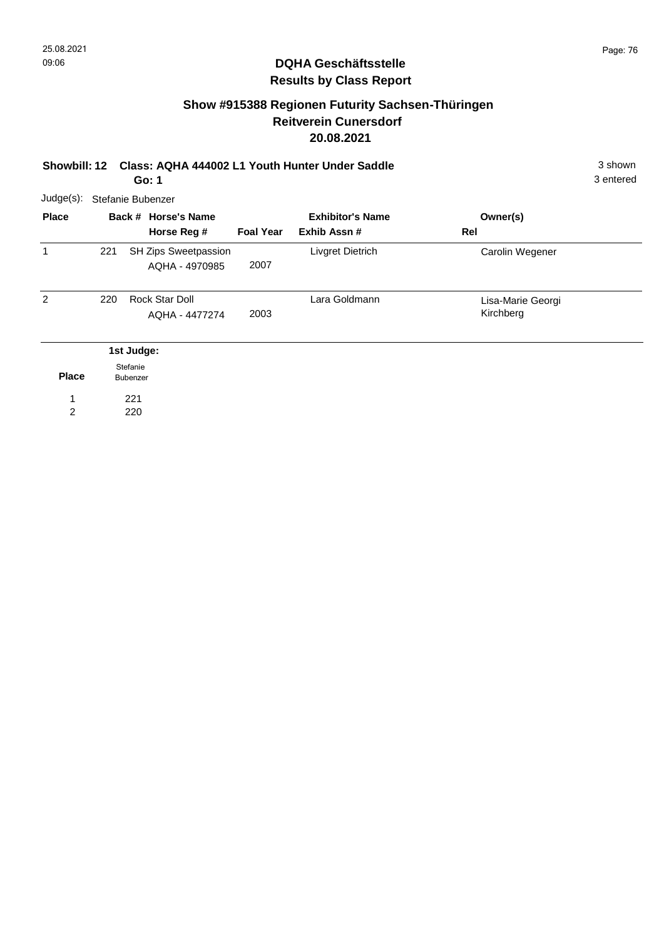## **Show #915388 Regionen Futurity Sachsen-Thüringen Reitverein Cunersdorf 20.08.2021**

| <b>Showbill: 12</b> |     | Class: AQHA 444002 L1 Youth Hunter Under Saddle<br>Go: 1 |                  | 3 shown<br>3 entered                    |                                |  |
|---------------------|-----|----------------------------------------------------------|------------------|-----------------------------------------|--------------------------------|--|
| Judge(s):           |     | Stefanie Bubenzer                                        |                  |                                         |                                |  |
| <b>Place</b>        |     | Back # Horse's Name<br>Horse Reg #                       | <b>Foal Year</b> | <b>Exhibitor's Name</b><br>Exhib Assn # | Owner(s)<br>Rel                |  |
| $\mathbf{1}$        | 221 | SH Zips Sweetpassion<br>AQHA - 4970985                   | 2007             | Livgret Dietrich                        | Carolin Wegener                |  |
| 2                   | 220 | Rock Star Doll<br>AQHA - 4477274                         | 2003             | Lara Goldmann                           | Lisa-Marie Georgi<br>Kirchberg |  |
|                     |     | 1st Judge:                                               |                  |                                         |                                |  |
| <b>Place</b>        |     | Stefanie<br>Bubenzer                                     |                  |                                         |                                |  |
| 1                   |     | 221                                                      |                  |                                         |                                |  |
| $\overline{2}$      |     | 220                                                      |                  |                                         |                                |  |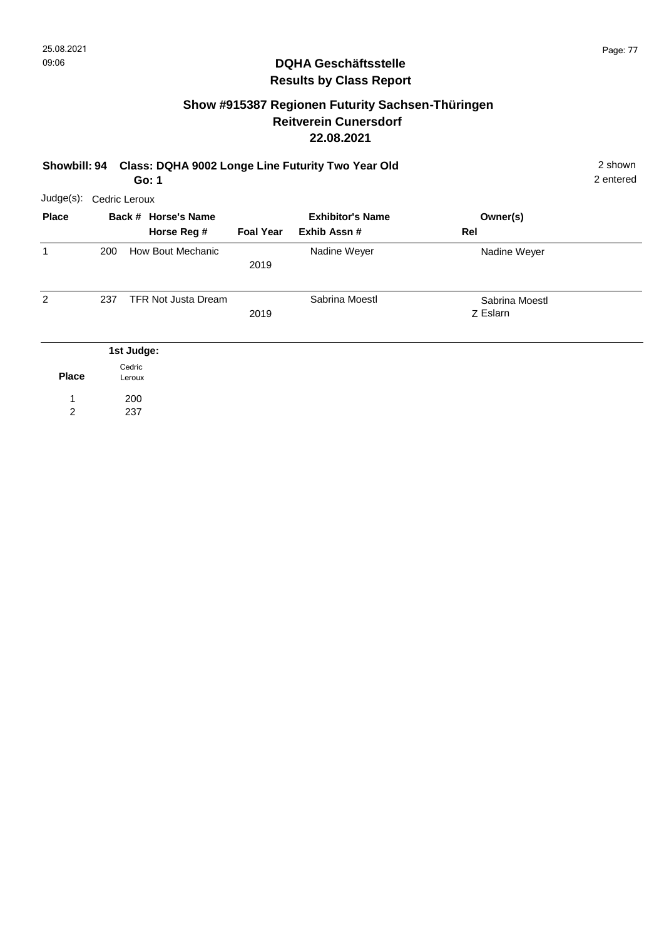200 237

1 2 2 entered

## **DQHA Geschäftsstelle Results by Class Report**

## **Show #915387 Regionen Futurity Sachsen-Thüringen Reitverein Cunersdorf 22.08.2021**

| Showbill: 94   |               | Class: DQHA 9002 Longe Line Futurity Two Year Old<br>Go: 1 |                                    |                  |                                         |                            |  |  |  |
|----------------|---------------|------------------------------------------------------------|------------------------------------|------------------|-----------------------------------------|----------------------------|--|--|--|
| Judge(s):      | Cedric Leroux |                                                            |                                    |                  |                                         |                            |  |  |  |
| <b>Place</b>   |               |                                                            | Back # Horse's Name<br>Horse Reg # | <b>Foal Year</b> | <b>Exhibitor's Name</b><br>Exhib Assn # | Owner(s)<br>Rel            |  |  |  |
| 1              | 200           |                                                            | How Bout Mechanic                  | 2019             | Nadine Weyer                            | Nadine Weyer               |  |  |  |
| $\overline{2}$ | 237           |                                                            | <b>TFR Not Justa Dream</b>         | 2019             | Sabrina Moestl                          | Sabrina Moestl<br>Z Eslarn |  |  |  |
| <b>Place</b>   |               | 1st Judge:<br>Cedric<br>Leroux                             |                                    |                  |                                         |                            |  |  |  |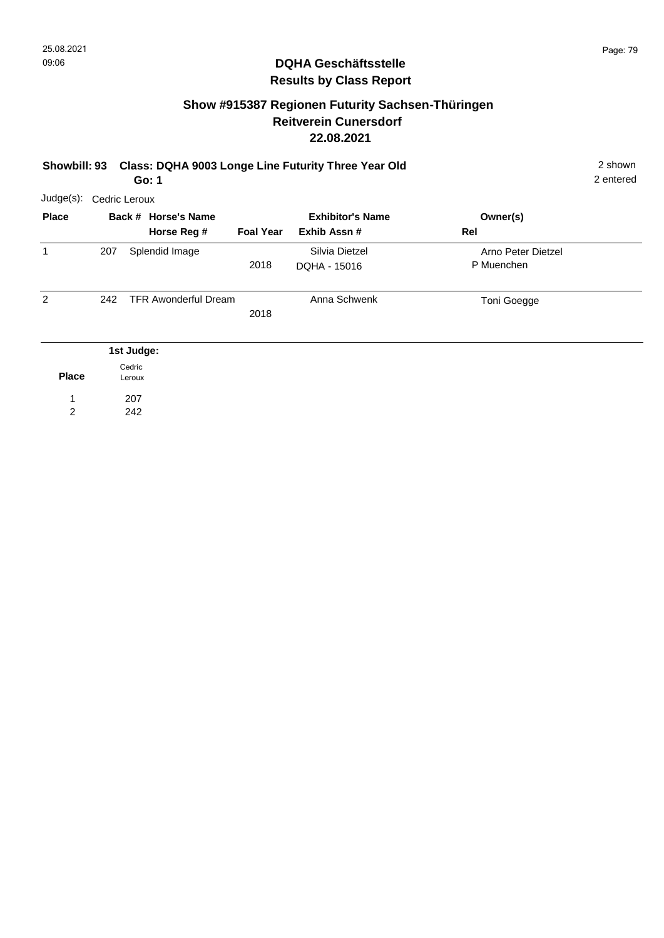## **Show #915387 Regionen Futurity Sachsen-Thüringen Reitverein Cunersdorf 22.08.2021**

**Showbill: 93 Class: DQHA 9003 Longe Line Futurity Three Year Old** 2 shown **Go: 1**

| Judge(s):      |     | Cedric Leroux                      |                  |                                        |                                  |  |  |  |  |  |  |
|----------------|-----|------------------------------------|------------------|----------------------------------------|----------------------------------|--|--|--|--|--|--|
| <b>Place</b>   |     | Back # Horse's Name<br>Horse Reg # | <b>Foal Year</b> | <b>Exhibitor's Name</b><br>Exhib Assn# | Owner(s)<br>Rel                  |  |  |  |  |  |  |
| 1              | 207 | Splendid Image                     | 2018             | Silvia Dietzel<br>DQHA - 15016         | Arno Peter Dietzel<br>P Muenchen |  |  |  |  |  |  |
| $\overline{2}$ | 242 | <b>TFR Awonderful Dream</b>        | 2018             | Anna Schwenk                           | Toni Goegge                      |  |  |  |  |  |  |
|                |     | 1st Judge:                         |                  |                                        |                                  |  |  |  |  |  |  |
| <b>Place</b>   |     | Cedric<br>Leroux                   |                  |                                        |                                  |  |  |  |  |  |  |
| 1              |     | 207                                |                  |                                        |                                  |  |  |  |  |  |  |
| 2              |     | 242                                |                  |                                        |                                  |  |  |  |  |  |  |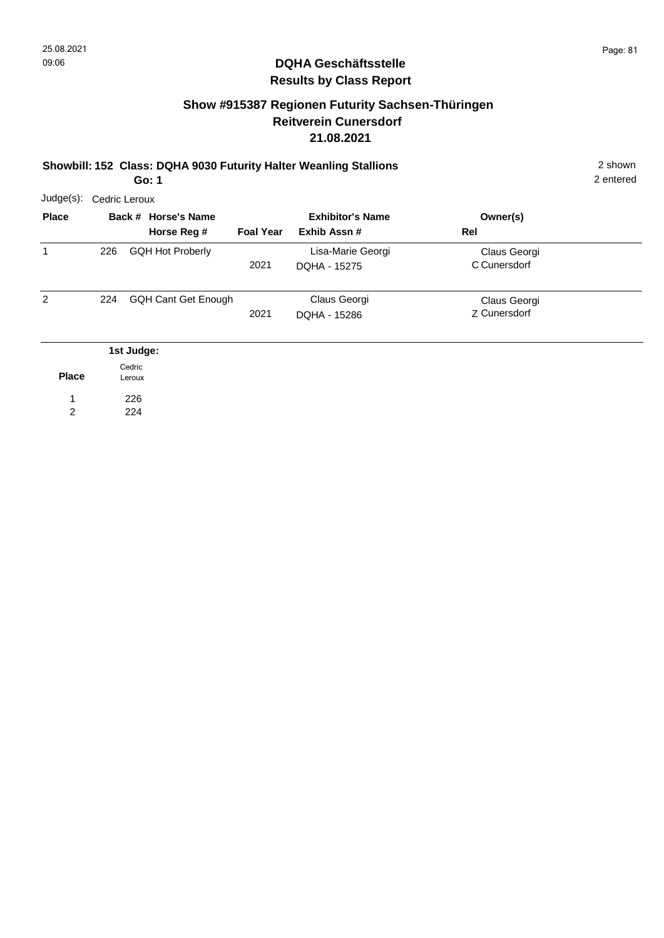## **Show #915387 Regionen Futurity Sachsen-Thüringen Reitverein Cunersdorf 21.08.2021**

#### **Showbill: 152 Class: DQHA 9030 Futurity Halter Weanling Stallions** 2 shown **Go: 1**

| Judge(s):    |     | Cedric Leroux                      |                  |                                         |                              |  |  |  |  |  |  |
|--------------|-----|------------------------------------|------------------|-----------------------------------------|------------------------------|--|--|--|--|--|--|
| <b>Place</b> |     | Back # Horse's Name<br>Horse Reg # | <b>Foal Year</b> | <b>Exhibitor's Name</b><br>Exhib Assn # | Owner(s)<br>Rel              |  |  |  |  |  |  |
| 1            | 226 | <b>GQH Hot Proberly</b>            | 2021             | Lisa-Marie Georgi<br>DQHA - 15275       | Claus Georgi<br>C Cunersdorf |  |  |  |  |  |  |
| 2            | 224 | <b>GQH Cant Get Enough</b>         | 2021             | Claus Georgi<br>DQHA - 15286            | Claus Georgi<br>Z Cunersdorf |  |  |  |  |  |  |
|              |     | 1st Judge:                         |                  |                                         |                              |  |  |  |  |  |  |
| <b>Place</b> |     | Cedric<br>Leroux                   |                  |                                         |                              |  |  |  |  |  |  |
| 1            |     | 226                                |                  |                                         |                              |  |  |  |  |  |  |
| 2            |     | 224                                |                  |                                         |                              |  |  |  |  |  |  |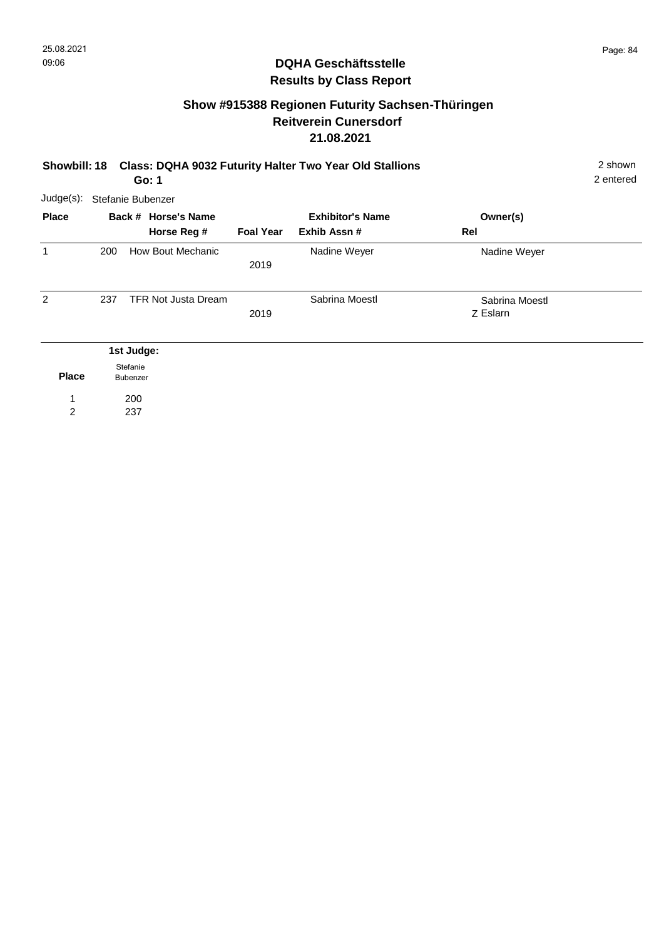## **Show #915388 Regionen Futurity Sachsen-Thüringen Reitverein Cunersdorf 21.08.2021**

| <b>Showbill: 18</b> |                   | <b>Class: DQHA 9032 Futurity Halter Two Year Old Stallions</b><br>Go: 1 |                                    |                  |                                        |                            |  |  |  |  |
|---------------------|-------------------|-------------------------------------------------------------------------|------------------------------------|------------------|----------------------------------------|----------------------------|--|--|--|--|
| Judge(s):           | Stefanie Bubenzer |                                                                         |                                    |                  |                                        |                            |  |  |  |  |
| <b>Place</b>        |                   |                                                                         | Back # Horse's Name<br>Horse Reg # | <b>Foal Year</b> | <b>Exhibitor's Name</b><br>Exhib Assn# | Owner(s)<br>Rel            |  |  |  |  |
| 1                   | 200               |                                                                         | How Bout Mechanic                  | 2019             | Nadine Weyer                           | Nadine Weyer               |  |  |  |  |
| $\overline{2}$      | 237               |                                                                         | <b>TFR Not Justa Dream</b>         | 2019             | Sabrina Moestl                         | Sabrina Moestl<br>Z Eslarn |  |  |  |  |
|                     | 1st Judge:        |                                                                         |                                    |                  |                                        |                            |  |  |  |  |
| <b>Place</b>        |                   | Stefanie<br>Bubenzer                                                    |                                    |                  |                                        |                            |  |  |  |  |
| 2                   |                   | 200<br>237                                                              |                                    |                  |                                        |                            |  |  |  |  |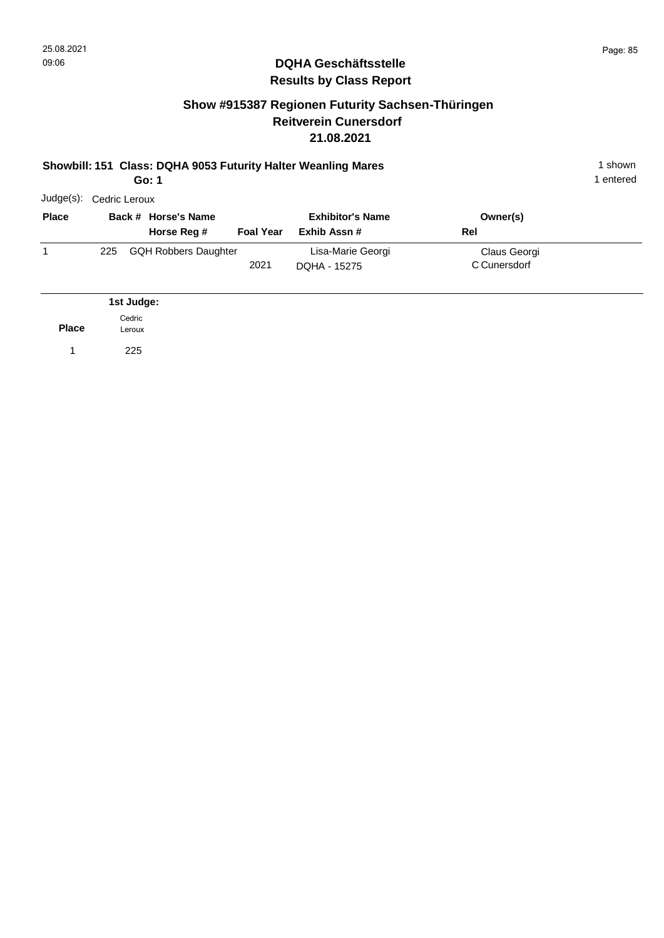## **Show #915387 Regionen Futurity Sachsen-Thüringen Reitverein Cunersdorf 21.08.2021**

#### **Showbill: 151 Class: DQHA 9053 Futurity Halter Weanling Mares** 1 shown **Go: 1**

1 entered

| Judge(s):    | Cedric Leroux |            |                                    |                  |                                         |                              |  |  |  |  |  |  |
|--------------|---------------|------------|------------------------------------|------------------|-----------------------------------------|------------------------------|--|--|--|--|--|--|
| <b>Place</b> |               |            | Back # Horse's Name<br>Horse Reg # | <b>Foal Year</b> | <b>Exhibitor's Name</b><br>Exhib Assn # | Owner(s)<br>Rel              |  |  |  |  |  |  |
| 1            | 225           |            | <b>GQH Robbers Daughter</b>        | 2021             | Lisa-Marie Georgi<br>DOHA - 15275       | Claus Georgi<br>C Cunersdorf |  |  |  |  |  |  |
|              |               | 1st Judge: |                                    |                  |                                         |                              |  |  |  |  |  |  |

**Place** 1 225 Cedric Leroux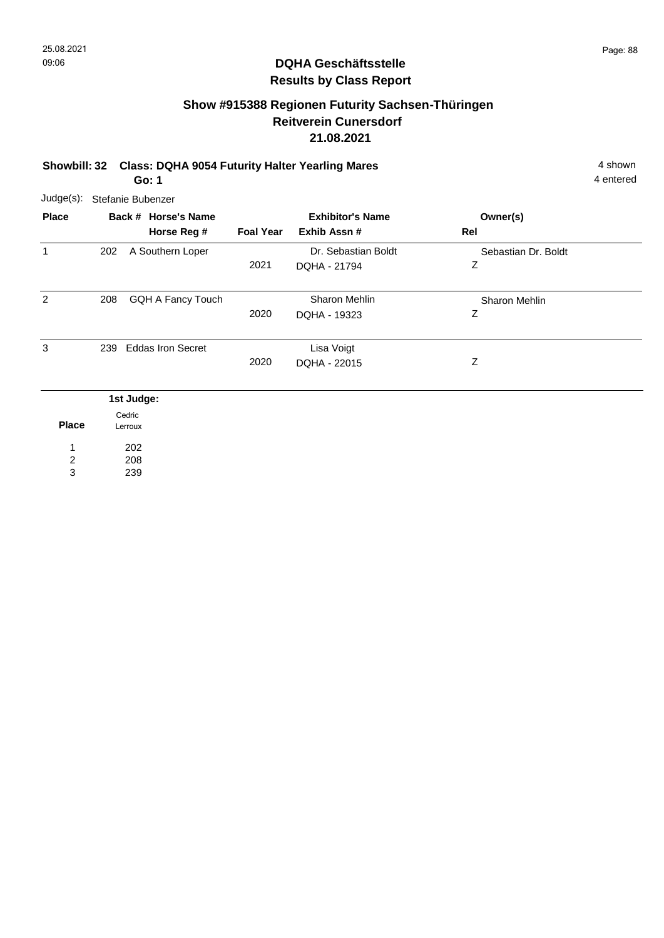# **Show #915388 Regionen Futurity Sachsen-Thüringen Reitverein Cunersdorf 21.08.2021**

**Showbill: 32 Class: DQHA 9054 Futurity Halter Yearling Mares** 4 Shown 4 shown **Go: 1**

> 208 239

2 3

| Judge(s):    | Stefanie Bubenzer                  |                  |                                        |                          |  |
|--------------|------------------------------------|------------------|----------------------------------------|--------------------------|--|
| <b>Place</b> | Back # Horse's Name<br>Horse Reg # | <b>Foal Year</b> | <b>Exhibitor's Name</b><br>Exhib Assn# | Owner(s)<br>Rel          |  |
| 1            | A Southern Loper<br>202            | 2021             | Dr. Sebastian Boldt<br>DQHA - 21794    | Sebastian Dr. Boldt<br>Ζ |  |
| 2            | <b>GQH A Fancy Touch</b><br>208    | 2020             | Sharon Mehlin<br>DQHA - 19323          | Sharon Mehlin<br>Ζ       |  |
| 3            | <b>Eddas Iron Secret</b><br>239    | 2020             | Lisa Voigt<br>DQHA - 22015             | Ζ                        |  |
|              | 1st Judge:                         |                  |                                        |                          |  |
| <b>Place</b> | Cedric<br>Lerroux                  |                  |                                        |                          |  |
| 1            | 202                                |                  |                                        |                          |  |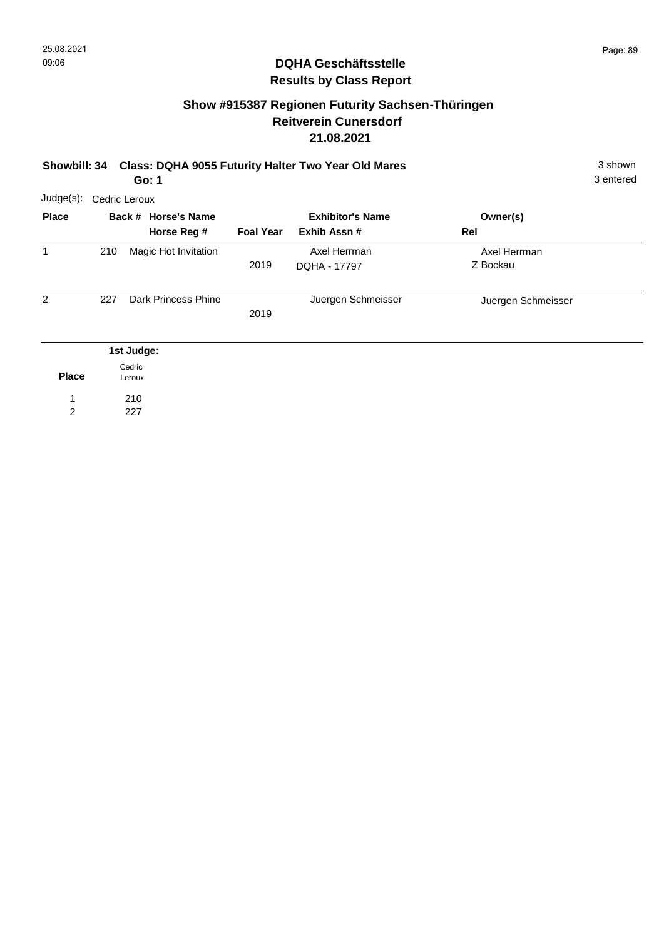## **Show #915387 Regionen Futurity Sachsen-Thüringen Reitverein Cunersdorf 21.08.2021**

|  | Showbill: 34 Class: DQHA 9055 Futurity Halter Two Year Old Mares | 3 shown |
|--|------------------------------------------------------------------|---------|
|  |                                                                  |         |

**Go: 1**

| Judge(s):    |     | Cedric Leroux                      |                  |                                         |                          |  |  |  |  |  |  |  |
|--------------|-----|------------------------------------|------------------|-----------------------------------------|--------------------------|--|--|--|--|--|--|--|
| <b>Place</b> |     | Back # Horse's Name<br>Horse Reg # | <b>Foal Year</b> | <b>Exhibitor's Name</b><br>Exhib Assn # | Owner(s)<br>Rel          |  |  |  |  |  |  |  |
| 1            | 210 | Magic Hot Invitation               | 2019             | Axel Herrman<br>DQHA - 17797            | Axel Herrman<br>Z Bockau |  |  |  |  |  |  |  |
| 2            | 227 | Dark Princess Phine                | 2019             | Juergen Schmeisser                      | Juergen Schmeisser       |  |  |  |  |  |  |  |
|              |     | 1st Judge:                         |                  |                                         |                          |  |  |  |  |  |  |  |
| <b>Place</b> |     | Cedric<br>Leroux                   |                  |                                         |                          |  |  |  |  |  |  |  |
| 1            |     | 210                                |                  |                                         |                          |  |  |  |  |  |  |  |
| 2            |     | 227                                |                  |                                         |                          |  |  |  |  |  |  |  |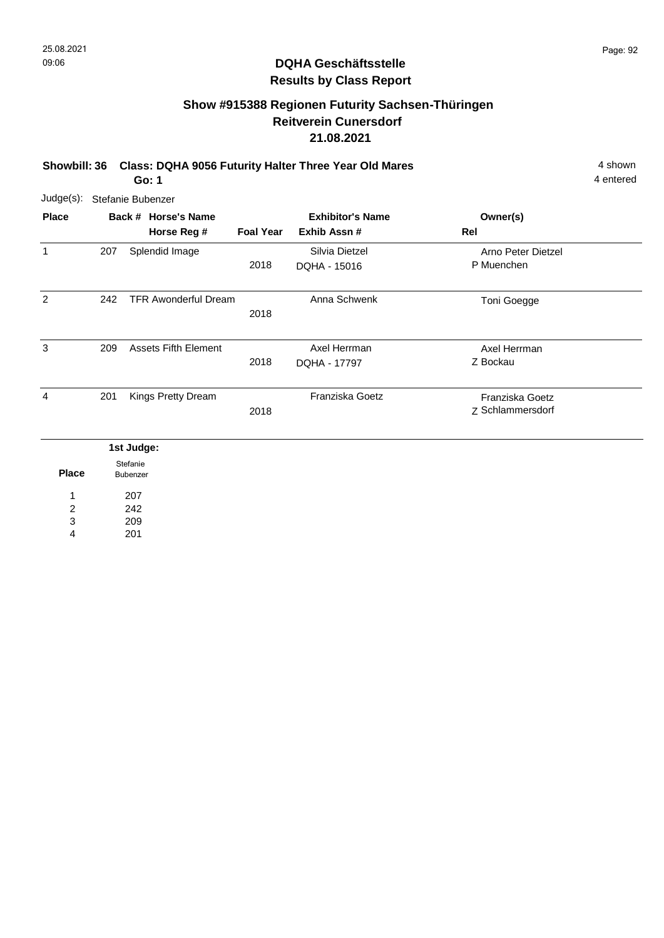# **Show #915388 Regionen Futurity Sachsen-Thüringen Reitverein Cunersdorf 21.08.2021**

**Showbill: 36 Class: DQHA 9056 Futurity Halter Three Year Old Mares** 4 shown 4 shown

**Go: 1**

4 entered

| $Judge(s)$ :                      | Stefanie Bubenzer |                      |                                    |                  |                                         |                                     |  |  |  |
|-----------------------------------|-------------------|----------------------|------------------------------------|------------------|-----------------------------------------|-------------------------------------|--|--|--|
| <b>Place</b>                      |                   |                      | Back # Horse's Name<br>Horse Reg # | <b>Foal Year</b> | <b>Exhibitor's Name</b><br>Exhib Assn # | Owner(s)<br>Rel                     |  |  |  |
| $\mathbf{1}$                      | 207               |                      | Splendid Image                     | 2018             | Silvia Dietzel<br>DQHA - 15016          | Arno Peter Dietzel<br>P Muenchen    |  |  |  |
| 2                                 | 242               |                      | <b>TFR Awonderful Dream</b>        | 2018             | Anna Schwenk                            | Toni Goegge                         |  |  |  |
| 3                                 | 209               |                      | <b>Assets Fifth Element</b>        | 2018             | Axel Herrman<br>DQHA - 17797            | Axel Herrman<br>Z Bockau            |  |  |  |
| $\overline{4}$                    | 201               |                      | Kings Pretty Dream                 | 2018             | Franziska Goetz                         | Franziska Goetz<br>Z Schlammersdorf |  |  |  |
|                                   |                   | 1st Judge:           |                                    |                  |                                         |                                     |  |  |  |
| <b>Place</b>                      |                   | Stefanie<br>Bubenzer |                                    |                  |                                         |                                     |  |  |  |
| 1<br>$\overline{\mathbf{c}}$<br>3 |                   | 207<br>242<br>209    |                                    |                  |                                         |                                     |  |  |  |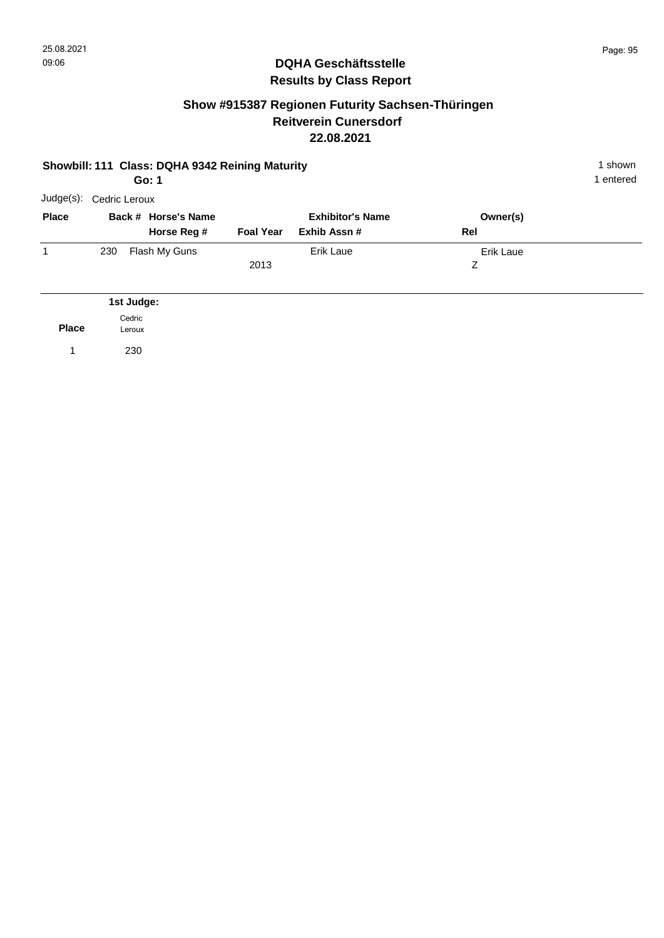### **Show #915387 Regionen Futurity Sachsen-Thüringen Reitverein Cunersdorf 22.08.2021**

|              | Showbill: 111 Class: DQHA 9342 Reining Maturity<br>Go: 1 |                  |                                    |                  |                                         |     |                  |  |  |
|--------------|----------------------------------------------------------|------------------|------------------------------------|------------------|-----------------------------------------|-----|------------------|--|--|
| Judge(s):    | Cedric Leroux                                            |                  |                                    |                  |                                         |     |                  |  |  |
| <b>Place</b> |                                                          |                  | Back # Horse's Name<br>Horse Reg # | <b>Foal Year</b> | <b>Exhibitor's Name</b><br>Exhib Assn # | Rel | Owner(s)         |  |  |
| $\mathbf{1}$ | 230                                                      |                  | Flash My Guns                      | 2013             | <b>Erik Laue</b>                        | Z   | <b>Erik Laue</b> |  |  |
|              |                                                          | 1st Judge:       |                                    |                  |                                         |     |                  |  |  |
| <b>Place</b> |                                                          | Cedric<br>Leroux |                                    |                  |                                         |     |                  |  |  |
|              |                                                          | 230              |                                    |                  |                                         |     |                  |  |  |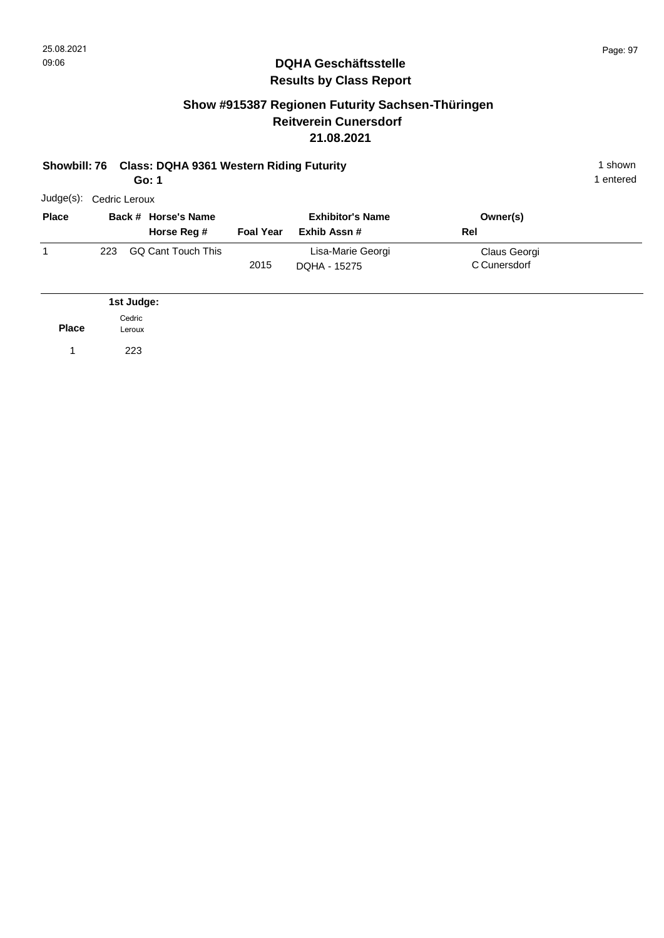#### **Show #915387 Regionen Futurity Sachsen-Thüringen Reitverein Cunersdorf 21.08.2021**

#### **Showbill: 76 Class: DQHA 9361 Western Riding Futurity** 1 shown 1 shown **Go: 1**

|              |               | ו .טט                              |                  |                                         |                              |
|--------------|---------------|------------------------------------|------------------|-----------------------------------------|------------------------------|
| Judge(s):    | Cedric Leroux |                                    |                  |                                         |                              |
| <b>Place</b> |               | Back # Horse's Name<br>Horse Reg # | <b>Foal Year</b> | <b>Exhibitor's Name</b><br>Exhib Assn # | Owner(s)<br>Rel              |
| 1            | 223           | GQ Cant Touch This                 | 2015             | Lisa-Marie Georgi<br>DOHA - 15275       | Claus Georgi<br>C Cunersdorf |

|              | 1st Judge:       |
|--------------|------------------|
| <b>Place</b> | Cedric<br>Leroux |
|              | 223              |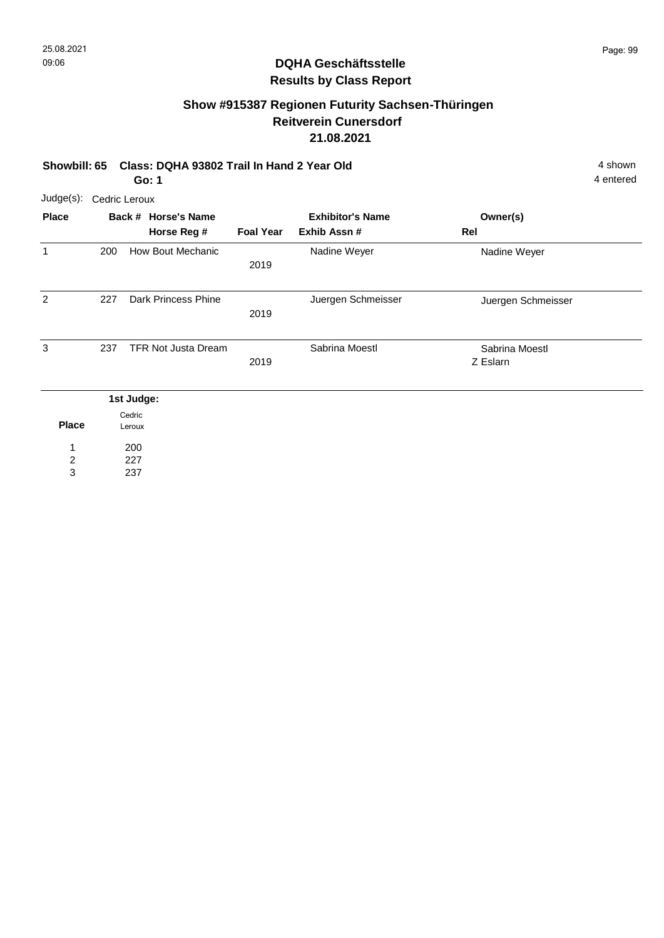# **Show #915387 Regionen Futurity Sachsen-Thüringen Reitverein Cunersdorf 21.08.2021**

#### **Showbill: 65 Class: DQHA 93802 Trail In Hand 2 Year Old** 4 shown **Go: 1**

4 entered

| Judge(s):      | Cedric Leroux       |                                  |                                         |                    |                            |  |
|----------------|---------------------|----------------------------------|-----------------------------------------|--------------------|----------------------------|--|
| <b>Place</b>   | Back # Horse's Name |                                  | <b>Exhibitor's Name</b><br>Exhib Assn # |                    | Owner(s)<br>Rel            |  |
| 1              | 200                 | Horse Reg #<br>How Bout Mechanic | <b>Foal Year</b><br>2019                | Nadine Weyer       | Nadine Weyer               |  |
| 2              | 227                 | Dark Princess Phine              | 2019                                    | Juergen Schmeisser | Juergen Schmeisser         |  |
| 3              | 237                 | <b>TFR Not Justa Dream</b>       | 2019                                    | Sabrina Moestl     | Sabrina Moestl<br>Z Eslarn |  |
|                |                     | 1st Judge:                       |                                         |                    |                            |  |
| <b>Place</b>   |                     | Cedric<br>Leroux                 |                                         |                    |                            |  |
| $\overline{2}$ |                     | 200<br>227                       |                                         |                    |                            |  |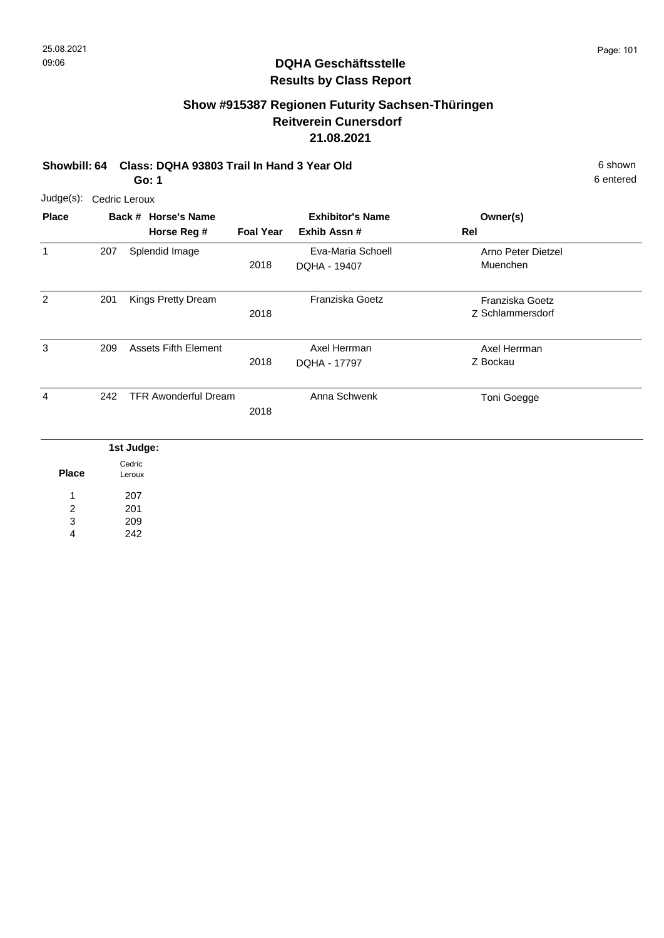# **Show #915387 Regionen Futurity Sachsen-Thüringen Reitverein Cunersdorf 21.08.2021**

**Showbill: 64 Class: DQHA 93803 Trail In Hand 3 Year Old** 6 Shown 6 shown

6 entered

**Go: 1**

| Judge(s):                       | Cedric Leroux |                                    |                  |                                         |                                     |
|---------------------------------|---------------|------------------------------------|------------------|-----------------------------------------|-------------------------------------|
| <b>Place</b>                    |               | Back # Horse's Name<br>Horse Reg # | <b>Foal Year</b> | <b>Exhibitor's Name</b><br>Exhib Assn # | Owner(s)<br>Rel                     |
| 1                               | 207           | Splendid Image                     | 2018             | Eva-Maria Schoell<br>DQHA - 19407       | Arno Peter Dietzel<br>Muenchen      |
| $\overline{2}$                  | 201           | Kings Pretty Dream                 | 2018             | Franziska Goetz                         | Franziska Goetz<br>Z Schlammersdorf |
| 3                               | 209           | <b>Assets Fifth Element</b>        | 2018             | Axel Herrman<br>DQHA - 17797            | Axel Herrman<br>Z Bockau            |
| 4                               | 242           | <b>TFR Awonderful Dream</b>        | 2018             | Anna Schwenk                            | Toni Goegge                         |
| <b>Place</b>                    |               | 1st Judge:<br>Cedric<br>Leroux     |                  |                                         |                                     |
| 1<br>$\boldsymbol{2}$<br>3<br>4 |               | 207<br>201<br>209<br>242           |                  |                                         |                                     |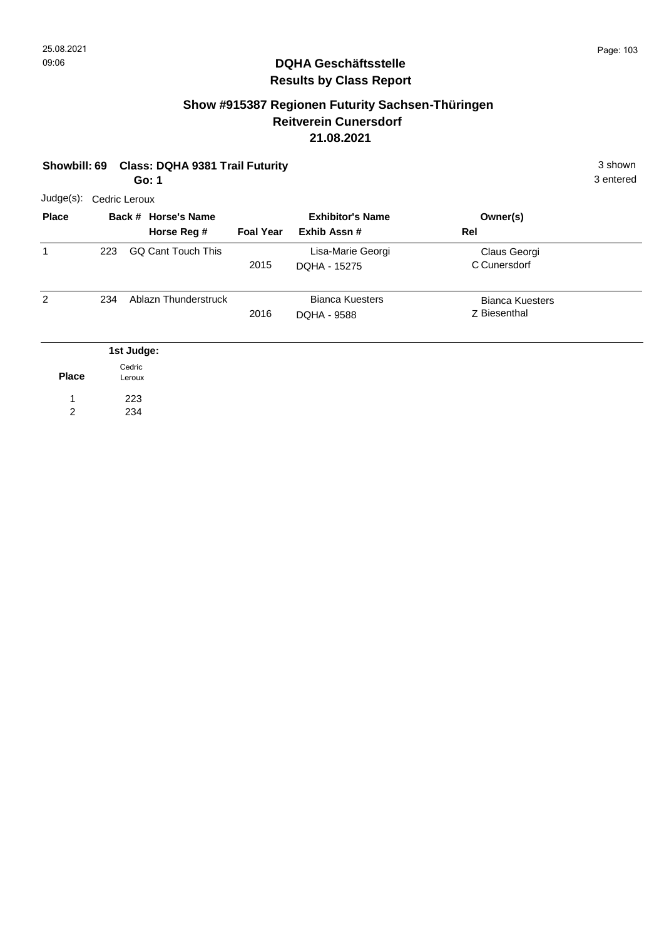### **Show #915387 Regionen Futurity Sachsen-Thüringen Reitverein Cunersdorf 21.08.2021**

| <b>Class: DQHA 9381 Trail Futurity</b><br><b>Showbill: 69</b><br>3 entered<br>Go: 1 |     |                                    |                  |                                        |                                        |  |  |  |
|-------------------------------------------------------------------------------------|-----|------------------------------------|------------------|----------------------------------------|----------------------------------------|--|--|--|
| $Judge(s)$ :                                                                        |     | Cedric Leroux                      |                  |                                        |                                        |  |  |  |
| <b>Place</b>                                                                        |     | Back # Horse's Name<br>Horse Reg # | <b>Foal Year</b> | <b>Exhibitor's Name</b><br>Exhib Assn# | Owner(s)<br>Rel                        |  |  |  |
| 1                                                                                   | 223 | <b>GQ Cant Touch This</b>          | 2015             | Lisa-Marie Georgi<br>DQHA - 15275      | Claus Georgi<br>C Cunersdorf           |  |  |  |
| $\overline{2}$                                                                      | 234 | Ablazn Thunderstruck               | 2016             | <b>Bianca Kuesters</b><br>DQHA - 9588  | <b>Bianca Kuesters</b><br>Z Biesenthal |  |  |  |
|                                                                                     |     | 1st Judge:                         |                  |                                        |                                        |  |  |  |
| <b>Place</b>                                                                        |     | Cedric<br>Leroux                   |                  |                                        |                                        |  |  |  |
| $\overline{2}$                                                                      |     | 223<br>234                         |                  |                                        |                                        |  |  |  |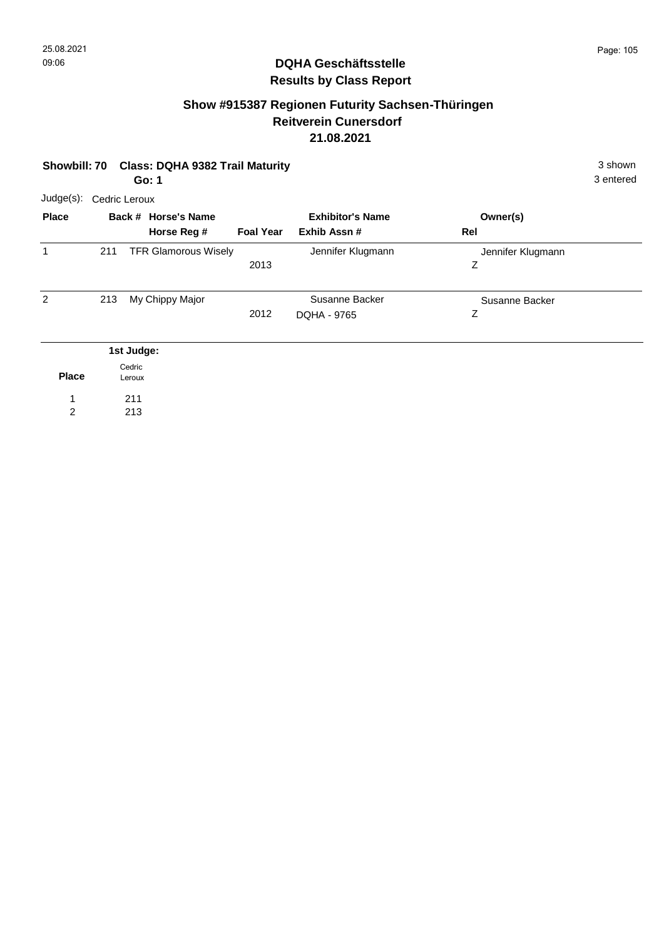## **Show #915387 Regionen Futurity Sachsen-Thüringen Reitverein Cunersdorf 21.08.2021**

|                | 3 shown<br><b>Class: DQHA 9382 Trail Maturity</b><br>Showbill: 70<br>3 entered<br>Go: 1 |                  |                             |                  |                         |                   |  |  |  |
|----------------|-----------------------------------------------------------------------------------------|------------------|-----------------------------|------------------|-------------------------|-------------------|--|--|--|
| $Judge(s)$ :   | Cedric Leroux                                                                           |                  |                             |                  |                         |                   |  |  |  |
| <b>Place</b>   |                                                                                         |                  | Back # Horse's Name         |                  | <b>Exhibitor's Name</b> | Owner(s)          |  |  |  |
|                |                                                                                         |                  | Horse Reg #                 | <b>Foal Year</b> | Exhib Assn#             | Rel               |  |  |  |
| 1              | 211                                                                                     |                  | <b>TFR Glamorous Wisely</b> |                  | Jennifer Klugmann       | Jennifer Klugmann |  |  |  |
|                |                                                                                         |                  |                             | 2013             |                         | Ζ                 |  |  |  |
| $\overline{2}$ | 213                                                                                     |                  | My Chippy Major             |                  | Susanne Backer          | Susanne Backer    |  |  |  |
|                |                                                                                         |                  |                             | 2012             | DQHA - 9765             | Ζ                 |  |  |  |
|                |                                                                                         | 1st Judge:       |                             |                  |                         |                   |  |  |  |
| <b>Place</b>   |                                                                                         | Cedric<br>Leroux |                             |                  |                         |                   |  |  |  |
|                |                                                                                         | 211              |                             |                  |                         |                   |  |  |  |
| $\overline{2}$ |                                                                                         | 213              |                             |                  |                         |                   |  |  |  |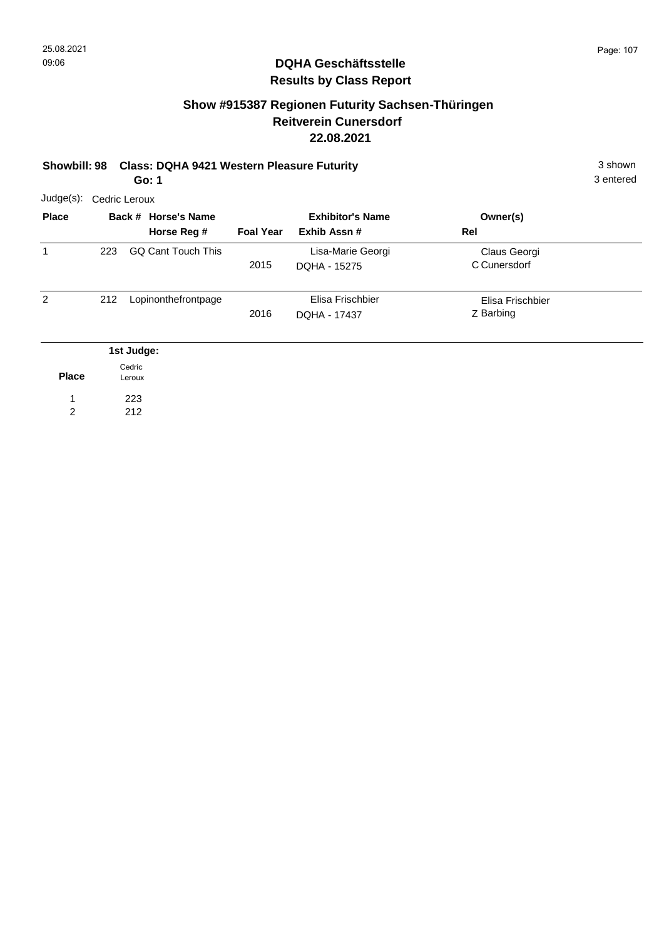### **Show #915387 Regionen Futurity Sachsen-Thüringen Reitverein Cunersdorf 22.08.2021**

# **Showbill: 98 Class: DQHA 9421 Western Pleasure Futurity** 3 shown

3 entered

**Go: 1**

| Judge(s):      | Cedric Leroux |                                    |                  |                                         |                               |  |  |  |  |
|----------------|---------------|------------------------------------|------------------|-----------------------------------------|-------------------------------|--|--|--|--|
| <b>Place</b>   |               | Back # Horse's Name<br>Horse Reg # | <b>Foal Year</b> | <b>Exhibitor's Name</b><br>Exhib Assn # | Owner(s)<br>Rel               |  |  |  |  |
| 1              | 223           | <b>GQ Cant Touch This</b>          | 2015             | Lisa-Marie Georgi<br>DQHA - 15275       | Claus Georgi<br>C Cunersdorf  |  |  |  |  |
| $\overline{2}$ | 212           | Lopinonthefrontpage                | 2016             | Elisa Frischbier<br>DQHA - 17437        | Elisa Frischbier<br>Z Barbing |  |  |  |  |
|                |               | 1st Judge:                         |                  |                                         |                               |  |  |  |  |
| <b>Place</b>   |               | Cedric<br>Leroux                   |                  |                                         |                               |  |  |  |  |
| 1              |               | 223                                |                  |                                         |                               |  |  |  |  |
| 2              |               | 212                                |                  |                                         |                               |  |  |  |  |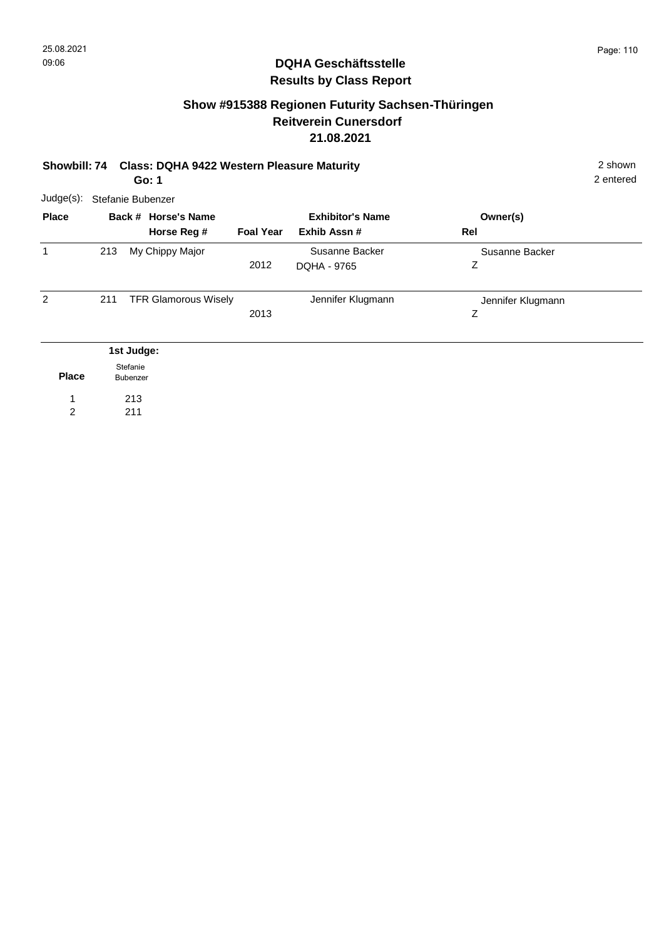# **Show #915388 Regionen Futurity Sachsen-Thüringen Reitverein Cunersdorf 21.08.2021**

#### **Showbill: 74 Class: DQHA 9422 Western Pleasure Maturity** 2 shown **Go: 1**

| $Judge(s)$ :   | Stefanie Bubenzer    |                                    |                  |                                        |                        |  |  |  |  |
|----------------|----------------------|------------------------------------|------------------|----------------------------------------|------------------------|--|--|--|--|
| <b>Place</b>   |                      | Back # Horse's Name<br>Horse Reg # | <b>Foal Year</b> | <b>Exhibitor's Name</b><br>Exhib Assn# | Owner(s)<br>Rel        |  |  |  |  |
| 1              | 213                  | My Chippy Major                    | 2012             | Susanne Backer<br>DQHA - 9765          | Susanne Backer<br>Ζ    |  |  |  |  |
| 2              | 211                  | <b>TFR Glamorous Wisely</b>        | 2013             | Jennifer Klugmann                      | Jennifer Klugmann<br>Ζ |  |  |  |  |
|                |                      | 1st Judge:                         |                  |                                        |                        |  |  |  |  |
| <b>Place</b>   | Stefanie<br>Bubenzer |                                    |                  |                                        |                        |  |  |  |  |
| 1              |                      | 213                                |                  |                                        |                        |  |  |  |  |
| $\overline{c}$ |                      | 211                                |                  |                                        |                        |  |  |  |  |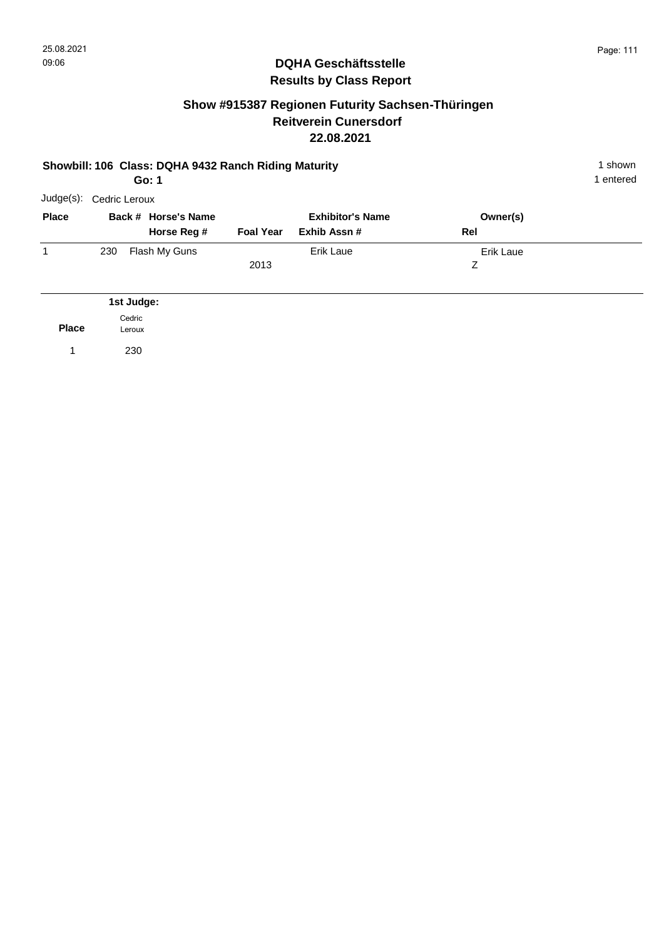### **Show #915387 Regionen Futurity Sachsen-Thüringen Reitverein Cunersdorf 22.08.2021**

#### **Showbill: 106 Class: DQHA 9432 Ranch Riding Maturity** 1 Shown 1 shown **Go: 1**

1 entered

| Judge(s):    |     | Cedric Leroux                      |                  |                                        |                 |  |  |  |  |
|--------------|-----|------------------------------------|------------------|----------------------------------------|-----------------|--|--|--|--|
| <b>Place</b> |     | Back # Horse's Name<br>Horse Reg # | <b>Foal Year</b> | <b>Exhibitor's Name</b><br>Exhib Assn# | Owner(s)<br>Rel |  |  |  |  |
|              | 230 | Flash My Guns                      | 2013             | Erik Laue                              | Erik Laue<br>Ζ  |  |  |  |  |
|              |     | 1st Judge:                         |                  |                                        |                 |  |  |  |  |

**Place** Cedric Leroux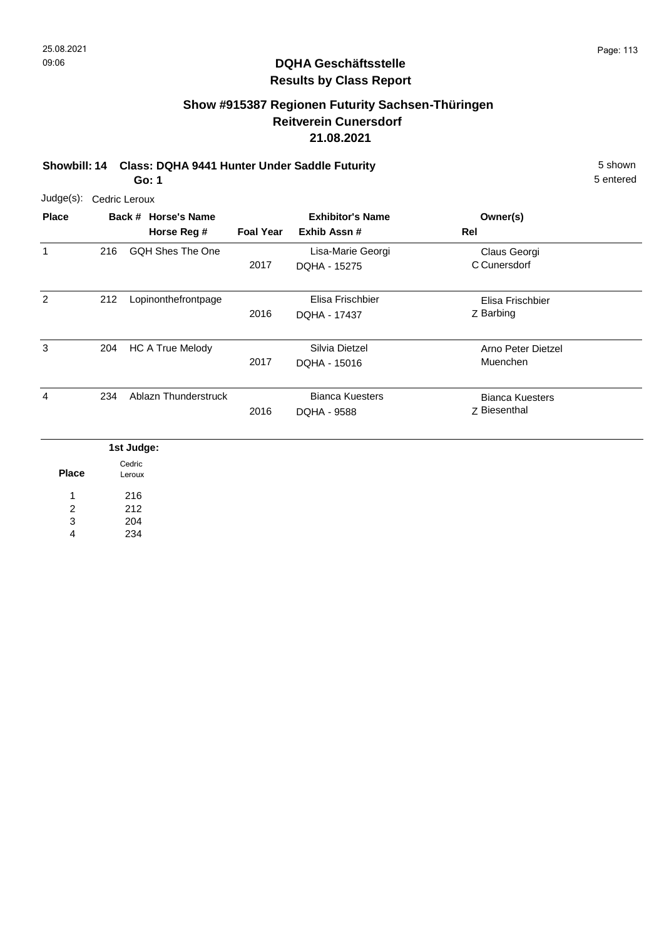# **Show #915387 Regionen Futurity Sachsen-Thüringen Reitverein Cunersdorf 21.08.2021**

**Showbill: 14 Class: DQHA 9441 Hunter Under Saddle Futurity** 5 shown **Go: 1**

> 204 234

3 4

| Judge(s):      | Cedric Leroux    |                                    |                                                             |                                       |                                        |  |  |  |  |
|----------------|------------------|------------------------------------|-------------------------------------------------------------|---------------------------------------|----------------------------------------|--|--|--|--|
| <b>Place</b>   |                  | Back # Horse's Name<br>Horse Reg # | <b>Exhibitor's Name</b><br><b>Foal Year</b><br>Exhib Assn # |                                       | Owner(s)<br>Rel                        |  |  |  |  |
| $\mathbf{1}$   | 216              | <b>GQH Shes The One</b>            | 2017                                                        | Lisa-Marie Georgi<br>DQHA - 15275     | Claus Georgi<br>C Cunersdorf           |  |  |  |  |
| $\overline{2}$ | 212              | Lopinonthefrontpage                | 2016                                                        | Elisa Frischbier<br>DQHA - 17437      | Elisa Frischbier<br>Z Barbing          |  |  |  |  |
| 3              | 204              | <b>HC A True Melody</b>            | 2017                                                        | Silvia Dietzel<br>DQHA - 15016        | Arno Peter Dietzel<br>Muenchen         |  |  |  |  |
| 4              | 234              | Ablazn Thunderstruck               | 2016                                                        | <b>Bianca Kuesters</b><br>DQHA - 9588 | <b>Bianca Kuesters</b><br>Z Biesenthal |  |  |  |  |
|                | 1st Judge:       |                                    |                                                             |                                       |                                        |  |  |  |  |
| <b>Place</b>   | Cedric<br>Leroux |                                    |                                                             |                                       |                                        |  |  |  |  |
| 1<br>2         |                  | 216<br>212                         |                                                             |                                       |                                        |  |  |  |  |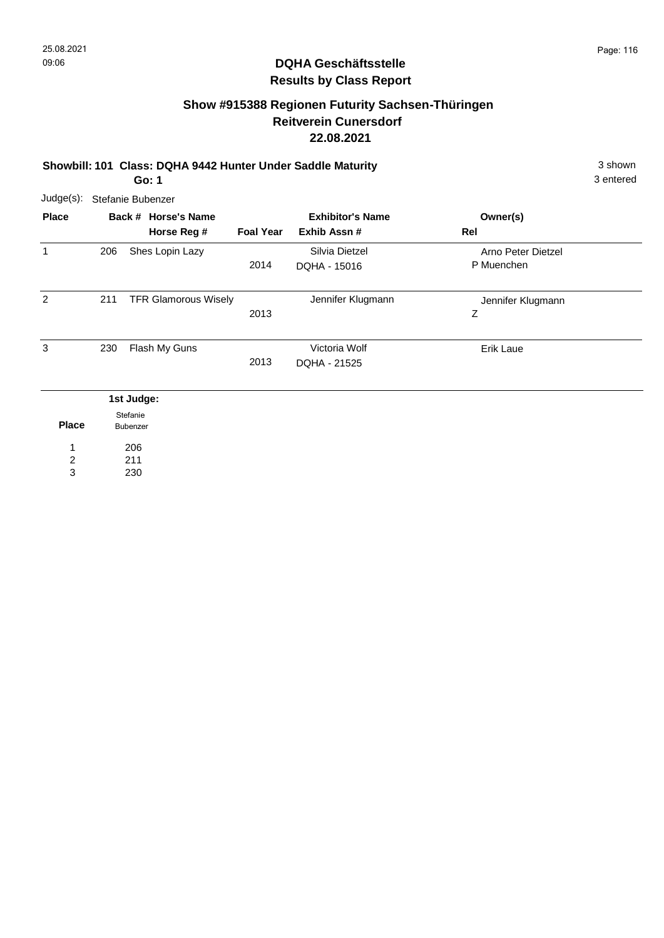# **Show #915388 Regionen Futurity Sachsen-Thüringen Reitverein Cunersdorf 22.08.2021**

#### **Showbill: 101 Class: DQHA 9442 Hunter Under Saddle Maturity** 3 shown **Go: 1**

3 entered

| Judge(s):      | Stefanie Bubenzer    |                             |                         |                   |                    |  |  |  |  |
|----------------|----------------------|-----------------------------|-------------------------|-------------------|--------------------|--|--|--|--|
| <b>Place</b>   |                      | Back # Horse's Name         | <b>Exhibitor's Name</b> |                   | Owner(s)           |  |  |  |  |
|                |                      | Horse Reg #                 | <b>Foal Year</b>        | Exhib Assn #      | Rel                |  |  |  |  |
| $\mathbf{1}$   | 206                  | Shes Lopin Lazy             |                         | Silvia Dietzel    | Arno Peter Dietzel |  |  |  |  |
|                |                      |                             | 2014                    | DQHA - 15016      | P Muenchen         |  |  |  |  |
| 2              | 211                  | <b>TFR Glamorous Wisely</b> |                         | Jennifer Klugmann | Jennifer Klugmann  |  |  |  |  |
|                |                      |                             | 2013                    |                   | Ζ                  |  |  |  |  |
| 3              | 230                  | Flash My Guns               |                         | Victoria Wolf     | Erik Laue          |  |  |  |  |
|                |                      |                             | 2013                    | DQHA - 21525      |                    |  |  |  |  |
|                |                      | 1st Judge:                  |                         |                   |                    |  |  |  |  |
| <b>Place</b>   | Stefanie<br>Bubenzer |                             |                         |                   |                    |  |  |  |  |
| 1              |                      | 206                         |                         |                   |                    |  |  |  |  |
| $\overline{2}$ |                      | 211                         |                         |                   |                    |  |  |  |  |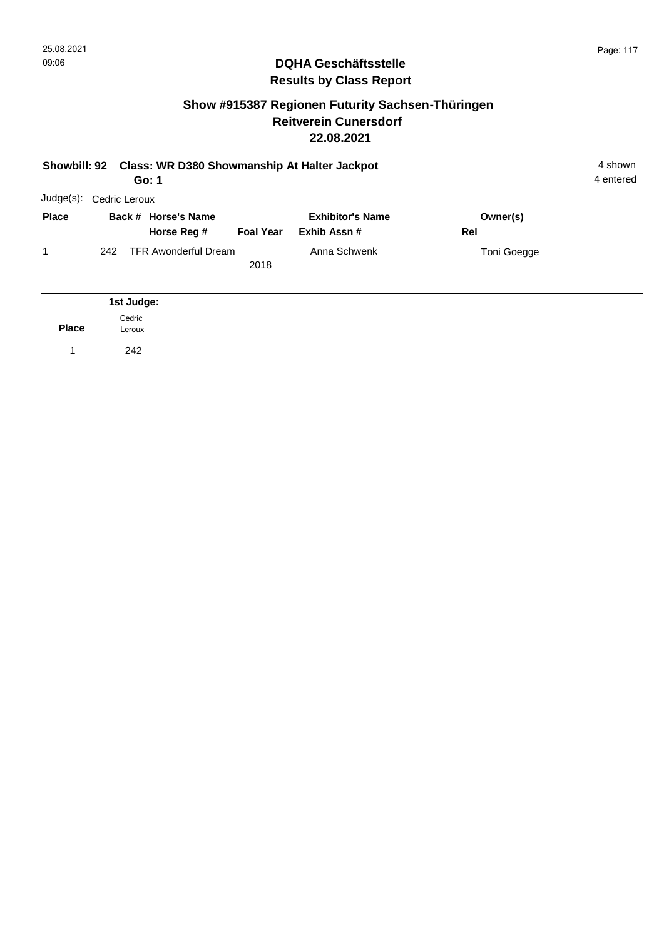#### **Show #915387 Regionen Futurity Sachsen-Thüringen Reitverein Cunersdorf 22.08.2021**

| Showbill: 92 Class: WR D380 Showmanship At Halter Jackpot<br>Go: 1 |               |                                |                                    |                  |                                         |     |             | 4 shown<br>4 entered |
|--------------------------------------------------------------------|---------------|--------------------------------|------------------------------------|------------------|-----------------------------------------|-----|-------------|----------------------|
| Judge(s):                                                          | Cedric Leroux |                                |                                    |                  |                                         |     |             |                      |
| <b>Place</b>                                                       |               |                                | Back # Horse's Name<br>Horse Reg # | <b>Foal Year</b> | <b>Exhibitor's Name</b><br>Exhib Assn # | Rel | Owner(s)    |                      |
| $\mathbf{1}$                                                       | 242           |                                | <b>TFR Awonderful Dream</b>        | 2018             | Anna Schwenk                            |     | Toni Goegge |                      |
| <b>Place</b>                                                       |               | 1st Judge:<br>Cedric<br>Leroux |                                    |                  |                                         |     |             |                      |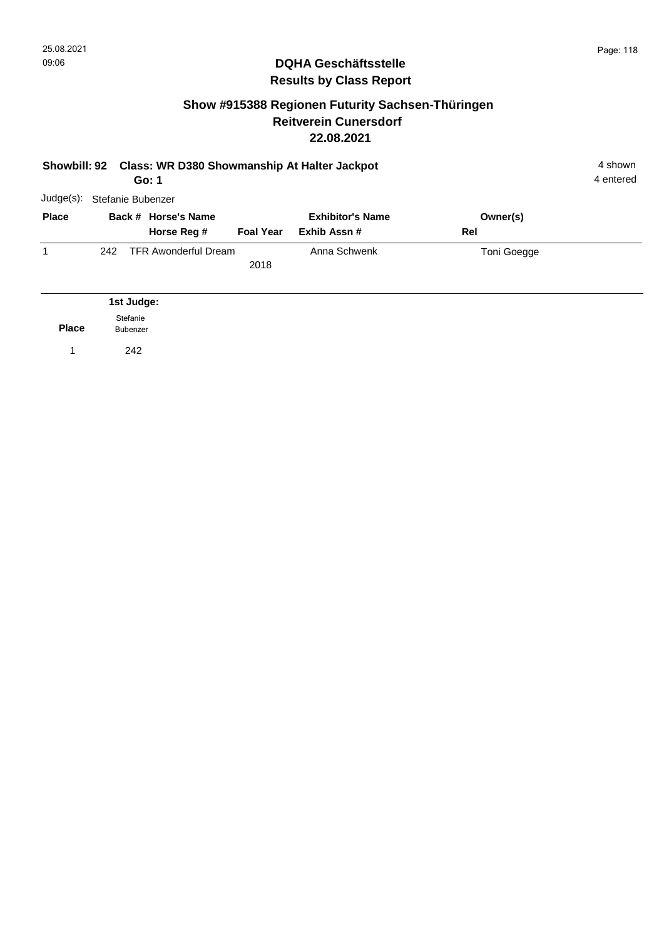#### **Show #915388 Regionen Futurity Sachsen-Thüringen Reitverein Cunersdorf 22.08.2021**

| Showbill: 92 Class: WR D380 Showmanship At Halter Jackpot<br>Go: 1 |                             |                                    |                  |                                        |                 | 4 shown<br>4 entered |
|--------------------------------------------------------------------|-----------------------------|------------------------------------|------------------|----------------------------------------|-----------------|----------------------|
| Judge(s):                                                          | Stefanie Bubenzer           |                                    |                  |                                        |                 |                      |
| <b>Place</b>                                                       |                             | Back # Horse's Name<br>Horse Reg # | <b>Foal Year</b> | <b>Exhibitor's Name</b><br>Exhib Assn# | Owner(s)<br>Rel |                      |
| 1                                                                  | 242                         | <b>TFR Awonderful Dream</b>        | 2018             | Anna Schwenk                           | Toni Goegge     |                      |
|                                                                    |                             | 1st Judge:                         |                  |                                        |                 |                      |
| <b>Place</b>                                                       | Stefanie<br><b>Bubenzer</b> |                                    |                  |                                        |                 |                      |